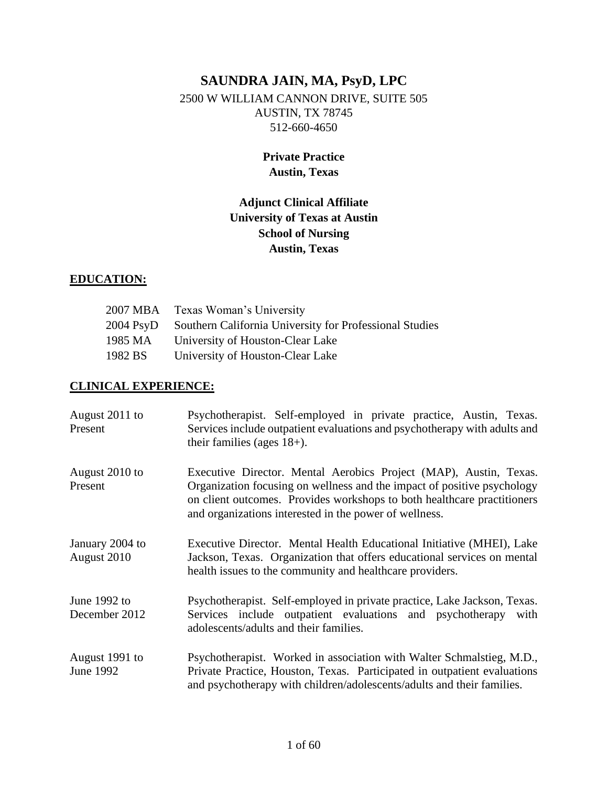# **SAUNDRA JAIN, MA, PsyD, LPC** 2500 W WILLIAM CANNON DRIVE, SUITE 505 AUSTIN, TX 78745 512-660-4650

## **Private Practice Austin, Texas**

## **Adjunct Clinical Affiliate University of Texas at Austin School of Nursing Austin, Texas**

## **EDUCATION:**

|                     | 2007 MBA Texas Woman's University                       |
|---------------------|---------------------------------------------------------|
| $2004 \text{ PsyD}$ | Southern California University for Professional Studies |
| 1985 MA             | University of Houston-Clear Lake                        |
| 1982 BS             | University of Houston-Clear Lake                        |

#### **CLINICAL EXPERIENCE:**

| August 2011 to<br>Present      | Psychotherapist. Self-employed in private practice, Austin, Texas.<br>Services include outpatient evaluations and psychotherapy with adults and<br>their families (ages $18+$ ).                                                                                                  |  |
|--------------------------------|-----------------------------------------------------------------------------------------------------------------------------------------------------------------------------------------------------------------------------------------------------------------------------------|--|
| August 2010 to<br>Present      | Executive Director. Mental Aerobics Project (MAP), Austin, Texas.<br>Organization focusing on wellness and the impact of positive psychology<br>on client outcomes. Provides workshops to both healthcare practitioners<br>and organizations interested in the power of wellness. |  |
| January 2004 to<br>August 2010 | Executive Director. Mental Health Educational Initiative (MHEI), Lake<br>Jackson, Texas. Organization that offers educational services on mental<br>health issues to the community and healthcare providers.                                                                      |  |
| June 1992 to<br>December 2012  | Psychotherapist. Self-employed in private practice, Lake Jackson, Texas.<br>Services include outpatient evaluations and psychotherapy with<br>adolescents/adults and their families.                                                                                              |  |
| August 1991 to<br>June 1992    | Psychotherapist. Worked in association with Walter Schmalstieg, M.D.,<br>Private Practice, Houston, Texas. Participated in outpatient evaluations<br>and psychotherapy with children/adolescents/adults and their families.                                                       |  |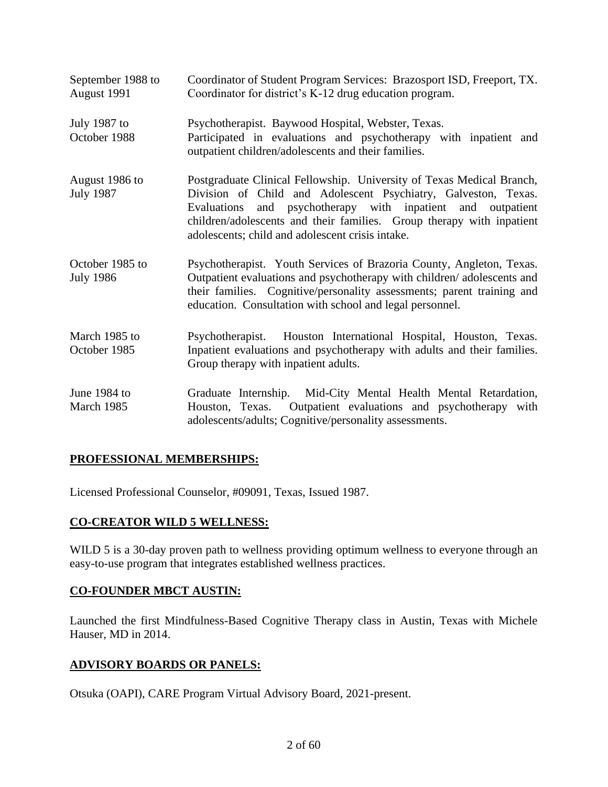| September 1988 to<br>August 1991    | Coordinator of Student Program Services: Brazosport ISD, Freeport, TX.<br>Coordinator for district's K-12 drug education program.                                                                                                                                                                                                   |  |
|-------------------------------------|-------------------------------------------------------------------------------------------------------------------------------------------------------------------------------------------------------------------------------------------------------------------------------------------------------------------------------------|--|
| July 1987 to<br>October 1988        | Psychotherapist. Baywood Hospital, Webster, Texas.<br>Participated in evaluations and psychotherapy with inpatient and<br>outpatient children/adolescents and their families.                                                                                                                                                       |  |
| August 1986 to<br><b>July 1987</b>  | Postgraduate Clinical Fellowship. University of Texas Medical Branch,<br>Division of Child and Adolescent Psychiatry, Galveston, Texas.<br>Evaluations and psychotherapy with inpatient and outpatient<br>children/adolescents and their families. Group therapy with inpatient<br>adolescents; child and adolescent crisis intake. |  |
| October 1985 to<br><b>July 1986</b> | Psychotherapist. Youth Services of Brazoria County, Angleton, Texas.<br>Outpatient evaluations and psychotherapy with children/adolescents and<br>their families. Cognitive/personality assessments; parent training and<br>education. Consultation with school and legal personnel.                                                |  |
| March 1985 to<br>October 1985       | Psychotherapist. Houston International Hospital, Houston, Texas.<br>Inpatient evaluations and psychotherapy with adults and their families.<br>Group therapy with inpatient adults.                                                                                                                                                 |  |
| June 1984 to<br>March 1985          | Graduate Internship. Mid-City Mental Health Mental Retardation,<br>Outpatient evaluations and psychotherapy with<br>Houston, Texas.<br>adolescents/adults; Cognitive/personality assessments.                                                                                                                                       |  |

## **PROFESSIONAL MEMBERSHIPS:**

Licensed Professional Counselor, #09091, Texas, Issued 1987.

## **CO-CREATOR WILD 5 WELLNESS:**

WILD 5 is a 30-day proven path to wellness providing optimum wellness to everyone through an easy-to-use program that integrates established wellness practices.

#### **CO-FOUNDER MBCT AUSTIN:**

Launched the first Mindfulness-Based Cognitive Therapy class in Austin, Texas with Michele Hauser, MD in 2014.

#### **ADVISORY BOARDS OR PANELS:**

Otsuka (OAPI), CARE Program Virtual Advisory Board, 2021-present.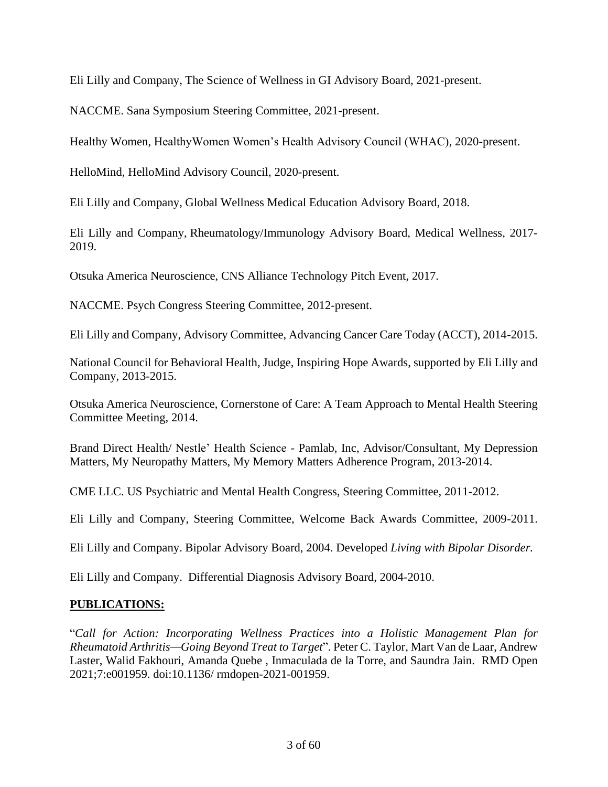Eli Lilly and Company, The Science of Wellness in GI Advisory Board, 2021-present.

NACCME. Sana Symposium Steering Committee, 2021-present.

Healthy Women, HealthyWomen Women's Health Advisory Council (WHAC), 2020-present.

HelloMind, HelloMind Advisory Council, 2020-present.

Eli Lilly and Company, Global Wellness Medical Education Advisory Board, 2018.

Eli Lilly and Company, Rheumatology/Immunology Advisory Board, Medical Wellness, 2017- 2019.

Otsuka America Neuroscience, CNS Alliance Technology Pitch Event, 2017.

NACCME. Psych Congress Steering Committee, 2012-present.

Eli Lilly and Company, Advisory Committee, Advancing Cancer Care Today (ACCT), 2014-2015.

National Council for Behavioral Health, Judge, Inspiring Hope Awards, supported by Eli Lilly and Company, 2013-2015.

Otsuka America Neuroscience, Cornerstone of Care: A Team Approach to Mental Health Steering Committee Meeting, 2014.

Brand Direct Health/ Nestle' Health Science - Pamlab, Inc, Advisor/Consultant, My Depression Matters, My Neuropathy Matters, My Memory Matters Adherence Program, 2013-2014.

CME LLC. US Psychiatric and Mental Health Congress, Steering Committee, 2011-2012.

Eli Lilly and Company, Steering Committee, Welcome Back Awards Committee, 2009-2011.

Eli Lilly and Company. Bipolar Advisory Board, 2004. Developed *Living with Bipolar Disorder.*

Eli Lilly and Company. Differential Diagnosis Advisory Board, 2004-2010.

#### **PUBLICATIONS:**

"*Call for Action: Incorporating Wellness Practices into a Holistic Management Plan for Rheumatoid Arthritis—Going Beyond Treat to Target*". Peter C. Taylor, Mart Van de Laar, Andrew Laster, Walid Fakhouri, Amanda Quebe , Inmaculada de la Torre, and Saundra Jain. RMD Open 2021;7:e001959. doi:10.1136/ rmdopen-2021-001959.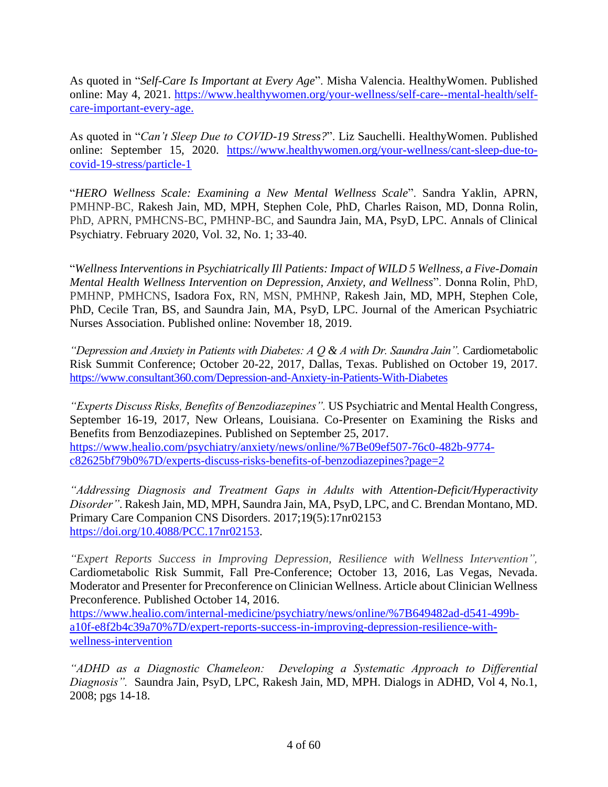As quoted in "*Self-Care Is Important at Every Age*". Misha Valencia. HealthyWomen. Published online: May 4, 2021. [https://www.healthywomen.org/your-wellness/self-care--mental-health/self](https://www.healthywomen.org/your-wellness/self-care--mental-health/self-care-important-every-age)[care-important-every-age.](https://www.healthywomen.org/your-wellness/self-care--mental-health/self-care-important-every-age)

"*Wellness Interventions in Psychiatrically Ill Patients: Impact of WILD 5 Wellness, a Five-Domain*  [covid-19-stress/particle-1](https://www.healthywomen.org/your-wellness/cant-sleep-due-to-covid-19-stress/particle-1) As quoted in "*Can't Sleep Due to COVID-19 Stress?*". Liz Sauchelli. HealthyWomen. Published online: September 15, 2020. [https://www.healthywomen.org/your-wellness/cant-sleep-due-to-](https://www.healthywomen.org/your-wellness/cant-sleep-due-to-covid-19-stress/particle-1)

"HERO Wellness Scale: Examining a New Mental Wellness Scale". Sandra Yaklin, APRN, PMHNP-BC, Rakesh Jain, MD, MPH, Stephen Cole, PhD, Charles Raison, MD, Donna Rolin, PhD, APRN, PMHCNS-BC, PMHNP-BC, and Saundra Jain, MA, PsyD, LPC. Annals of Clinical Psychiatry. February 2020, Vol. 32, No. 1; 33-40.

"*Wellness Interventions in Psychiatrically Ill Patients: Impact of WILD 5 Wellness, a Five-Domain Mental Health Wellness Intervention on Depression, Anxiety, and Wellness*". Donna Rolin, PhD, PMHNP, PMHCNS, Isadora Fox, RN, MSN, PMHNP, Rakesh Jain, MD, MPH, Stephen Cole, PhD, Cecile Tran, BS, and Saundra Jain, MA, PsyD, LPC. Journal of the American Psychiatric Nurses Association. Published online: November 18, 2019.

"Depression and Anxiety in Patients with Diabetes:  $A Q \& A$  with Dr. Saundra Jain". Cardiometabolic Risk Summit Conference; October 20-22, 2017, Dallas, Texas. Published on October 19, 2017. <https://www.consultant360.com/Depression-and-Anxiety-in-Patients-With-Diabetes>

"Experts Discuss Risks, Benefits of Benzodiazepines". US Psychiatric and Mental Health Congress, September 16-19, 2017, New Orleans, Louisiana. Co-Presenter on Examining the Risks and Benefits from Benzodiazepines. Published on September 25, 2017. [https://www.healio.com/psychiatry/anxiety/news/online/%7Be09ef507-76c0-482b-9774](https://www.healio.com/psychiatry/anxiety/news/online/%7Be09ef507-76c0-482b-9774-c82625bf79b0%7D/experts-discuss-risks-benefits-of-benzodiazepines?page=2) [c82625bf79b0%7D/experts-discuss-risks-benefits-of-benzodiazepines?page=2](https://www.healio.com/psychiatry/anxiety/news/online/%7Be09ef507-76c0-482b-9774-c82625bf79b0%7D/experts-discuss-risks-benefits-of-benzodiazepines?page=2)

*"Addressing Diagnosis and Treatment Gaps in Adults with Attention-Deficit/Hyperactivity Disorder"*. Rakesh Jain, MD, MPH, Saundra Jain, MA, PsyD, LPC, and C. Brendan Montano, MD. Primary Care Companion CNS Disorders. 2017;19(5):17nr02153 [https://doi.org/10.4088/PCC.17nr02153.](https://doi.org/10.4088/PCC.17nr02153)

*"Expert Reports Success in Improving Depression, Resilience with Wellness Intervention",* Cardiometabolic Risk Summit, Fall Pre-Conference; October 13, 2016, Las Vegas, Nevada. Moderator and Presenter for Preconference on Clinician Wellness. Article about Clinician Wellness Preconference. Published October 14, 2016.

[https://www.healio.com/internal-medicine/psychiatry/news/online/%7B649482ad-d541-499b](https://www.healio.com/internal-medicine/psychiatry/news/online/%7B649482ad-d541-499b-a10f-e8f2b4c39a70%7D/expert-reports-success-in-improving-depression-resilience-with-wellness-intervention)[a10f-e8f2b4c39a70%7D/expert-reports-success-in-improving-depression-resilience-with](https://www.healio.com/internal-medicine/psychiatry/news/online/%7B649482ad-d541-499b-a10f-e8f2b4c39a70%7D/expert-reports-success-in-improving-depression-resilience-with-wellness-intervention)[wellness-intervention](https://www.healio.com/internal-medicine/psychiatry/news/online/%7B649482ad-d541-499b-a10f-e8f2b4c39a70%7D/expert-reports-success-in-improving-depression-resilience-with-wellness-intervention)

*"ADHD as a Diagnostic Chameleon: Developing a Systematic Approach to Differential Diagnosis".* Saundra Jain, PsyD, LPC, Rakesh Jain, MD, MPH. Dialogs in ADHD, Vol 4, No.1, 2008; pgs 14-18.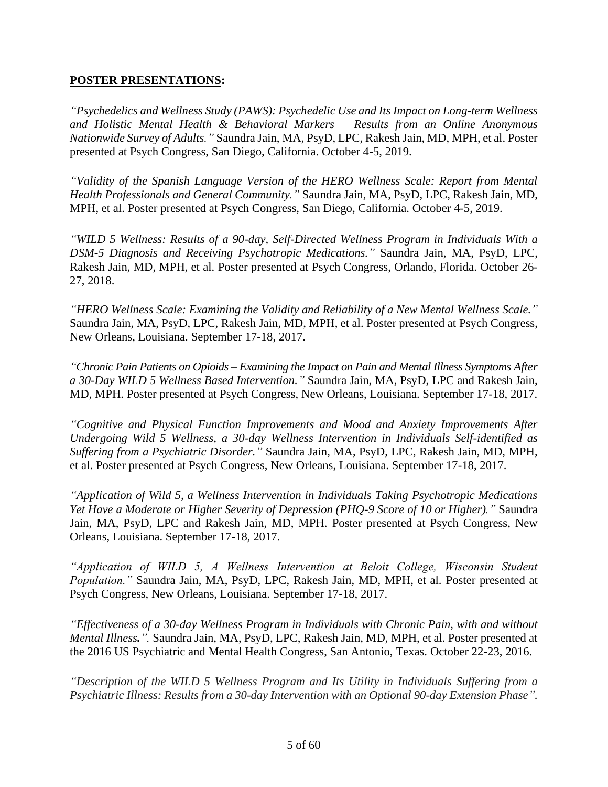#### **POSTER PRESENTATIONS:**

*"Psychedelics and Wellness Study (PAWS): Psychedelic Use and Its Impact on Long-term Wellness and Holistic Mental Health & Behavioral Markers – Results from an Online Anonymous Nationwide Survey of Adults."* Saundra Jain, MA, PsyD, LPC, Rakesh Jain, MD, MPH, et al. Poster presented at Psych Congress, San Diego, California. October 4-5, 2019.

*"Validity of the Spanish Language Version of the HERO Wellness Scale: Report from Mental Health Professionals and General Community."* Saundra Jain, MA, PsyD, LPC, Rakesh Jain, MD, MPH, et al. Poster presented at Psych Congress, San Diego, California. October 4-5, 2019.

*"WILD 5 Wellness: Results of a 90-day, Self-Directed Wellness Program in Individuals With a DSM-5 Diagnosis and Receiving Psychotropic Medications."* Saundra Jain, MA, PsyD, LPC, Rakesh Jain, MD, MPH, et al. Poster presented at Psych Congress, Orlando, Florida. October 26- 27, 2018.

*"HERO Wellness Scale: Examining the Validity and Reliability of a New Mental Wellness Scale."* Saundra Jain, MA, PsyD, LPC, Rakesh Jain, MD, MPH, et al. Poster presented at Psych Congress, New Orleans, Louisiana. September 17-18, 2017.

*"Chronic Pain Patients on Opioids – Examining the Impact on Pain and Mental Illness Symptoms After a 30-Day WILD 5 Wellness Based Intervention."* Saundra Jain, MA, PsyD, LPC and Rakesh Jain, MD, MPH. Poster presented at Psych Congress, New Orleans, Louisiana. September 17-18, 2017.

*"Cognitive and Physical Function Improvements and Mood and Anxiety Improvements After Undergoing Wild 5 Wellness, a 30-day Wellness Intervention in Individuals Self-identified as Suffering from a Psychiatric Disorder."* Saundra Jain, MA, PsyD, LPC, Rakesh Jain, MD, MPH, et al. Poster presented at Psych Congress, New Orleans, Louisiana. September 17-18, 2017.

*"Application of Wild 5, a Wellness Intervention in Individuals Taking Psychotropic Medications Yet Have a Moderate or Higher Severity of Depression (PHQ-9 Score of 10 or Higher)."* Saundra Jain, MA, PsyD, LPC and Rakesh Jain, MD, MPH. Poster presented at Psych Congress, New Orleans, Louisiana. September 17-18, 2017.

*Application of WILD 5, A Wellness Intervention at Beloit College, Wisconsin Student Population."* Saundra Jain, MA, PsyD, LPC, Rakesh Jain, MD, MPH, et al. Poster presented at Psych Congress, New Orleans, Louisiana. September 17-18, 2017.

*"Effectiveness of a 30-day Wellness Program in Individuals with Chronic Pain, with and without Mental Illness.".* Saundra Jain, MA, PsyD, LPC, Rakesh Jain, MD, MPH, et al. Poster presented at the 2016 US Psychiatric and Mental Health Congress, San Antonio, Texas. October 22-23, 2016.

*"Description of the WILD 5 Wellness Program and Its Utility in Individuals Suffering from a Psychiatric Illness: Results from a 30-day Intervention with an Optional 90-day Extension Phase".*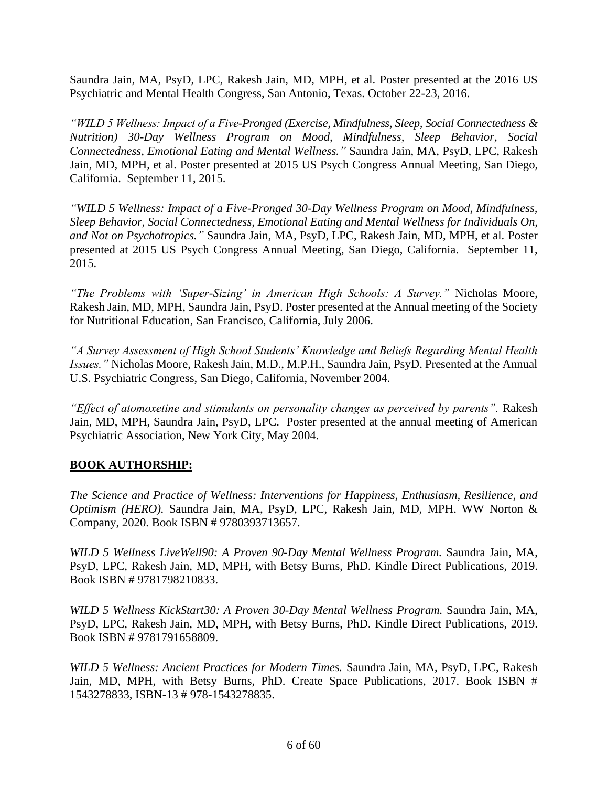Saundra Jain, MA, PsyD, LPC, Rakesh Jain, MD, MPH, et al. Poster presented at the 2016 US Psychiatric and Mental Health Congress, San Antonio, Texas. October 22-23, 2016.

*"WILD 5 Wellness: Impact of a Five-Pronged (Exercise, Mindfulness, Sleep, Social Connectedness & Nutrition) 30-Day Wellness Program on Mood, Mindfulness, Sleep Behavior, Social Connectedness, Emotional Eating and Mental Wellness."* Saundra Jain, MA, PsyD, LPC, Rakesh Jain, MD, MPH, et al. Poster presented at 2015 US Psych Congress Annual Meeting, San Diego, California. September 11, 2015.

*"WILD 5 Wellness: Impact of a Five-Pronged 30-Day Wellness Program on Mood, Mindfulness, Sleep Behavior, Social Connectedness, Emotional Eating and Mental Wellness for Individuals On, and Not on Psychotropics."* Saundra Jain, MA, PsyD, LPC, Rakesh Jain, MD, MPH, et al. Poster presented at 2015 US Psych Congress Annual Meeting, San Diego, California. September 11, 2015.

*"The Problems with 'Super-Sizing' in American High Schools: A Survey."* Nicholas Moore, Rakesh Jain, MD, MPH, Saundra Jain, PsyD. Poster presented at the Annual meeting of the Society for Nutritional Education, San Francisco, California, July 2006.

*"A Survey Assessment of High School Students' Knowledge and Beliefs Regarding Mental Health Issues."* Nicholas Moore, Rakesh Jain, M.D., M.P.H., Saundra Jain, PsyD. Presented at the Annual U.S. Psychiatric Congress, San Diego, California, November 2004.

*"Effect of atomoxetine and stimulants on personality changes as perceived by parents".* Rakesh Jain, MD, MPH, Saundra Jain, PsyD, LPC. Poster presented at the annual meeting of American Psychiatric Association, New York City, May 2004.

#### **BOOK AUTHORSHIP:**

*The Science and Practice of Wellness: Interventions for Happiness, Enthusiasm, Resilience, and Optimism (HERO).* Saundra Jain, MA, PsyD, LPC, Rakesh Jain, MD, MPH. WW Norton & Company, 2020. Book ISBN # 9780393713657.

*WILD 5 Wellness LiveWell90: A Proven 90-Day Mental Wellness Program.* Saundra Jain, MA, PsyD, LPC, Rakesh Jain, MD, MPH, with Betsy Burns, PhD. Kindle Direct Publications, 2019. Book ISBN # 9781798210833.

*WILD 5 Wellness KickStart30: A Proven 30-Day Mental Wellness Program.* Saundra Jain, MA, PsyD, LPC, Rakesh Jain, MD, MPH, with Betsy Burns, PhD. Kindle Direct Publications, 2019. Book ISBN # 9781791658809.

*WILD 5 Wellness: Ancient Practices for Modern Times.* Saundra Jain, MA, PsyD, LPC, Rakesh Jain, MD, MPH, with Betsy Burns, PhD. Create Space Publications, 2017. Book ISBN # 1543278833, ISBN-13 # 978-1543278835.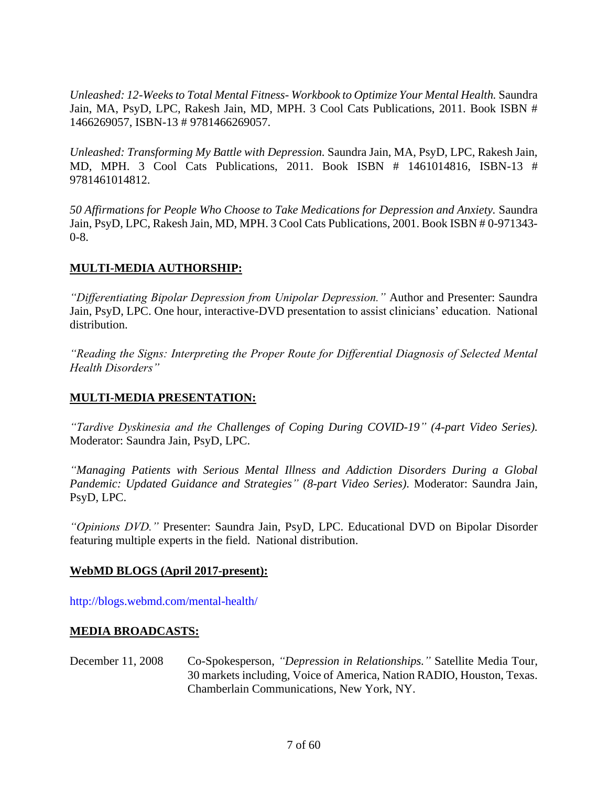*Unleashed: 12-Weeks to Total Mental Fitness- Workbook to Optimize Your Mental Health.* Saundra Jain, MA, PsyD, LPC, Rakesh Jain, MD, MPH. 3 Cool Cats Publications, 2011. Book ISBN # 1466269057, ISBN-13 # 9781466269057.

*Unleashed: Transforming My Battle with Depression.* Saundra Jain, MA, PsyD, LPC, Rakesh Jain, MD, MPH. 3 Cool Cats Publications, 2011. Book ISBN # 1461014816, ISBN-13 # 9781461014812.

*50 Affirmations for People Who Choose to Take Medications for Depression and Anxiety.* Saundra Jain, PsyD, LPC, Rakesh Jain, MD, MPH. 3 Cool Cats Publications, 2001. Book ISBN # 0-971343- 0-8.

#### **MULTI-MEDIA AUTHORSHIP:**

*"Differentiating Bipolar Depression from Unipolar Depression."* Author and Presenter: Saundra Jain, PsyD, LPC. One hour, interactive-DVD presentation to assist clinicians' education. National distribution.

*"Reading the Signs: Interpreting the Proper Route for Differential Diagnosis of Selected Mental Health Disorders"*

## **MULTI-MEDIA PRESENTATION:**

*"Tardive Dyskinesia and the Challenges of Coping During COVID-19" (4-part Video Series).*  Moderator: Saundra Jain, PsyD, LPC.

*"Managing Patients with Serious Mental Illness and Addiction Disorders During a Global Pandemic: Updated Guidance and Strategies" (8-part Video Series).* Moderator: Saundra Jain, PsyD, LPC.

*"Opinions DVD."* Presenter: Saundra Jain, PsyD, LPC. Educational DVD on Bipolar Disorder featuring multiple experts in the field. National distribution.

#### **WebMD BLOGS (April 2017-present):**

<http://blogs.webmd.com/mental-health/>

## **MEDIA BROADCASTS:**

December 11, 2008 Co-Spokesperson, *"Depression in Relationships."* Satellite Media Tour, 30 markets including, Voice of America, Nation RADIO, Houston, Texas. Chamberlain Communications, New York, NY.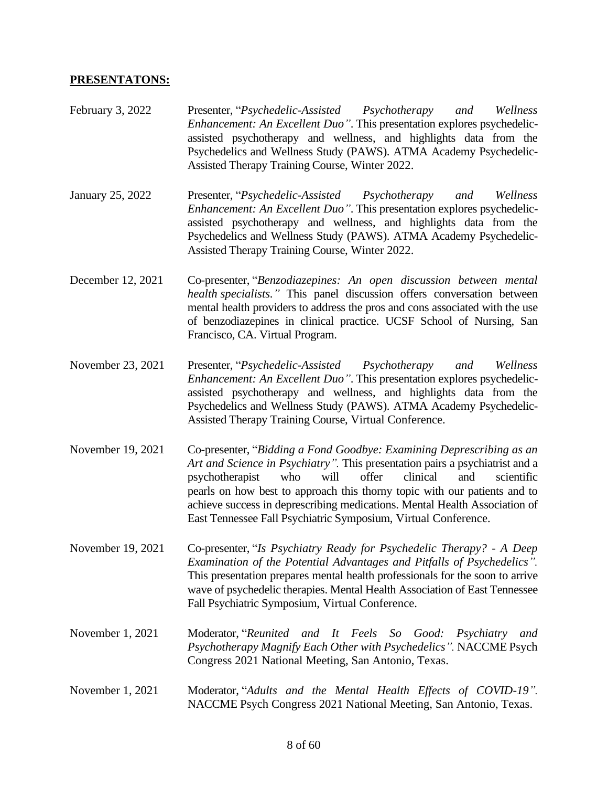#### **PRESENTATONS:**

- February 3, 2022 Presenter, "*Psychedelic-Assisted Psychotherapy and Wellness Enhancement: An Excellent Duo"*. This presentation explores psychedelicassisted psychotherapy and wellness, and highlights data from the Psychedelics and Wellness Study (PAWS). ATMA Academy Psychedelic-Assisted Therapy Training Course, Winter 2022.
- January 25, 2022 Presenter, "*Psychedelic-Assisted Psychotherapy and Wellness Enhancement: An Excellent Duo"*. This presentation explores psychedelicassisted psychotherapy and wellness, and highlights data from the Psychedelics and Wellness Study (PAWS). ATMA Academy Psychedelic-Assisted Therapy Training Course, Winter 2022.
- December 12, 2021 Co-presenter, "*Benzodiazepines: An open discussion between mental health specialists."* This panel discussion offers conversation between mental health providers to address the pros and cons associated with the use of benzodiazepines in clinical practice. UCSF School of Nursing, San Francisco, CA. Virtual Program.
- November 23, 2021 Presenter, "*Psychedelic-Assisted Psychotherapy and Wellness Enhancement: An Excellent Duo"*. This presentation explores psychedelicassisted psychotherapy and wellness, and highlights data from the Psychedelics and Wellness Study (PAWS). ATMA Academy Psychedelic-Assisted Therapy Training Course, Virtual Conference.
- November 19, 2021 Co-presenter, "*Bidding a Fond Goodbye: Examining Deprescribing as an Art and Science in Psychiatry".* This presentation pairs a psychiatrist and a psychotherapist who will offer clinical and scientific pearls on how best to approach this thorny topic with our patients and to achieve success in deprescribing medications. Mental Health Association of East Tennessee Fall Psychiatric Symposium, Virtual Conference.
- November 19, 2021 Co-presenter, "*Is Psychiatry Ready for Psychedelic Therapy? - A Deep Examination of the Potential Advantages and Pitfalls of Psychedelics".* This presentation prepares mental health professionals for the soon to arrive wave of psychedelic therapies. Mental Health Association of East Tennessee Fall Psychiatric Symposium, Virtual Conference.
- November 1, 2021 Moderator, "*Reunited and It Feels So Good: Psychiatry and Psychotherapy Magnify Each Other with Psychedelics".* NACCME Psych Congress 2021 National Meeting, San Antonio, Texas.
- November 1, 2021 Moderator, "*Adults and the Mental Health Effects of COVID-19".* NACCME Psych Congress 2021 National Meeting, San Antonio, Texas.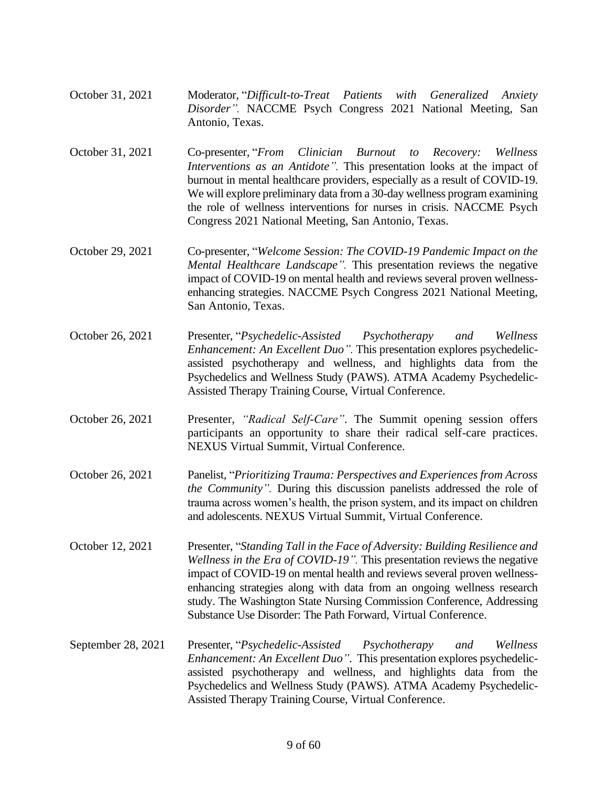- October 31, 2021 Moderator, "*Difficult-to-Treat Patients with Generalized Anxiety Disorder".* NACCME Psych Congress 2021 National Meeting, San Antonio, Texas.
- October 31, 2021 Co-presenter, "*From Clinician Burnout to Recovery: Wellness Interventions as an Antidote".* This presentation looks at the impact of burnout in mental healthcare providers, especially as a result of COVID-19. We will explore preliminary data from a 30-day wellness program examining the role of wellness interventions for nurses in crisis. NACCME Psych Congress 2021 National Meeting, San Antonio, Texas.
- October 29, 2021 Co-presenter, "*Welcome Session: The COVID-19 Pandemic Impact on the Mental Healthcare Landscape".* This presentation reviews the negative impact of COVID-19 on mental health and reviews several proven wellnessenhancing strategies. NACCME Psych Congress 2021 National Meeting, San Antonio, Texas.
- October 26, 2021 Presenter, "*Psychedelic-Assisted Psychotherapy and Wellness Enhancement: An Excellent Duo".* This presentation explores psychedelicassisted psychotherapy and wellness, and highlights data from the Psychedelics and Wellness Study (PAWS). ATMA Academy Psychedelic-Assisted Therapy Training Course, Virtual Conference.
- October 26, 2021 Presenter, *"Radical Self-Care"*. The Summit opening session offers participants an opportunity to share their radical self-care practices. NEXUS Virtual Summit, Virtual Conference.
- October 26, 2021 Panelist, "*Prioritizing Trauma: Perspectives and Experiences from Across the Community".* During this discussion panelists addressed the role of trauma across women's health, the prison system, and its impact on children and adolescents. NEXUS Virtual Summit, Virtual Conference.
- October 12, 2021 Presenter, "*Standing Tall in the Face of Adversity: Building Resilience and Wellness in the Era of COVID-19".* This presentation reviews the negative impact of COVID-19 on mental health and reviews several proven wellnessenhancing strategies along with data from an ongoing wellness research study. The Washington State Nursing Commission Conference, Addressing Substance Use Disorder: The Path Forward, Virtual Conference.
- September 28, 2021 Presenter, "*Psychedelic-Assisted Psychotherapy and Wellness Enhancement: An Excellent Duo"*. This presentation explores psychedelicassisted psychotherapy and wellness, and highlights data from the Psychedelics and Wellness Study (PAWS). ATMA Academy Psychedelic-Assisted Therapy Training Course, Virtual Conference.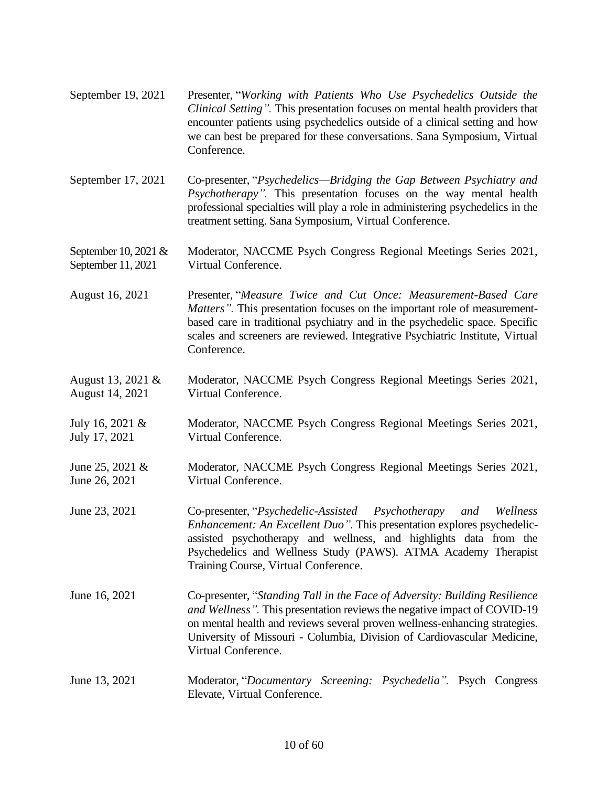| September 19, 2021                           | Presenter, "Working with Patients Who Use Psychedelics Outside the<br>Clinical Setting". This presentation focuses on mental health providers that<br>encounter patients using psychedelics outside of a clinical setting and how<br>we can best be prepared for these conversations. Sana Symposium, Virtual<br>Conference.           |
|----------------------------------------------|----------------------------------------------------------------------------------------------------------------------------------------------------------------------------------------------------------------------------------------------------------------------------------------------------------------------------------------|
| September 17, 2021                           | Co-presenter, "Psychedelics—Bridging the Gap Between Psychiatry and<br>Psychotherapy". This presentation focuses on the way mental health<br>professional specialties will play a role in administering psychedelics in the<br>treatment setting. Sana Symposium, Virtual Conference.                                                  |
| September 10, 2021 $&$<br>September 11, 2021 | Moderator, NACCME Psych Congress Regional Meetings Series 2021,<br>Virtual Conference.                                                                                                                                                                                                                                                 |
| August 16, 2021                              | Presenter, "Measure Twice and Cut Once: Measurement-Based Care<br><i>Matters</i> ". This presentation focuses on the important role of measurement-<br>based care in traditional psychiatry and in the psychedelic space. Specific<br>scales and screeners are reviewed. Integrative Psychiatric Institute, Virtual<br>Conference.     |
| August 13, 2021 &<br>August 14, 2021         | Moderator, NACCME Psych Congress Regional Meetings Series 2021,<br>Virtual Conference.                                                                                                                                                                                                                                                 |
| July 16, 2021 &<br>July 17, 2021             | Moderator, NACCME Psych Congress Regional Meetings Series 2021,<br>Virtual Conference.                                                                                                                                                                                                                                                 |
| June 25, 2021 $&$<br>June 26, 2021           | Moderator, NACCME Psych Congress Regional Meetings Series 2021,<br>Virtual Conference.                                                                                                                                                                                                                                                 |
| June 23, 2021                                | Co-presenter, "Psychedelic-Assisted Psychotherapy<br>and<br>Wellness<br>Enhancement: An Excellent Duo". This presentation explores psychedelic-<br>assisted psychotherapy and wellness, and highlights data from the<br>Psychedelics and Wellness Study (PAWS). ATMA Academy Therapist<br>Training Course, Virtual Conference.         |
| June 16, 2021                                | Co-presenter, "Standing Tall in the Face of Adversity: Building Resilience<br>and Wellness". This presentation reviews the negative impact of COVID-19<br>on mental health and reviews several proven wellness-enhancing strategies.<br>University of Missouri - Columbia, Division of Cardiovascular Medicine,<br>Virtual Conference. |
| June 13, 2021                                | Moderator, "Documentary Screening: Psychedelia". Psych Congress<br>Elevate, Virtual Conference.                                                                                                                                                                                                                                        |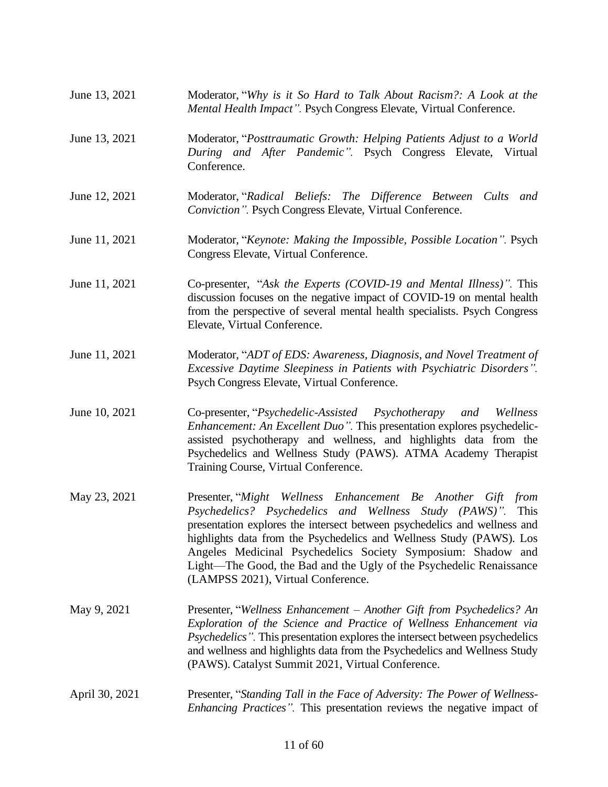| June 13, 2021  | Moderator, "Why is it So Hard to Talk About Racism?: A Look at the<br>Mental Health Impact". Psych Congress Elevate, Virtual Conference.                                                                                                                                                                                                                                                                                                                     |  |
|----------------|--------------------------------------------------------------------------------------------------------------------------------------------------------------------------------------------------------------------------------------------------------------------------------------------------------------------------------------------------------------------------------------------------------------------------------------------------------------|--|
| June 13, 2021  | Moderator, "Posttraumatic Growth: Helping Patients Adjust to a World<br>During and After Pandemic". Psych Congress Elevate, Virtual<br>Conference.                                                                                                                                                                                                                                                                                                           |  |
| June 12, 2021  | Moderator, "Radical Beliefs: The Difference Between Cults and<br>Conviction". Psych Congress Elevate, Virtual Conference.                                                                                                                                                                                                                                                                                                                                    |  |
| June 11, 2021  | Moderator, "Keynote: Making the Impossible, Possible Location". Psych<br>Congress Elevate, Virtual Conference.                                                                                                                                                                                                                                                                                                                                               |  |
| June 11, 2021  | Co-presenter, "Ask the Experts (COVID-19 and Mental Illness)". This<br>discussion focuses on the negative impact of COVID-19 on mental health<br>from the perspective of several mental health specialists. Psych Congress<br>Elevate, Virtual Conference.                                                                                                                                                                                                   |  |
| June 11, 2021  | Moderator, "ADT of EDS: Awareness, Diagnosis, and Novel Treatment of<br><i>Excessive Daytime Sleepiness in Patients with Psychiatric Disorders"</i> .<br>Psych Congress Elevate, Virtual Conference.                                                                                                                                                                                                                                                         |  |
| June 10, 2021  | Co-presenter, "Psychedelic-Assisted Psychotherapy<br>and<br>Wellness<br>Enhancement: An Excellent Duo". This presentation explores psychedelic-<br>assisted psychotherapy and wellness, and highlights data from the<br>Psychedelics and Wellness Study (PAWS). ATMA Academy Therapist<br>Training Course, Virtual Conference.                                                                                                                               |  |
| May 23, 2021   | Presenter, "Might Wellness Enhancement Be Another Gift from<br>Psychedelics? Psychedelics and Wellness Study (PAWS)". This<br>presentation explores the intersect between psychedelics and wellness and<br>highlights data from the Psychedelics and Wellness Study (PAWS). Los<br>Angeles Medicinal Psychedelics Society Symposium: Shadow and<br>Light—The Good, the Bad and the Ugly of the Psychedelic Renaissance<br>(LAMPSS 2021), Virtual Conference. |  |
| May 9, 2021    | Presenter, "Wellness Enhancement – Another Gift from Psychedelics? An<br>Exploration of the Science and Practice of Wellness Enhancement via<br><i>Psychedelics</i> ". This presentation explores the intersect between psychedelics<br>and wellness and highlights data from the Psychedelics and Wellness Study<br>(PAWS). Catalyst Summit 2021, Virtual Conference.                                                                                       |  |
| April 30, 2021 | Presenter, "Standing Tall in the Face of Adversity: The Power of Wellness-<br><i>Enhancing Practices</i> ". This presentation reviews the negative impact of                                                                                                                                                                                                                                                                                                 |  |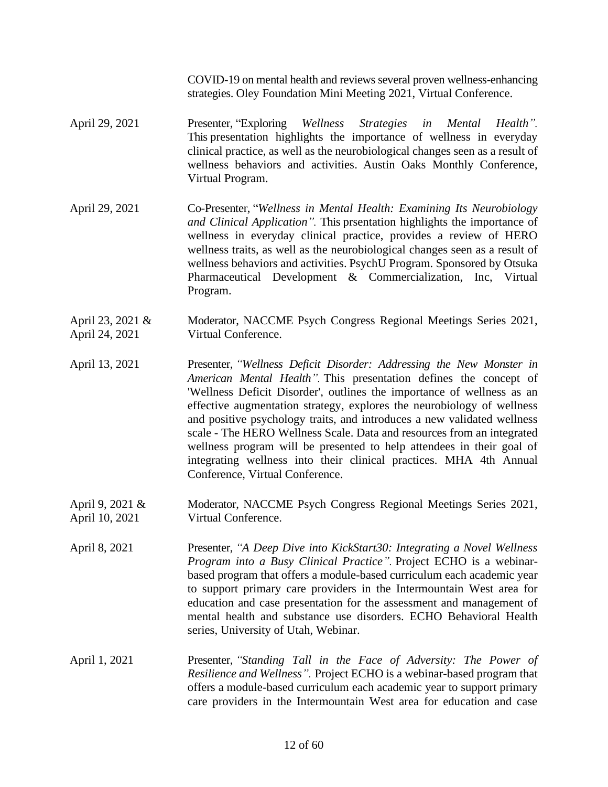COVID-19 on mental health and reviews several proven wellness-enhancing strategies. Oley Foundation Mini Meeting 2021, Virtual Conference.

- April 29, 2021 Presenter, "Exploring *Wellness Strategies in Mental Health".* This presentation highlights the importance of wellness in everyday clinical practice, as well as the neurobiological changes seen as a result of wellness behaviors and activities. Austin Oaks Monthly Conference, Virtual Program.
- April 29, 2021 Co-Presenter, "*Wellness in Mental Health: Examining Its Neurobiology and Clinical Application".* This prsentation highlights the importance of wellness in everyday clinical practice, provides a review of HERO wellness traits, as well as the neurobiological changes seen as a result of wellness behaviors and activities. PsychU Program. Sponsored by Otsuka Pharmaceutical Development & Commercialization, Inc, Virtual Program.
- April 23, 2021 & April 24, 2021 Moderator, NACCME Psych Congress Regional Meetings Series 2021, Virtual Conference.
- April 13, 2021 Presenter, *"Wellness Deficit Disorder: Addressing the New Monster in American Mental Health".* This presentation defines the concept of 'Wellness Deficit Disorder', outlines the importance of wellness as an effective augmentation strategy, explores the neurobiology of wellness and positive psychology traits, and introduces a new validated wellness scale - The HERO Wellness Scale. Data and resources from an integrated wellness program will be presented to help attendees in their goal of integrating wellness into their clinical practices. MHA 4th Annual Conference, Virtual Conference.
- April 9, 2021 & April 10, 2021 Moderator, NACCME Psych Congress Regional Meetings Series 2021, Virtual Conference.
- April 8, 2021 Presenter, *"A Deep Dive into KickStart30: Integrating a Novel Wellness Program into a Busy Clinical Practice".* Project ECHO is a webinarbased program that offers a module-based curriculum each academic year to support primary care providers in the Intermountain West area for education and case presentation for the assessment and management of mental health and substance use disorders. ECHO Behavioral Health series, University of Utah, Webinar.
- April 1, 2021 **Presenter, "Standing Tall in the Face of Adversity: The Power of** *Resilience and Wellness".* Project ECHO is a webinar-based program that offers a module-based curriculum each academic year to support primary care providers in the Intermountain West area for education and case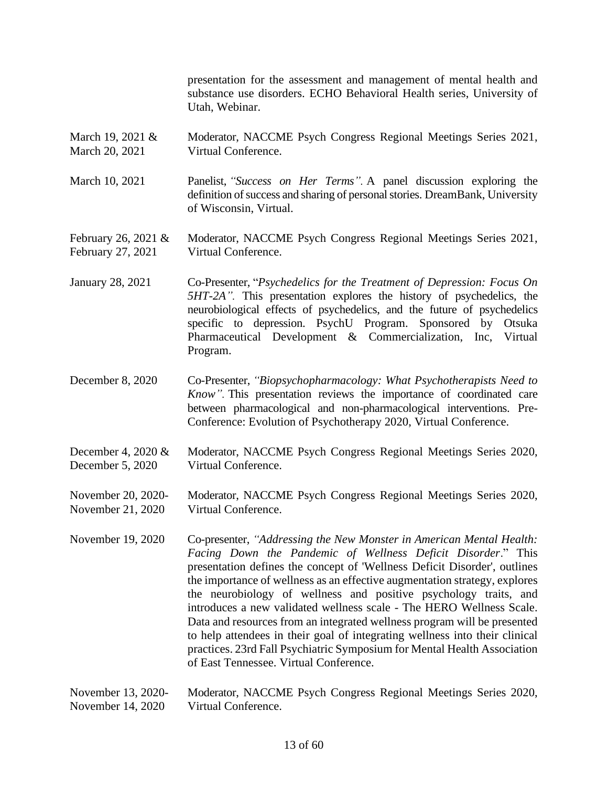presentation for the assessment and management of mental health and substance use disorders. ECHO Behavioral Health series, University of Utah, Webinar.

- March 19, 2021 & March 20, 2021 Moderator, NACCME Psych Congress Regional Meetings Series 2021, Virtual Conference.
- March 10, 2021 Panelist, *"Success on Her Terms".* A panel discussion exploring the definition of success and sharing of personal stories. DreamBank, University of Wisconsin, Virtual.

#### February 26, 2021 & February 27, 2021 Moderator, NACCME Psych Congress Regional Meetings Series 2021, Virtual Conference.

- January 28, 2021 Co-Presenter, "*Psychedelics for the Treatment of Depression: Focus On 5HT-2A".* This presentation explores the history of psychedelics, the neurobiological effects of psychedelics, and the future of psychedelics specific to depression. PsychU Program. Sponsored by Otsuka Pharmaceutical Development & Commercialization, Inc, Virtual Program.
- December 8, 2020 Co-Presenter, *"Biopsychopharmacology: What Psychotherapists Need to Know".* This presentation reviews the importance of coordinated care between pharmacological and non-pharmacological interventions. Pre-Conference: Evolution of Psychotherapy 2020, Virtual Conference.
- December 4, 2020 & December 5, 2020 Moderator, NACCME Psych Congress Regional Meetings Series 2020, Virtual Conference.

November 20, 2020- November 21, 2020 Moderator, NACCME Psych Congress Regional Meetings Series 2020, Virtual Conference.

- November 19, 2020 Co-presenter, *"Addressing the New Monster in American Mental Health: Facing Down the Pandemic of Wellness Deficit Disorder*." This presentation defines the concept of 'Wellness Deficit Disorder', outlines the importance of wellness as an effective augmentation strategy, explores the neurobiology of wellness and positive psychology traits, and introduces a new validated wellness scale - The HERO Wellness Scale. Data and resources from an integrated wellness program will be presented to help attendees in their goal of integrating wellness into their clinical practices. 23rd Fall Psychiatric Symposium for Mental Health Association of East Tennessee. Virtual Conference.
- November 13, 2020- November 14, 2020 Moderator, NACCME Psych Congress Regional Meetings Series 2020, Virtual Conference.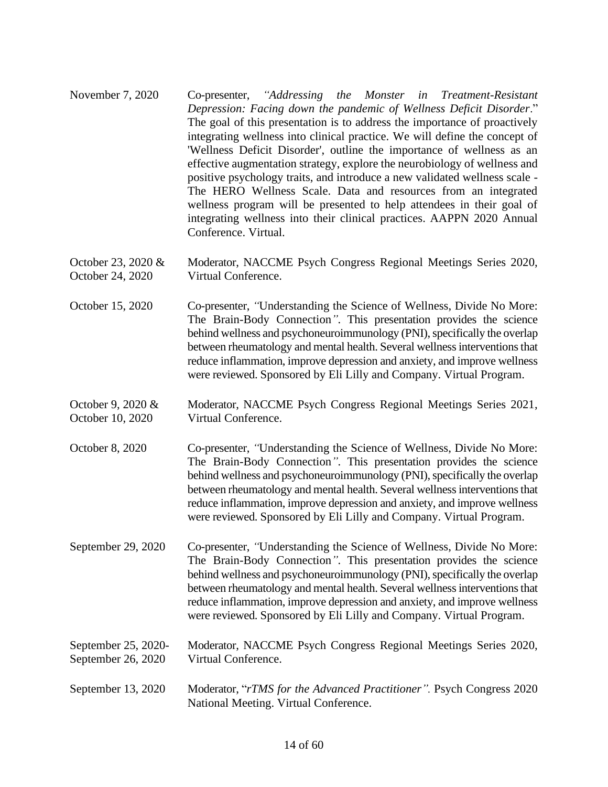- November 7, 2020 Co-presenter, *"Addressing the Monster in Treatment-Resistant Depression: Facing down the pandemic of Wellness Deficit Disorder*." The goal of this presentation is to address the importance of proactively integrating wellness into clinical practice. We will define the concept of 'Wellness Deficit Disorder', outline the importance of wellness as an effective augmentation strategy, explore the neurobiology of wellness and positive psychology traits, and introduce a new validated wellness scale - The HERO Wellness Scale. Data and resources from an integrated wellness program will be presented to help attendees in their goal of integrating wellness into their clinical practices. AAPPN 2020 Annual Conference. Virtual.
- October 23, 2020 & October 24, 2020 Moderator, NACCME Psych Congress Regional Meetings Series 2020, Virtual Conference.
- October 15, 2020 Co-presenter, *"*Understanding the Science of Wellness, Divide No More: The Brain-Body Connection*"*. This presentation provides the science behind wellness and psychoneuroimmunology (PNI), specifically the overlap between rheumatology and mental health. Several wellness interventions that reduce inflammation, improve depression and anxiety, and improve wellness were reviewed. Sponsored by Eli Lilly and Company. Virtual Program.
- October 9, 2020 & October 10, 2020 Moderator, NACCME Psych Congress Regional Meetings Series 2021, Virtual Conference.
- October 8, 2020 Co-presenter, *"*Understanding the Science of Wellness, Divide No More: The Brain-Body Connection*"*. This presentation provides the science behind wellness and psychoneuroimmunology (PNI), specifically the overlap between rheumatology and mental health. Several wellness interventions that reduce inflammation, improve depression and anxiety, and improve wellness were reviewed. Sponsored by Eli Lilly and Company. Virtual Program.
- September 29, 2020 Co-presenter, *"*Understanding the Science of Wellness, Divide No More: The Brain-Body Connection*"*. This presentation provides the science behind wellness and psychoneuroimmunology (PNI), specifically the overlap between rheumatology and mental health. Several wellness interventions that reduce inflammation, improve depression and anxiety, and improve wellness were reviewed. Sponsored by Eli Lilly and Company. Virtual Program.
- September 25, 2020- September 26, 2020 Moderator, NACCME Psych Congress Regional Meetings Series 2020, Virtual Conference.
- September 13, 2020 Moderator, "*rTMS for the Advanced Practitioner".* Psych Congress 2020 National Meeting. Virtual Conference.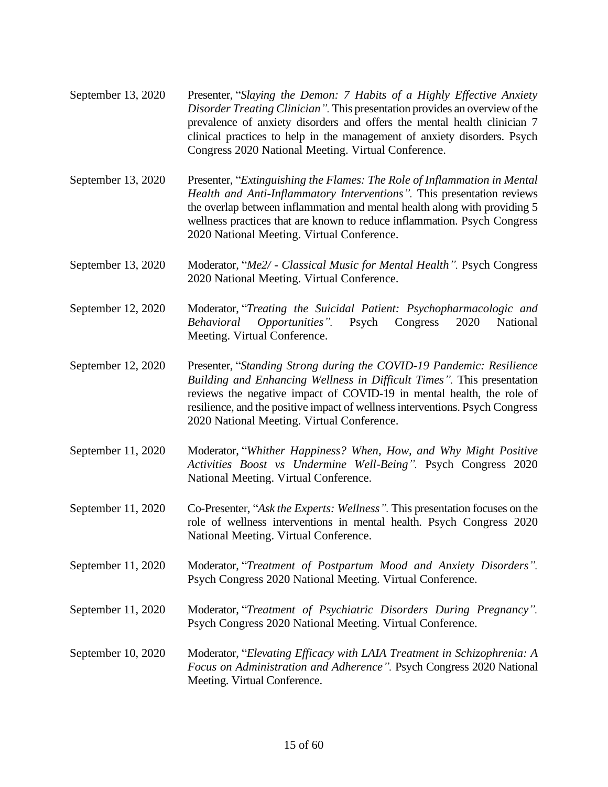- September 13, 2020 Presenter, "*Slaying the Demon: 7 Habits of a Highly Effective Anxiety Disorder Treating Clinician".* This presentation provides an overview of the prevalence of anxiety disorders and offers the mental health clinician 7 clinical practices to help in the management of anxiety disorders. Psych Congress 2020 National Meeting. Virtual Conference.
- September 13, 2020 Presenter, "*Extinguishing the Flames: The Role of Inflammation in Mental Health and Anti-Inflammatory Interventions".* This presentation reviews the overlap between inflammation and mental health along with providing 5 wellness practices that are known to reduce inflammation. Psych Congress 2020 National Meeting. Virtual Conference.
- September 13, 2020 Moderator, "*Me2/ - Classical Music for Mental Health".* Psych Congress 2020 National Meeting. Virtual Conference.
- September 12, 2020 Moderator, "*Treating the Suicidal Patient: Psychopharmacologic and Behavioral Opportunities".* Psych Congress 2020 National Meeting. Virtual Conference.
- September 12, 2020 Presenter, "*Standing Strong during the COVID-19 Pandemic: Resilience Building and Enhancing Wellness in Difficult Times".* This presentation reviews the negative impact of COVID-19 in mental health, the role of resilience, and the positive impact of wellness interventions. Psych Congress 2020 National Meeting. Virtual Conference.
- September 11, 2020 Moderator, "*Whither Happiness? When, How, and Why Might Positive Activities Boost vs Undermine Well-Being".* Psych Congress 2020 National Meeting. Virtual Conference.
- September 11, 2020 Co-Presenter, "*Ask the Experts: Wellness".* This presentation focuses on the role of wellness interventions in mental health. Psych Congress 2020 National Meeting. Virtual Conference.
- September 11, 2020 Moderator, "*Treatment of Postpartum Mood and Anxiety Disorders".* Psych Congress 2020 National Meeting. Virtual Conference.
- September 11, 2020 Moderator, "*Treatment of Psychiatric Disorders During Pregnancy".* Psych Congress 2020 National Meeting. Virtual Conference.
- September 10, 2020 Moderator, "*Elevating Efficacy with LAIA Treatment in Schizophrenia: A Focus on Administration and Adherence".* Psych Congress 2020 National Meeting. Virtual Conference.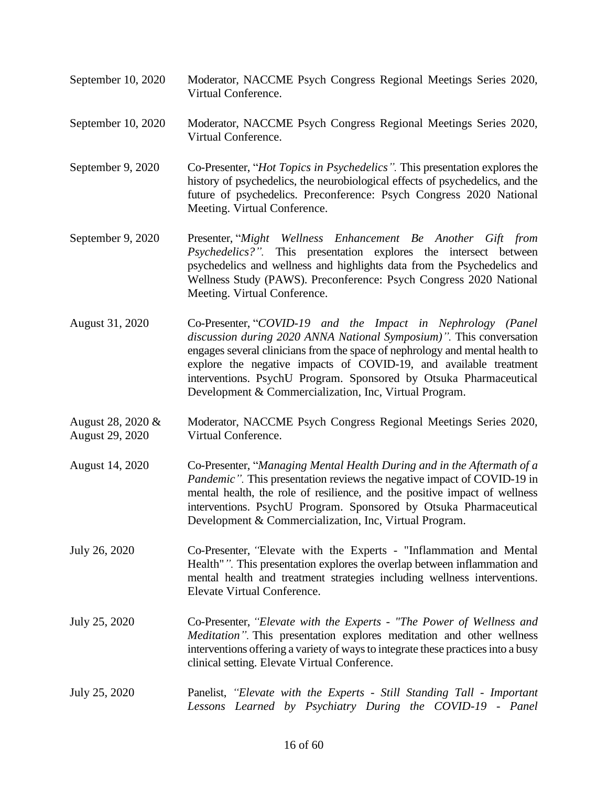- September 10, 2020 Moderator, NACCME Psych Congress Regional Meetings Series 2020, Virtual Conference.
- September 10, 2020 Moderator, NACCME Psych Congress Regional Meetings Series 2020, Virtual Conference.
- September 9, 2020 Co-Presenter, "*Hot Topics in Psychedelics".* This presentation explores the history of psychedelics, the neurobiological effects of psychedelics, and the future of psychedelics. Preconference: Psych Congress 2020 National Meeting. Virtual Conference.
- September 9, 2020 Presenter, "*Might Wellness Enhancement Be Another Gift from Psychedelics?".* This presentation explores the intersect between psychedelics and wellness and highlights data from the Psychedelics and Wellness Study (PAWS). Preconference: Psych Congress 2020 National Meeting. Virtual Conference.
- August 31, 2020 Co-Presenter, "*COVID-19 and the Impact in Nephrology (Panel discussion during 2020 ANNA National Symposium)".* This conversation engages several clinicians from the space of nephrology and mental health to explore the negative impacts of COVID-19, and available treatment interventions. PsychU Program. Sponsored by Otsuka Pharmaceutical Development & Commercialization, Inc, Virtual Program.
- August 28, 2020 & August 29, 2020 Moderator, NACCME Psych Congress Regional Meetings Series 2020, Virtual Conference.
- August 14, 2020 Co-Presenter, "*Managing Mental Health During and in the Aftermath of a Pandemic"*. This presentation reviews the negative impact of COVID-19 in mental health, the role of resilience, and the positive impact of wellness interventions. PsychU Program. Sponsored by Otsuka Pharmaceutical Development & Commercialization, Inc, Virtual Program.
- July 26, 2020 Co-Presenter, *"*Elevate with the Experts "Inflammation and Mental Health"*".* This presentation explores the overlap between inflammation and mental health and treatment strategies including wellness interventions. Elevate Virtual Conference.
- July 25, 2020 Co-Presenter, *"Elevate with the Experts - "The Power of Wellness and Meditation".* This presentation explores meditation and other wellness interventions offering a variety of ways to integrate these practices into a busy clinical setting. Elevate Virtual Conference.
- July 25, 2020 Panelist, *"Elevate with the Experts - Still Standing Tall - Important Lessons Learned by Psychiatry During the COVID-19 - Panel*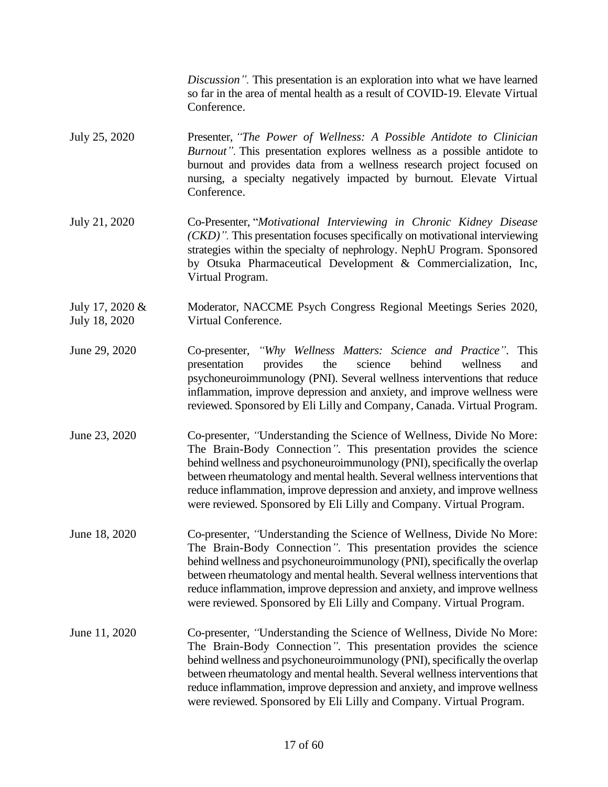*Discussion".* This presentation is an exploration into what we have learned so far in the area of mental health as a result of COVID-19. Elevate Virtual Conference.

#### July 25, 2020 Presenter, *"The Power of Wellness: A Possible Antidote to Clinician Burnout".* This presentation explores wellness as a possible antidote to burnout and provides data from a wellness research project focused on nursing, a specialty negatively impacted by burnout. Elevate Virtual Conference.

- July 21, 2020 Co-Presenter, "*Motivational Interviewing in Chronic Kidney Disease (CKD)".* This presentation focuses specifically on motivational interviewing strategies within the specialty of nephrology. NephU Program. Sponsored by Otsuka Pharmaceutical Development & Commercialization, Inc, Virtual Program.
- July 17, 2020 & July 18, 2020 Moderator, NACCME Psych Congress Regional Meetings Series 2020, Virtual Conference.
- June 29, 2020 Co-presenter, *"Why Wellness Matters: Science and Practice"*. This presentation provides the science behind wellness and psychoneuroimmunology (PNI). Several wellness interventions that reduce inflammation, improve depression and anxiety, and improve wellness were reviewed. Sponsored by Eli Lilly and Company, Canada. Virtual Program.
- June 23, 2020 Co-presenter, *"*Understanding the Science of Wellness, Divide No More: The Brain-Body Connection*"*. This presentation provides the science behind wellness and psychoneuroimmunology (PNI), specifically the overlap between rheumatology and mental health. Several wellness interventions that reduce inflammation, improve depression and anxiety, and improve wellness were reviewed. Sponsored by Eli Lilly and Company. Virtual Program.
- June 18, 2020 Co-presenter, *"*Understanding the Science of Wellness, Divide No More: The Brain-Body Connection*"*. This presentation provides the science behind wellness and psychoneuroimmunology (PNI), specifically the overlap between rheumatology and mental health. Several wellness interventions that reduce inflammation, improve depression and anxiety, and improve wellness were reviewed. Sponsored by Eli Lilly and Company. Virtual Program.
- June 11, 2020 Co-presenter, *"*Understanding the Science of Wellness, Divide No More: The Brain-Body Connection*"*. This presentation provides the science behind wellness and psychoneuroimmunology (PNI), specifically the overlap between rheumatology and mental health. Several wellness interventions that reduce inflammation, improve depression and anxiety, and improve wellness were reviewed. Sponsored by Eli Lilly and Company. Virtual Program.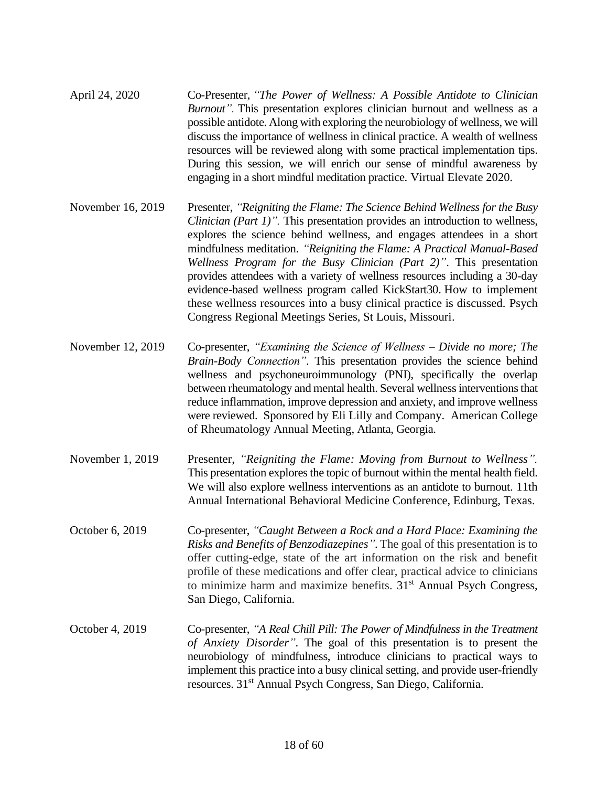- April 24, 2020 Co-Presenter, *"The Power of Wellness: A Possible Antidote to Clinician Burnout".* This presentation explores clinician burnout and wellness as a possible antidote. Along with exploring the neurobiology of wellness, we will discuss the importance of wellness in clinical practice. A wealth of wellness resources will be reviewed along with some practical implementation tips. During this session, we will enrich our sense of mindful awareness by engaging in a short mindful meditation practice. Virtual Elevate 2020.
- November 16, 2019 Presenter, *"Reigniting the Flame: The Science Behind Wellness for the Busy Clinician (Part 1)".* This presentation provides an introduction to wellness, explores the science behind wellness, and engages attendees in a short mindfulness meditation. *"Reigniting the Flame: A Practical Manual-Based Wellness Program for the Busy Clinician (Part 2)"*. This presentation provides attendees with a variety of wellness resources including a 30-day evidence-based wellness program called KickStart30. How to implement these wellness resources into a busy clinical practice is discussed. Psych Congress Regional Meetings Series, St Louis, Missouri.
- November 12, 2019 Co-presenter, *"Examining the Science of Wellness – Divide no more; The Brain-Body Connection"*. This presentation provides the science behind wellness and psychoneuroimmunology (PNI), specifically the overlap between rheumatology and mental health. Several wellness interventions that reduce inflammation, improve depression and anxiety, and improve wellness were reviewed. Sponsored by Eli Lilly and Company. American College of Rheumatology Annual Meeting, Atlanta, Georgia.
- November 1, 2019 Presenter, *"Reigniting the Flame: Moving from Burnout to Wellness".* This presentation explores the topic of burnout within the mental health field. We will also explore wellness interventions as an antidote to burnout. 11th Annual International Behavioral Medicine Conference, Edinburg, Texas.
- October 6, 2019 Co-presenter, *"Caught Between a Rock and a Hard Place: Examining the Risks and Benefits of Benzodiazepines"*. The goal of this presentation is to offer cutting-edge, state of the art information on the risk and benefit profile of these medications and offer clear, practical advice to clinicians to minimize harm and maximize benefits.  $31<sup>st</sup>$  Annual Psych Congress, San Diego, California.
- October 4, 2019 Co-presenter, *"A Real Chill Pill: The Power of Mindfulness in the Treatment of Anxiety Disorder"*. The goal of this presentation is to present the neurobiology of mindfulness, introduce clinicians to practical ways to implement this practice into a busy clinical setting, and provide user-friendly resources. 31st Annual Psych Congress, San Diego, California.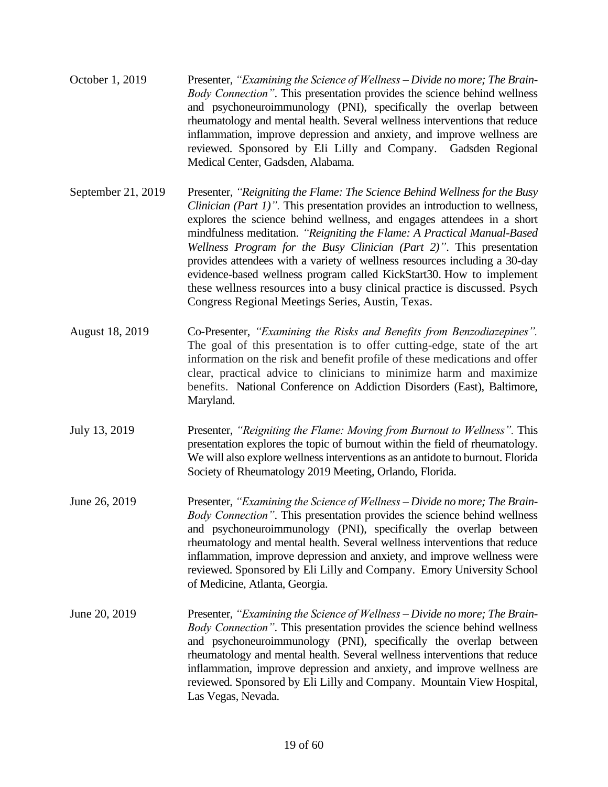- October 1, 2019 Presenter, *"Examining the Science of Wellness – Divide no more; The Brain-Body Connection"*. This presentation provides the science behind wellness and psychoneuroimmunology (PNI), specifically the overlap between rheumatology and mental health. Several wellness interventions that reduce inflammation, improve depression and anxiety, and improve wellness are reviewed. Sponsored by Eli Lilly and Company. Gadsden Regional Medical Center, Gadsden, Alabama.
- September 21, 2019 Presenter, *"Reigniting the Flame: The Science Behind Wellness for the Busy Clinician (Part 1)".* This presentation provides an introduction to wellness, explores the science behind wellness, and engages attendees in a short mindfulness meditation. *"Reigniting the Flame: A Practical Manual-Based Wellness Program for the Busy Clinician (Part 2)"*. This presentation provides attendees with a variety of wellness resources including a 30-day evidence-based wellness program called KickStart30. How to implement these wellness resources into a busy clinical practice is discussed. Psych Congress Regional Meetings Series, Austin, Texas.
- August 18, 2019 Co-Presenter, *"Examining the Risks and Benefits from Benzodiazepines".*  The goal of this presentation is to offer cutting-edge, state of the art information on the risk and benefit profile of these medications and offer clear, practical advice to clinicians to minimize harm and maximize benefits. National Conference on Addiction Disorders (East), Baltimore, Maryland.
- July 13, 2019 Presenter, *"Reigniting the Flame: Moving from Burnout to Wellness".* This presentation explores the topic of burnout within the field of rheumatology. We will also explore wellness interventions as an antidote to burnout. Florida Society of Rheumatology 2019 Meeting, Orlando, Florida.
- June 26, 2019 Presenter, *"Examining the Science of Wellness – Divide no more; The Brain-Body Connection"*. This presentation provides the science behind wellness and psychoneuroimmunology (PNI), specifically the overlap between rheumatology and mental health. Several wellness interventions that reduce inflammation, improve depression and anxiety, and improve wellness were reviewed. Sponsored by Eli Lilly and Company. Emory University School of Medicine, Atlanta, Georgia.
- June 20, 2019 Presenter, *"Examining the Science of Wellness – Divide no more; The Brain-Body Connection"*. This presentation provides the science behind wellness and psychoneuroimmunology (PNI), specifically the overlap between rheumatology and mental health. Several wellness interventions that reduce inflammation, improve depression and anxiety, and improve wellness are reviewed. Sponsored by Eli Lilly and Company. Mountain View Hospital, Las Vegas, Nevada.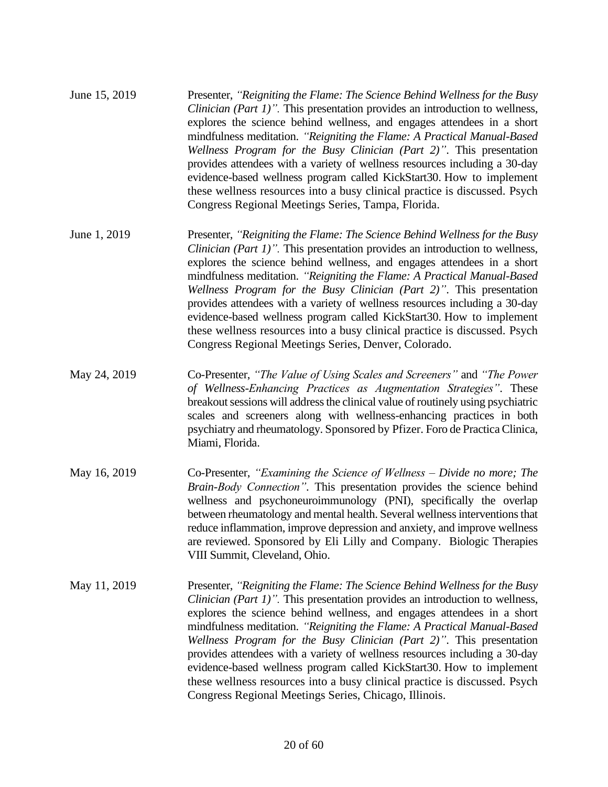| June 15, 2019 | Presenter, "Reigniting the Flame: The Science Behind Wellness for the Busy   |
|---------------|------------------------------------------------------------------------------|
|               | Clinician (Part 1)". This presentation provides an introduction to wellness, |
|               | explores the science behind wellness, and engages attendees in a short       |
|               | mindfulness meditation. "Reigniting the Flame: A Practical Manual-Based      |
|               | Wellness Program for the Busy Clinician (Part 2)". This presentation         |
|               | provides attendees with a variety of wellness resources including a 30-day   |
|               | evidence-based wellness program called KickStart30. How to implement         |
|               | these wellness resources into a busy clinical practice is discussed. Psych   |
|               | Congress Regional Meetings Series, Tampa, Florida.                           |

- June 1, 2019 Presenter, *"Reigniting the Flame: The Science Behind Wellness for the Busy Clinician (Part 1)".* This presentation provides an introduction to wellness, explores the science behind wellness, and engages attendees in a short mindfulness meditation. *"Reigniting the Flame: A Practical Manual-Based Wellness Program for the Busy Clinician (Part 2)"*. This presentation provides attendees with a variety of wellness resources including a 30-day evidence-based wellness program called KickStart30. How to implement these wellness resources into a busy clinical practice is discussed. Psych Congress Regional Meetings Series, Denver, Colorado.
- May 24, 2019 Co-Presenter, *"The Value of Using Scales and Screeners"* and *"The Power of Wellness-Enhancing Practices as Augmentation Strategies"*. These breakout sessions will address the clinical value of routinely using psychiatric scales and screeners along with wellness-enhancing practices in both psychiatry and rheumatology. Sponsored by Pfizer. Foro de Practica Clinica, Miami, Florida.
- May 16, 2019 Co-Presenter, *"Examining the Science of Wellness – Divide no more; The Brain-Body Connection"*. This presentation provides the science behind wellness and psychoneuroimmunology (PNI), specifically the overlap between rheumatology and mental health. Several wellness interventions that reduce inflammation, improve depression and anxiety, and improve wellness are reviewed. Sponsored by Eli Lilly and Company. Biologic Therapies VIII Summit, Cleveland, Ohio.
- May 11, 2019 Presenter, *"Reigniting the Flame: The Science Behind Wellness for the Busy Clinician (Part 1)".* This presentation provides an introduction to wellness, explores the science behind wellness, and engages attendees in a short mindfulness meditation. *"Reigniting the Flame: A Practical Manual-Based Wellness Program for the Busy Clinician (Part 2)"*. This presentation provides attendees with a variety of wellness resources including a 30-day evidence-based wellness program called KickStart30. How to implement these wellness resources into a busy clinical practice is discussed. Psych Congress Regional Meetings Series, Chicago, Illinois.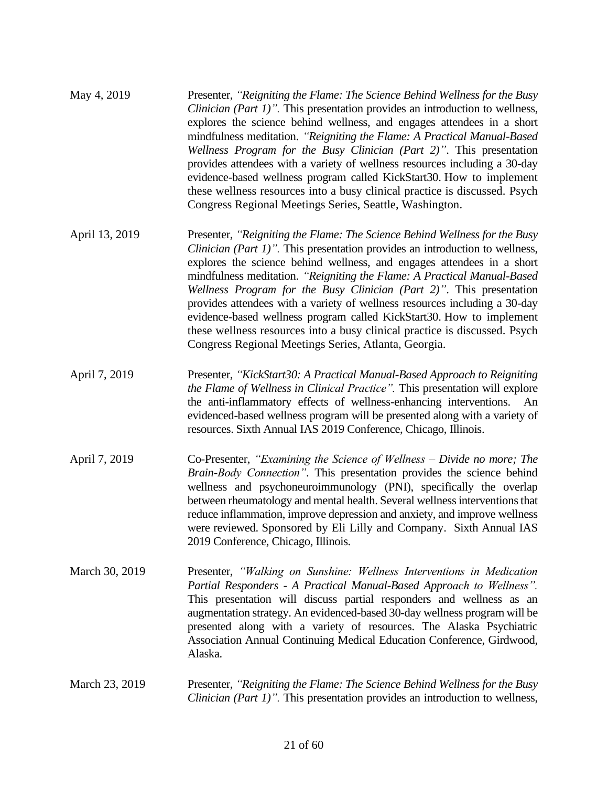| May 4, 2019 | Presenter, "Reigniting the Flame: The Science Behind Wellness for the Busy           |
|-------------|--------------------------------------------------------------------------------------|
|             | <i>Clinician (Part 1)"</i> . This presentation provides an introduction to wellness, |
|             | explores the science behind wellness, and engages attendees in a short               |
|             | mindfulness meditation. "Reigniting the Flame: A Practical Manual-Based              |
|             | Wellness Program for the Busy Clinician (Part 2)". This presentation                 |
|             | provides attendees with a variety of wellness resources including a 30-day           |
|             | evidence-based wellness program called KickStart30. How to implement                 |
|             | these wellness resources into a busy clinical practice is discussed. Psych           |
|             | Congress Regional Meetings Series, Seattle, Washington.                              |

- April 13, 2019 Presenter, *"Reigniting the Flame: The Science Behind Wellness for the Busy Clinician (Part 1)".* This presentation provides an introduction to wellness, explores the science behind wellness, and engages attendees in a short mindfulness meditation. *"Reigniting the Flame: A Practical Manual-Based Wellness Program for the Busy Clinician (Part 2)"*. This presentation provides attendees with a variety of wellness resources including a 30-day evidence-based wellness program called KickStart30. How to implement these wellness resources into a busy clinical practice is discussed. Psych Congress Regional Meetings Series, Atlanta, Georgia.
- April 7, 2019 Presenter, *"KickStart30: A Practical Manual-Based Approach to Reigniting the Flame of Wellness in Clinical Practice".* This presentation will explore the anti-inflammatory effects of wellness-enhancing interventions. An evidenced-based wellness program will be presented along with a variety of resources. Sixth Annual IAS 2019 Conference, Chicago, Illinois.
- April 7, 2019 Co-Presenter, *"Examining the Science of Wellness – Divide no more; The Brain-Body Connection"*. This presentation provides the science behind wellness and psychoneuroimmunology (PNI), specifically the overlap between rheumatology and mental health. Several wellness interventions that reduce inflammation, improve depression and anxiety, and improve wellness were reviewed. Sponsored by Eli Lilly and Company. Sixth Annual IAS 2019 Conference, Chicago, Illinois.
- March 30, 2019 Presenter, *"Walking on Sunshine: Wellness Interventions in Medication Partial Responders - A Practical Manual-Based Approach to Wellness".* This presentation will discuss partial responders and wellness as an augmentation strategy. An evidenced-based 30-day wellness program will be presented along with a variety of resources. The Alaska Psychiatric Association Annual Continuing Medical Education Conference, Girdwood, Alaska.
- March 23, 2019 Presenter, *"Reigniting the Flame: The Science Behind Wellness for the Busy Clinician (Part 1)".* This presentation provides an introduction to wellness,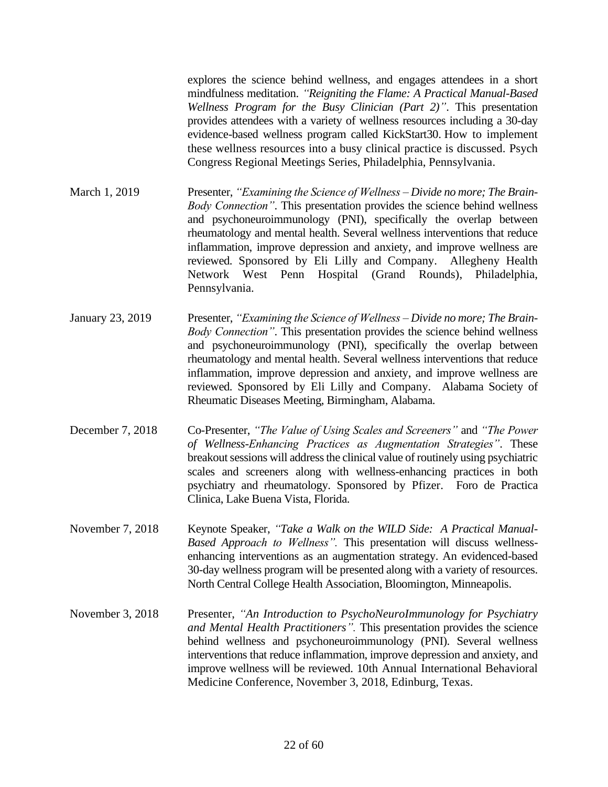explores the science behind wellness, and engages attendees in a short mindfulness meditation. *"Reigniting the Flame: A Practical Manual-Based Wellness Program for the Busy Clinician (Part 2)"*. This presentation provides attendees with a variety of wellness resources including a 30-day evidence-based wellness program called KickStart30. How to implement these wellness resources into a busy clinical practice is discussed. Psych Congress Regional Meetings Series, Philadelphia, Pennsylvania.

March 1, 2019 Presenter, *"Examining the Science of Wellness – Divide no more; The Brain-Body Connection"*. This presentation provides the science behind wellness and psychoneuroimmunology (PNI), specifically the overlap between rheumatology and mental health. Several wellness interventions that reduce inflammation, improve depression and anxiety, and improve wellness are reviewed. Sponsored by Eli Lilly and Company. Allegheny Health Network West Penn Hospital (Grand Rounds), Philadelphia, Pennsylvania.

- January 23, 2019 Presenter, *"Examining the Science of Wellness – Divide no more; The Brain-Body Connection"*. This presentation provides the science behind wellness and psychoneuroimmunology (PNI), specifically the overlap between rheumatology and mental health. Several wellness interventions that reduce inflammation, improve depression and anxiety, and improve wellness are reviewed. Sponsored by Eli Lilly and Company. Alabama Society of Rheumatic Diseases Meeting, Birmingham, Alabama.
- December 7, 2018 Co-Presenter, *"The Value of Using Scales and Screeners"* and *"The Power of Wellness-Enhancing Practices as Augmentation Strategies"*. These breakout sessions will address the clinical value of routinely using psychiatric scales and screeners along with wellness-enhancing practices in both psychiatry and rheumatology. Sponsored by Pfizer. Foro de Practica Clinica, Lake Buena Vista, Florida.
- November 7, 2018 Keynote Speaker, "Take a Walk on the WILD Side: A Practical Manual-*Based Approach to Wellness".* This presentation will discuss wellnessenhancing interventions as an augmentation strategy. An evidenced-based 30-day wellness program will be presented along with a variety of resources. North Central College Health Association, Bloomington, Minneapolis.
- November 3, 2018 Presenter, *"An Introduction to PsychoNeuroImmunology for Psychiatry and Mental Health Practitioners".* This presentation provides the science behind wellness and psychoneuroimmunology (PNI). Several wellness interventions that reduce inflammation, improve depression and anxiety, and improve wellness will be reviewed. 10th Annual International Behavioral Medicine Conference, November 3, 2018, Edinburg, Texas.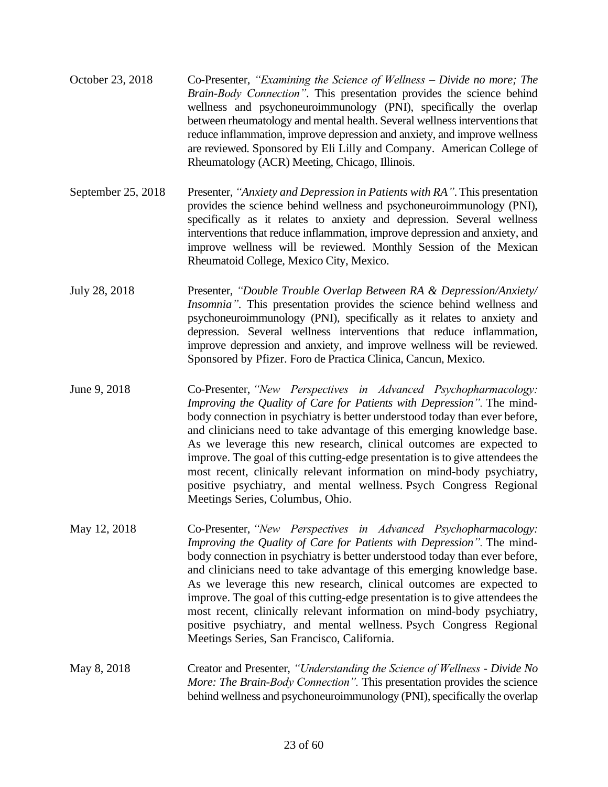| October 23, 2018 | Co-Presenter, "Examining the Science of Wellness – Divide no more; The      |
|------------------|-----------------------------------------------------------------------------|
|                  | Brain-Body Connection". This presentation provides the science behind       |
|                  | wellness and psychoneuroimmunology (PNI), specifically the overlap          |
|                  | between rheumatology and mental health. Several wellness interventions that |
|                  | reduce inflammation, improve depression and anxiety, and improve wellness   |
|                  | are reviewed. Sponsored by Eli Lilly and Company. American College of       |
|                  | Rheumatology (ACR) Meeting, Chicago, Illinois.                              |

- September 25, 2018 Presenter, *"Anxiety and Depression in Patients with RA"*. This presentation provides the science behind wellness and psychoneuroimmunology (PNI), specifically as it relates to anxiety and depression. Several wellness interventions that reduce inflammation, improve depression and anxiety, and improve wellness will be reviewed. Monthly Session of the Mexican Rheumatoid College, Mexico City, Mexico.
- July 28, 2018 Presenter, *"Double Trouble Overlap Between RA & Depression/Anxiety/ Insomnia"*. This presentation provides the science behind wellness and psychoneuroimmunology (PNI), specifically as it relates to anxiety and depression. Several wellness interventions that reduce inflammation, improve depression and anxiety, and improve wellness will be reviewed. Sponsored by Pfizer. Foro de Practica Clinica, Cancun, Mexico.
- June 9, 2018 Co-Presenter, *"New Perspectives in Advanced Psychopharmacology: Improving the Quality of Care for Patients with Depression".* The mindbody connection in psychiatry is better understood today than ever before, and clinicians need to take advantage of this emerging knowledge base. As we leverage this new research, clinical outcomes are expected to improve. The goal of this cutting-edge presentation is to give attendees the most recent, clinically relevant information on mind-body psychiatry, positive psychiatry, and mental wellness. Psych Congress Regional Meetings Series, Columbus, Ohio.
- May 12, 2018 Co-Presenter, *"New Perspectives in Advanced Psychopharmacology: Improving the Quality of Care for Patients with Depression".* The mindbody connection in psychiatry is better understood today than ever before, and clinicians need to take advantage of this emerging knowledge base. As we leverage this new research, clinical outcomes are expected to improve. The goal of this cutting-edge presentation is to give attendees the most recent, clinically relevant information on mind-body psychiatry, positive psychiatry, and mental wellness. Psych Congress Regional Meetings Series, San Francisco, California.
- May 8, 2018 Creator and Presenter, *"Understanding the Science of Wellness - Divide No More: The Brain-Body Connection".* This presentation provides the science behind wellness and psychoneuroimmunology (PNI), specifically the overlap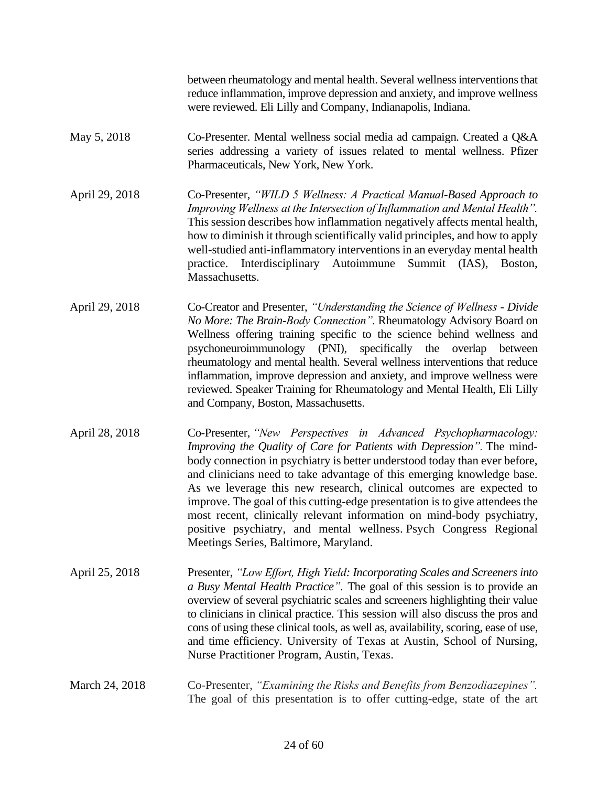between rheumatology and mental health. Several wellness interventions that reduce inflammation, improve depression and anxiety, and improve wellness were reviewed. Eli Lilly and Company, Indianapolis, Indiana.

- May 5, 2018 Co-Presenter. Mental wellness social media ad campaign. Created a Q&A series addressing a variety of issues related to mental wellness. Pfizer Pharmaceuticals, New York, New York.
- April 29, 2018 Co-Presenter, *"WILD 5 Wellness: A Practical Manual-Based Approach to Improving Wellness at the Intersection of Inflammation and Mental Health".*  This session describes how inflammation negatively affects mental health, how to diminish it through scientifically valid principles, and how to apply well-studied anti-inflammatory interventions in an everyday mental health practice. Interdisciplinary Autoimmune Summit (IAS), Boston, Massachusetts.
- April 29, 2018 Co-Creator and Presenter, *"Understanding the Science of Wellness - Divide No More: The Brain-Body Connection".* Rheumatology Advisory Board on Wellness offering training specific to the science behind wellness and psychoneuroimmunology (PNI), specifically the overlap between rheumatology and mental health. Several wellness interventions that reduce inflammation, improve depression and anxiety, and improve wellness were reviewed. Speaker Training for Rheumatology and Mental Health, Eli Lilly and Company, Boston, Massachusetts.
- April 28, 2018 Co-Presenter, *"New Perspectives in Advanced Psychopharmacology: Improving the Quality of Care for Patients with Depression".* The mindbody connection in psychiatry is better understood today than ever before, and clinicians need to take advantage of this emerging knowledge base. As we leverage this new research, clinical outcomes are expected to improve. The goal of this cutting-edge presentation is to give attendees the most recent, clinically relevant information on mind-body psychiatry, positive psychiatry, and mental wellness. Psych Congress Regional Meetings Series, Baltimore, Maryland.
- April 25, 2018 Presenter, *"Low Effort, High Yield: Incorporating Scales and Screeners into a Busy Mental Health Practice".* The goal of this session is to provide an overview of several psychiatric scales and screeners highlighting their value to clinicians in clinical practice. This session will also discuss the pros and cons of using these clinical tools, as well as, availability, scoring, ease of use, and time efficiency. University of Texas at Austin, School of Nursing, Nurse Practitioner Program, Austin, Texas.
- March 24, 2018 Co-Presenter, *"Examining the Risks and Benefits from Benzodiazepines".* The goal of this presentation is to offer cutting-edge, state of the art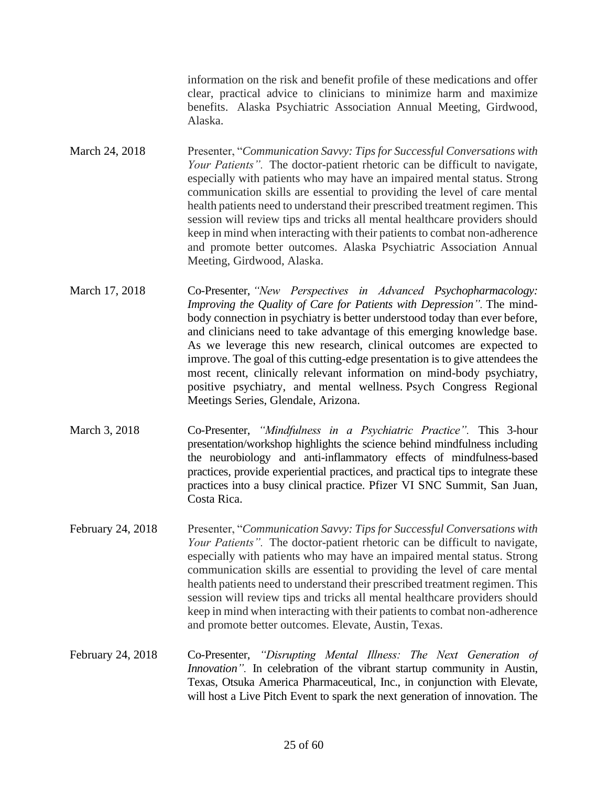information on the risk and benefit profile of these medications and offer clear, practical advice to clinicians to minimize harm and maximize benefits. Alaska Psychiatric Association Annual Meeting, Girdwood, Alaska.

- March 24, 2018 Presenter, "*Communication Savvy: Tips for Successful Conversations with Your Patients".* The doctor-patient rhetoric can be difficult to navigate, especially with patients who may have an impaired mental status. Strong communication skills are essential to providing the level of care mental health patients need to understand their prescribed treatment regimen. This session will review tips and tricks all mental healthcare providers should keep in mind when interacting with their patients to combat non-adherence and promote better outcomes. Alaska Psychiatric Association Annual Meeting, Girdwood, Alaska.
- March 17, 2018 Co-Presenter, *"New Perspectives in Advanced Psychopharmacology: Improving the Quality of Care for Patients with Depression".* The mindbody connection in psychiatry is better understood today than ever before, and clinicians need to take advantage of this emerging knowledge base. As we leverage this new research, clinical outcomes are expected to improve. The goal of this cutting-edge presentation is to give attendees the most recent, clinically relevant information on mind-body psychiatry, positive psychiatry, and mental wellness. Psych Congress Regional Meetings Series, Glendale, Arizona.
- March 3, 2018 Co-Presenter, *"Mindfulness in a Psychiatric Practice".* This 3-hour presentation/workshop highlights the science behind mindfulness including the neurobiology and anti-inflammatory effects of mindfulness-based practices, provide experiential practices, and practical tips to integrate these practices into a busy clinical practice. Pfizer VI SNC Summit, San Juan, Costa Rica.
- February 24, 2018 Presenter, "*Communication Savvy: Tips for Successful Conversations with Your Patients".* The doctor-patient rhetoric can be difficult to navigate, especially with patients who may have an impaired mental status. Strong communication skills are essential to providing the level of care mental health patients need to understand their prescribed treatment regimen. This session will review tips and tricks all mental healthcare providers should keep in mind when interacting with their patients to combat non-adherence and promote better outcomes. Elevate, Austin, Texas.
- February 24, 2018 Co-Presenter, *"Disrupting Mental Illness: The Next Generation of Innovation*". In celebration of the vibrant startup community in Austin, Texas, Otsuka America Pharmaceutical, Inc., in conjunction with Elevate, will host a Live Pitch Event to spark the next generation of innovation. The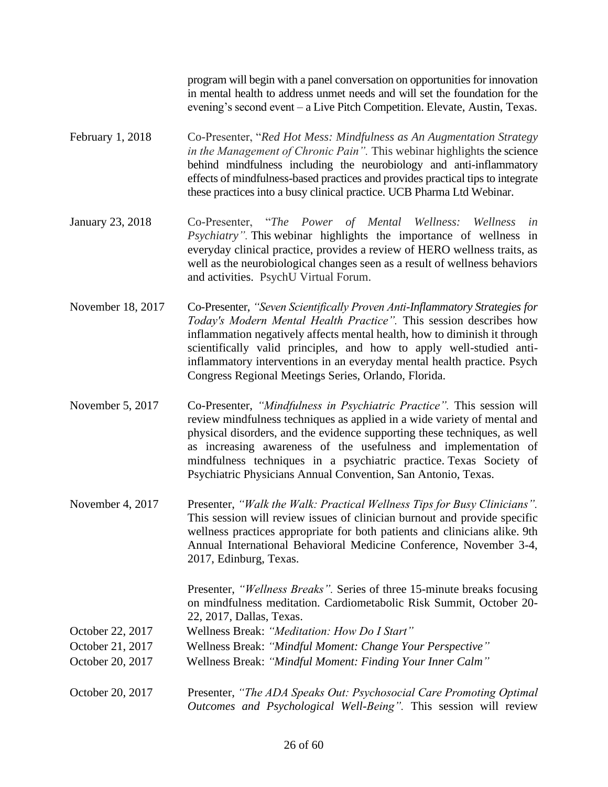program will begin with a panel conversation on opportunities for innovation in mental health to address unmet needs and will set the foundation for the evening's second event – a Live Pitch Competition. Elevate, Austin, Texas.

- February 1, 2018 Co-Presenter, "*Red Hot Mess: Mindfulness as An Augmentation Strategy in the Management of Chronic Pain".* This webinar highlights the science behind mindfulness including the neurobiology and anti-inflammatory effects of mindfulness-based practices and provides practical tips to integrate these practices into a busy clinical practice. UCB Pharma Ltd Webinar.
- January 23, 2018 Co-Presenter, "*The Power of Mental Wellness: Wellness in Psychiatry".* This webinar highlights the importance of wellness in everyday clinical practice, provides a review of HERO wellness traits, as well as the neurobiological changes seen as a result of wellness behaviors and activities. PsychU Virtual Forum.
- November 18, 2017 Co-Presenter, *"Seven Scientifically Proven Anti-Inflammatory Strategies for Today's Modern Mental Health Practice".* This session describes how inflammation negatively affects mental health, how to diminish it through scientifically valid principles, and how to apply well-studied antiinflammatory interventions in an everyday mental health practice. Psych Congress Regional Meetings Series, Orlando, Florida.
- November 5, 2017 Co-Presenter, *"Mindfulness in Psychiatric Practice".* This session will review mindfulness techniques as applied in a wide variety of mental and physical disorders, and the evidence supporting these techniques, as well as increasing awareness of the usefulness and implementation of mindfulness techniques in a psychiatric practice. Texas Society of Psychiatric Physicians Annual Convention, San Antonio, Texas.
- November 4, 2017 Presenter, *"Walk the Walk: Practical Wellness Tips for Busy Clinicians"*. This session will review issues of clinician burnout and provide specific wellness practices appropriate for both patients and clinicians alike. 9th Annual International Behavioral Medicine Conference, November 3-4, 2017, Edinburg, Texas.

Presenter, *"Wellness Breaks".* Series of three 15-minute breaks focusing on mindfulness meditation. Cardiometabolic Risk Summit, October 20- 22, 2017, Dallas, Texas.

- October 22, 2017 Wellness Break: *"Meditation: How Do I Start"*
- October 21, 2017 Wellness Break: *"Mindful Moment: Change Your Perspective"*
- October 20, 2017 Wellness Break: *"Mindful Moment: Finding Your Inner Calm"*
- October 20, 2017 Presenter, *"The ADA Speaks Out: Psychosocial Care Promoting Optimal Outcomes and Psychological Well-Being".* This session will review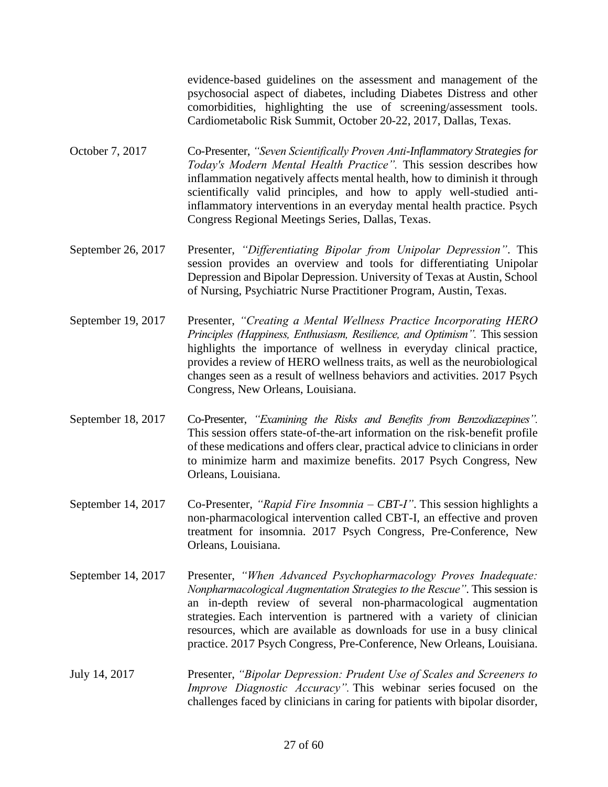evidence-based guidelines on the assessment and management of the psychosocial aspect of diabetes, including Diabetes Distress and other comorbidities, highlighting the use of screening/assessment tools. Cardiometabolic Risk Summit, October 20-22, 2017, Dallas, Texas.

- October 7, 2017 Co-Presenter, *"Seven Scientifically Proven Anti-Inflammatory Strategies for Today's Modern Mental Health Practice".* This session describes how inflammation negatively affects mental health, how to diminish it through scientifically valid principles, and how to apply well-studied antiinflammatory interventions in an everyday mental health practice. Psych Congress Regional Meetings Series, Dallas, Texas.
- September 26, 2017 Presenter, *"Differentiating Bipolar from Unipolar Depression"*. This session provides an overview and tools for differentiating Unipolar Depression and Bipolar Depression. University of Texas at Austin, School of Nursing, Psychiatric Nurse Practitioner Program, Austin, Texas.
- September 19, 2017 Presenter, *"Creating a Mental Wellness Practice Incorporating HERO Principles (Happiness, Enthusiasm, Resilience, and Optimism". This session* highlights the importance of wellness in everyday clinical practice, provides a review of HERO wellness traits, as well as the neurobiological changes seen as a result of wellness behaviors and activities. 2017 Psych Congress, New Orleans, Louisiana.
- September 18, 2017 Co-Presenter, *"Examining the Risks and Benefits from Benzodiazepines".* This session offers state-of-the-art information on the risk-benefit profile of these medications and offers clear, practical advice to clinicians in order to minimize harm and maximize benefits. 2017 Psych Congress, New Orleans, Louisiana.
- September 14, 2017 Co-Presenter, *"Rapid Fire Insomnia – CBT-I"*. This session highlights a non-pharmacological intervention called CBT-I, an effective and proven treatment for insomnia. 2017 Psych Congress, Pre-Conference, New Orleans, Louisiana.
- September 14, 2017 Presenter, *"When Advanced Psychopharmacology Proves Inadequate: Nonpharmacological Augmentation Strategies to the Rescue"*. This session is an in-depth review of several non-pharmacological augmentation strategies. Each intervention is partnered with a variety of clinician resources, which are available as downloads for use in a busy clinical practice. 2017 Psych Congress, Pre-Conference, New Orleans, Louisiana.
- July 14, 2017 Presenter, *"Bipolar Depression: Prudent Use of Scales and Screeners to Improve Diagnostic Accuracy".* This webinar series focused on the challenges faced by clinicians in caring for patients with bipolar disorder,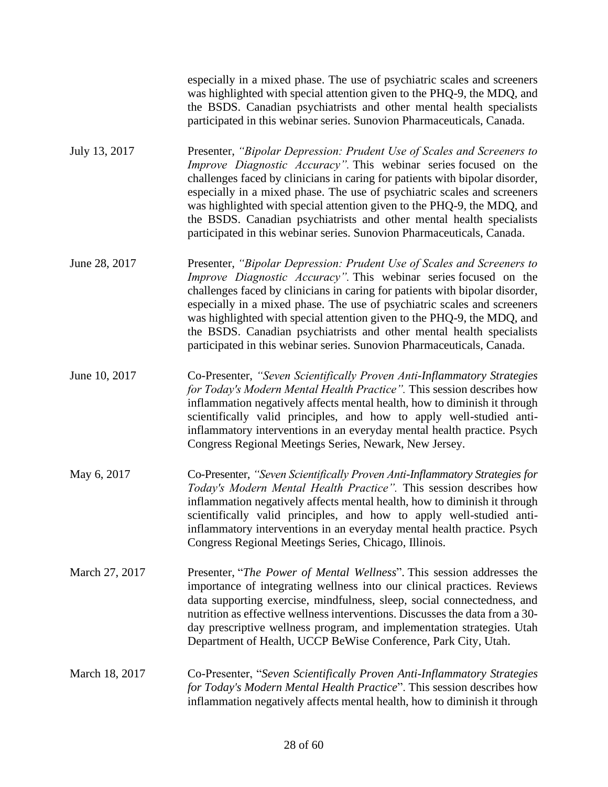especially in a mixed phase. The use of psychiatric scales and screeners was highlighted with special attention given to the PHQ-9, the MDQ, and the BSDS. Canadian psychiatrists and other mental health specialists participated in this webinar series. Sunovion Pharmaceuticals, Canada.

- July 13, 2017 Presenter, *"Bipolar Depression: Prudent Use of Scales and Screeners to Improve Diagnostic Accuracy".* This webinar series focused on the challenges faced by clinicians in caring for patients with bipolar disorder, especially in a mixed phase. The use of psychiatric scales and screeners was highlighted with special attention given to the PHQ-9, the MDQ, and the BSDS. Canadian psychiatrists and other mental health specialists participated in this webinar series. Sunovion Pharmaceuticals, Canada.
- June 28, 2017 Presenter, *"Bipolar Depression: Prudent Use of Scales and Screeners to Improve Diagnostic Accuracy".* This webinar series focused on the challenges faced by clinicians in caring for patients with bipolar disorder, especially in a mixed phase. The use of psychiatric scales and screeners was highlighted with special attention given to the PHQ-9, the MDQ, and the BSDS. Canadian psychiatrists and other mental health specialists participated in this webinar series. Sunovion Pharmaceuticals, Canada.
- June 10, 2017 Co-Presenter, *"Seven Scientifically Proven Anti-Inflammatory Strategies for Today's Modern Mental Health Practice".* This session describes how inflammation negatively affects mental health, how to diminish it through scientifically valid principles, and how to apply well-studied antiinflammatory interventions in an everyday mental health practice. Psych Congress Regional Meetings Series, Newark, New Jersey.
- May 6, 2017 Co-Presenter, *"Seven Scientifically Proven Anti-Inflammatory Strategies for Today's Modern Mental Health Practice".* This session describes how inflammation negatively affects mental health, how to diminish it through scientifically valid principles, and how to apply well-studied antiinflammatory interventions in an everyday mental health practice. Psych Congress Regional Meetings Series, Chicago, Illinois.
- March 27, 2017 Presenter, "*The Power of Mental Wellness*". This session addresses the importance of integrating wellness into our clinical practices. Reviews data supporting exercise, mindfulness, sleep, social connectedness, and nutrition as effective wellness interventions. Discusses the data from a 30 day prescriptive wellness program, and implementation strategies. Utah Department of Health, UCCP BeWise Conference, Park City, Utah.
- March 18, 2017 Co-Presenter, "*Seven Scientifically Proven Anti-Inflammatory Strategies for Today's Modern Mental Health Practice*". This session describes how inflammation negatively affects mental health, how to diminish it through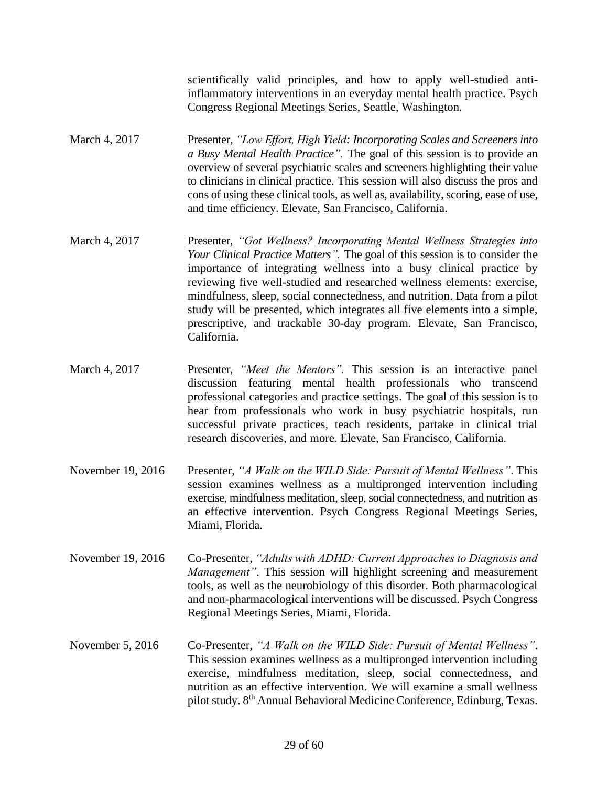scientifically valid principles, and how to apply well-studied antiinflammatory interventions in an everyday mental health practice. Psych Congress Regional Meetings Series, Seattle, Washington.

- March 4, 2017 Presenter, *"Low Effort, High Yield: Incorporating Scales and Screeners into a Busy Mental Health Practice".* The goal of this session is to provide an overview of several psychiatric scales and screeners highlighting their value to clinicians in clinical practice. This session will also discuss the pros and cons of using these clinical tools, as well as, availability, scoring, ease of use, and time efficiency. Elevate, San Francisco, California.
- March 4, 2017 Presenter, *"Got Wellness? Incorporating Mental Wellness Strategies into Your Clinical Practice Matters".* The goal of this session is to consider the importance of integrating wellness into a busy clinical practice by reviewing five well-studied and researched wellness elements: exercise, mindfulness, sleep, social connectedness, and nutrition. Data from a pilot study will be presented, which integrates all five elements into a simple, prescriptive, and trackable 30-day program. Elevate, San Francisco, California.
- March 4, 2017 Presenter, *"Meet the Mentors".* This session is an interactive panel discussion featuring mental health professionals who transcend professional categories and practice settings. The goal of this session is to hear from professionals who work in busy psychiatric hospitals, run successful private practices, teach residents, partake in clinical trial research discoveries, and more. Elevate, San Francisco, California.
- November 19, 2016 Presenter, *"A Walk on the WILD Side: Pursuit of Mental Wellness"*. This session examines wellness as a multipronged intervention including exercise, mindfulness meditation, sleep, social connectedness, and nutrition as an effective intervention. Psych Congress Regional Meetings Series, Miami, Florida.
- November 19, 2016 Co-Presenter, *"Adults with ADHD: Current Approaches to Diagnosis and Management"*. This session will highlight screening and measurement tools, as well as the neurobiology of this disorder. Both pharmacological and non-pharmacological interventions will be discussed. Psych Congress Regional Meetings Series, Miami, Florida.
- November 5, 2016 Co-Presenter, *"A Walk on the WILD Side: Pursuit of Mental Wellness"*. This session examines wellness as a multipronged intervention including exercise, mindfulness meditation, sleep, social connectedness, and nutrition as an effective intervention. We will examine a small wellness pilot study. 8th Annual Behavioral Medicine Conference, Edinburg, Texas.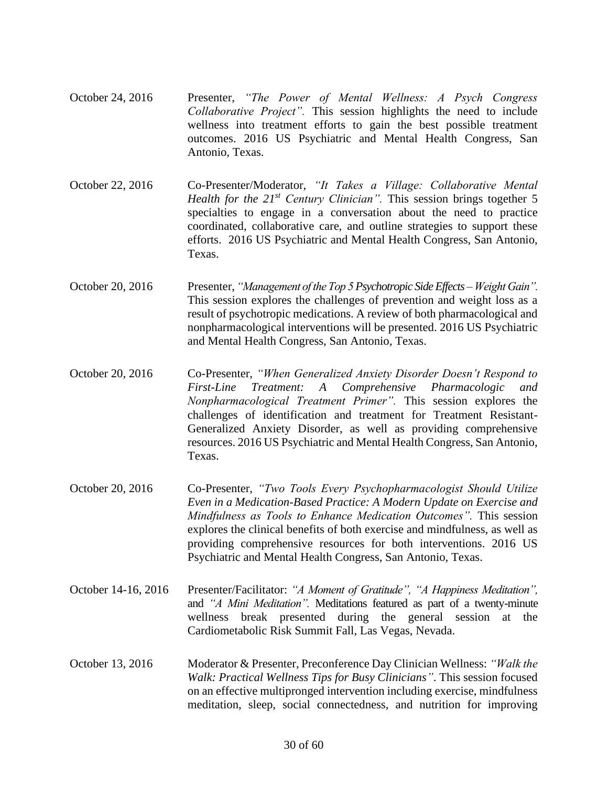- October 24, 2016 Presenter, *"The Power of Mental Wellness: A Psych Congress Collaborative Project".* This session highlights the need to include wellness into treatment efforts to gain the best possible treatment outcomes. 2016 US Psychiatric and Mental Health Congress, San Antonio, Texas.
- October 22, 2016 Co-Presenter/Moderator, *"It Takes a Village: Collaborative Mental Health for the 21st Century Clinician".* This session brings together 5 specialties to engage in a conversation about the need to practice coordinated, collaborative care, and outline strategies to support these efforts. 2016 US Psychiatric and Mental Health Congress, San Antonio, Texas.
- October 20, 2016 Presenter, *"Management of the Top 5 Psychotropic Side Effects – Weight Gain".* This session explores the challenges of prevention and weight loss as a result of psychotropic medications. A review of both pharmacological and nonpharmacological interventions will be presented. 2016 US Psychiatric and Mental Health Congress, San Antonio, Texas.
- October 20, 2016 Co-Presenter, *"When Generalized Anxiety Disorder Doesn't Respond to First-Line Treatment: A Comprehensive Pharmacologic and Nonpharmacological Treatment Primer".* This session explores the challenges of identification and treatment for Treatment Resistant-Generalized Anxiety Disorder, as well as providing comprehensive resources. 2016 US Psychiatric and Mental Health Congress, San Antonio, Texas.
- October 20, 2016 Co-Presenter, *"Two Tools Every Psychopharmacologist Should Utilize Even in a Medication-Based Practice: A Modern Update on Exercise and Mindfulness as Tools to Enhance Medication Outcomes".* This session explores the clinical benefits of both exercise and mindfulness, as well as providing comprehensive resources for both interventions. 2016 US Psychiatric and Mental Health Congress, San Antonio, Texas.
- October 14-16, 2016 Presenter/Facilitator: "A Moment of Gratitude", "A Happiness Meditation", and *"A Mini Meditation".* Meditations featured as part of a twenty-minute wellness break presented during the general session at the Cardiometabolic Risk Summit Fall, Las Vegas, Nevada.
- October 13, 2016 Moderator & Presenter, Preconference Day Clinician Wellness: *"Walk the Walk: Practical Wellness Tips for Busy Clinicians"*. This session focused on an effective multipronged intervention including exercise, mindfulness meditation, sleep, social connectedness, and nutrition for improving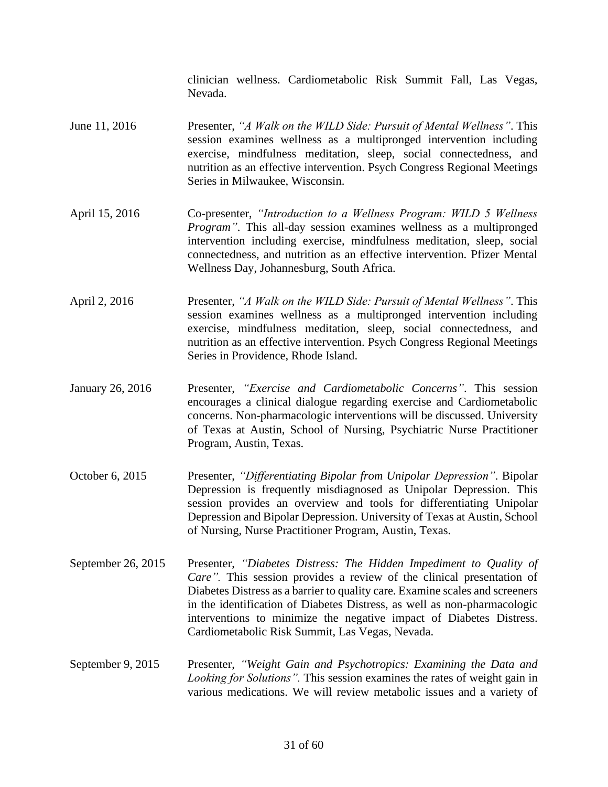clinician wellness. Cardiometabolic Risk Summit Fall, Las Vegas, Nevada.

- June 11, 2016 Presenter, *"A Walk on the WILD Side: Pursuit of Mental Wellness"*. This session examines wellness as a multipronged intervention including exercise, mindfulness meditation, sleep, social connectedness, and nutrition as an effective intervention. Psych Congress Regional Meetings Series in Milwaukee, Wisconsin.
- April 15, 2016 Co-presenter, *"Introduction to a Wellness Program: WILD 5 Wellness Program"*. This all-day session examines wellness as a multipronged intervention including exercise, mindfulness meditation, sleep, social connectedness, and nutrition as an effective intervention. Pfizer Mental Wellness Day, Johannesburg, South Africa.
- April 2, 2016 Presenter, *"A Walk on the WILD Side: Pursuit of Mental Wellness"*. This session examines wellness as a multipronged intervention including exercise, mindfulness meditation, sleep, social connectedness, and nutrition as an effective intervention. Psych Congress Regional Meetings Series in Providence, Rhode Island.
- January 26, 2016 Presenter, *"Exercise and Cardiometabolic Concerns"*. This session encourages a clinical dialogue regarding exercise and Cardiometabolic concerns. Non-pharmacologic interventions will be discussed. University of Texas at Austin, School of Nursing, Psychiatric Nurse Practitioner Program, Austin, Texas.
- October 6, 2015 Presenter, *"Differentiating Bipolar from Unipolar Depression"*. Bipolar Depression is frequently misdiagnosed as Unipolar Depression. This session provides an overview and tools for differentiating Unipolar Depression and Bipolar Depression. University of Texas at Austin, School of Nursing, Nurse Practitioner Program, Austin, Texas.
- September 26, 2015 Presenter, *"Diabetes Distress: The Hidden Impediment to Quality of Care".* This session provides a review of the clinical presentation of Diabetes Distress as a barrier to quality care. Examine scales and screeners in the identification of Diabetes Distress, as well as non-pharmacologic interventions to minimize the negative impact of Diabetes Distress. Cardiometabolic Risk Summit, Las Vegas, Nevada.
- September 9, 2015 Presenter, *"Weight Gain and Psychotropics: Examining the Data and Looking for Solutions".* This session examines the rates of weight gain in various medications. We will review metabolic issues and a variety of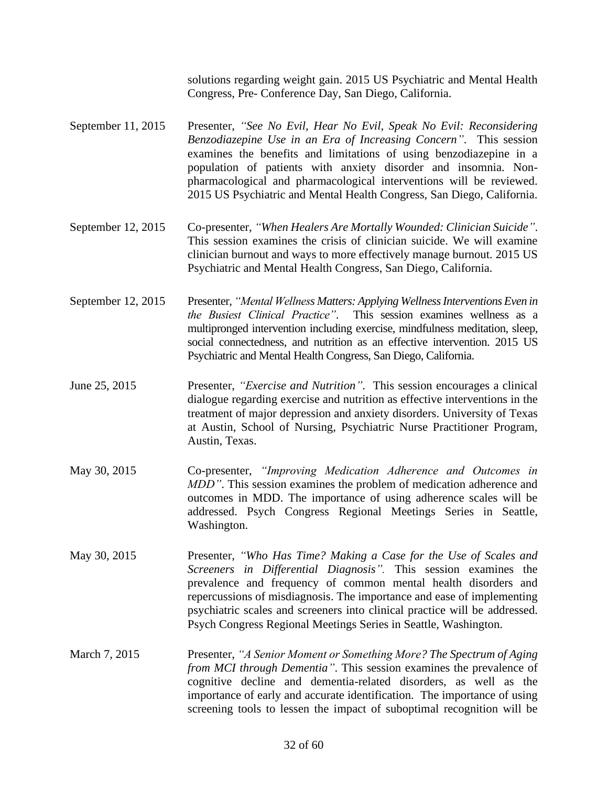solutions regarding weight gain. 2015 US Psychiatric and Mental Health Congress, Pre- Conference Day, San Diego, California.

- September 11, 2015 Presenter, *"See No Evil, Hear No Evil, Speak No Evil: Reconsidering Benzodiazepine Use in an Era of Increasing Concern"*. This session examines the benefits and limitations of using benzodiazepine in a population of patients with anxiety disorder and insomnia. Nonpharmacological and pharmacological interventions will be reviewed. 2015 US Psychiatric and Mental Health Congress, San Diego, California.
- September 12, 2015 Co-presenter, *"When Healers Are Mortally Wounded: Clinician Suicide"*. This session examines the crisis of clinician suicide. We will examine clinician burnout and ways to more effectively manage burnout. 2015 US Psychiatric and Mental Health Congress, San Diego, California.
- September 12, 2015 Presenter, *"Mental Wellness Matters: Applying Wellness Interventions Even in the Busiest Clinical Practice"*. This session examines wellness as a multipronged intervention including exercise, mindfulness meditation, sleep, social connectedness, and nutrition as an effective intervention. 2015 US Psychiatric and Mental Health Congress, San Diego, California.
- June 25, 2015 Presenter, *"Exercise and Nutrition"*. This session encourages a clinical dialogue regarding exercise and nutrition as effective interventions in the treatment of major depression and anxiety disorders. University of Texas at Austin, School of Nursing, Psychiatric Nurse Practitioner Program, Austin, Texas.
- May 30, 2015 Co-presenter, *"Improving Medication Adherence and Outcomes in MDD"*. This session examines the problem of medication adherence and outcomes in MDD. The importance of using adherence scales will be addressed. Psych Congress Regional Meetings Series in Seattle, Washington.
- May 30, 2015 Presenter, *"Who Has Time? Making a Case for the Use of Scales and Screeners in Differential Diagnosis".* This session examines the prevalence and frequency of common mental health disorders and repercussions of misdiagnosis. The importance and ease of implementing psychiatric scales and screeners into clinical practice will be addressed. Psych Congress Regional Meetings Series in Seattle, Washington.
- March 7, 2015 Presenter, *"A Senior Moment or Something More? The Spectrum of Aging from MCI through Dementia"*. This session examines the prevalence of cognitive decline and dementia-related disorders, as well as the importance of early and accurate identification. The importance of using screening tools to lessen the impact of suboptimal recognition will be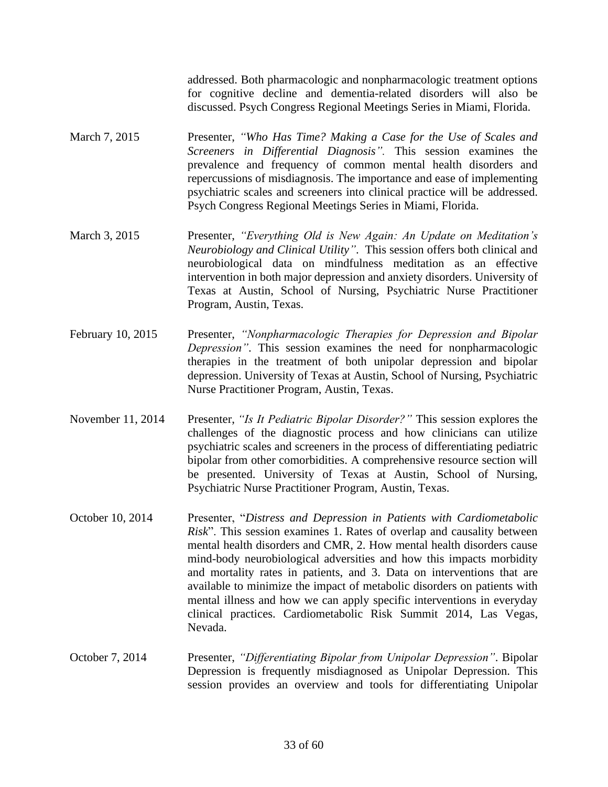addressed. Both pharmacologic and nonpharmacologic treatment options for cognitive decline and dementia-related disorders will also be discussed. Psych Congress Regional Meetings Series in Miami, Florida.

- March 7, 2015 Presenter, *"Who Has Time? Making a Case for the Use of Scales and Screeners in Differential Diagnosis".* This session examines the prevalence and frequency of common mental health disorders and repercussions of misdiagnosis. The importance and ease of implementing psychiatric scales and screeners into clinical practice will be addressed. Psych Congress Regional Meetings Series in Miami, Florida.
- March 3, 2015 Presenter, *"Everything Old is New Again: An Update on Meditation's Neurobiology and Clinical Utility"*. This session offers both clinical and neurobiological data on mindfulness meditation as an effective intervention in both major depression and anxiety disorders. University of Texas at Austin, School of Nursing, Psychiatric Nurse Practitioner Program, Austin, Texas.
- February 10, 2015 Presenter, *"Nonpharmacologic Therapies for Depression and Bipolar Depression"*. This session examines the need for nonpharmacologic therapies in the treatment of both unipolar depression and bipolar depression. University of Texas at Austin, School of Nursing, Psychiatric Nurse Practitioner Program, Austin, Texas.
- November 11, 2014 Presenter, *"Is It Pediatric Bipolar Disorder?"* This session explores the challenges of the diagnostic process and how clinicians can utilize psychiatric scales and screeners in the process of differentiating pediatric bipolar from other comorbidities. A comprehensive resource section will be presented. University of Texas at Austin, School of Nursing, Psychiatric Nurse Practitioner Program, Austin, Texas.
- October 10, 2014 Presenter, "*Distress and Depression in Patients with Cardiometabolic Risk*". This session examines 1. Rates of overlap and causality between mental health disorders and CMR, 2. How mental health disorders cause mind-body neurobiological adversities and how this impacts morbidity and mortality rates in patients, and 3. Data on interventions that are available to minimize the impact of metabolic disorders on patients with mental illness and how we can apply specific interventions in everyday clinical practices. Cardiometabolic Risk Summit 2014, Las Vegas, Nevada.
- October 7, 2014 Presenter, *"Differentiating Bipolar from Unipolar Depression"*. Bipolar Depression is frequently misdiagnosed as Unipolar Depression. This session provides an overview and tools for differentiating Unipolar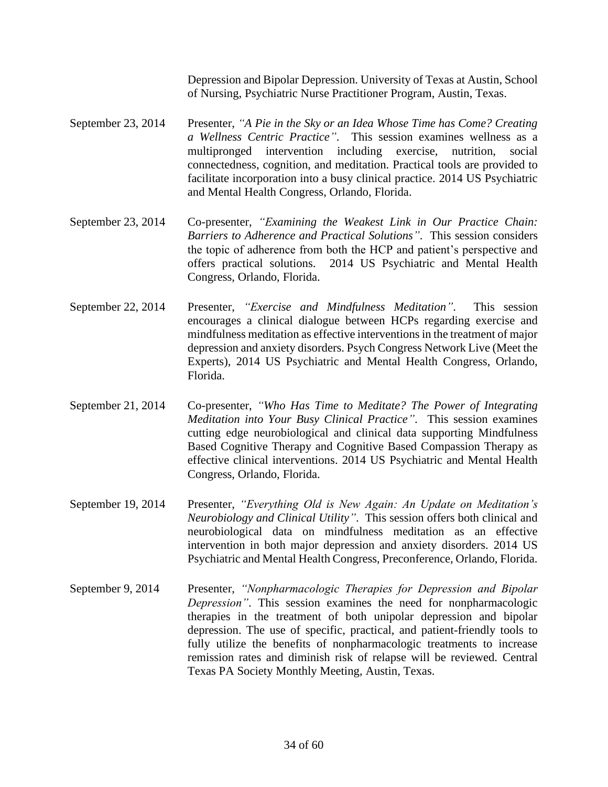Depression and Bipolar Depression. University of Texas at Austin, School of Nursing, Psychiatric Nurse Practitioner Program, Austin, Texas.

- September 23, 2014 Presenter, *"A Pie in the Sky or an Idea Whose Time has Come? Creating a Wellness Centric Practice"*. This session examines wellness as a multipronged intervention including exercise, nutrition, social connectedness, cognition, and meditation. Practical tools are provided to facilitate incorporation into a busy clinical practice. 2014 US Psychiatric and Mental Health Congress, Orlando, Florida.
- September 23, 2014 Co-presenter, *"Examining the Weakest Link in Our Practice Chain: Barriers to Adherence and Practical Solutions"*. This session considers the topic of adherence from both the HCP and patient's perspective and offers practical solutions. 2014 US Psychiatric and Mental Health Congress, Orlando, Florida.
- September 22, 2014 Presenter, *"Exercise and Mindfulness Meditation"*. This session encourages a clinical dialogue between HCPs regarding exercise and mindfulness meditation as effective interventions in the treatment of major depression and anxiety disorders. Psych Congress Network Live (Meet the Experts), 2014 US Psychiatric and Mental Health Congress, Orlando, Florida.
- September 21, 2014 Co-presenter, *"Who Has Time to Meditate? The Power of Integrating Meditation into Your Busy Clinical Practice"*. This session examines cutting edge neurobiological and clinical data supporting Mindfulness Based Cognitive Therapy and Cognitive Based Compassion Therapy as effective clinical interventions. 2014 US Psychiatric and Mental Health Congress, Orlando, Florida.
- September 19, 2014 Presenter, *"Everything Old is New Again: An Update on Meditation's Neurobiology and Clinical Utility"*. This session offers both clinical and neurobiological data on mindfulness meditation as an effective intervention in both major depression and anxiety disorders. 2014 US Psychiatric and Mental Health Congress, Preconference, Orlando, Florida.
- September 9, 2014 Presenter, *"Nonpharmacologic Therapies for Depression and Bipolar Depression"*. This session examines the need for nonpharmacologic therapies in the treatment of both unipolar depression and bipolar depression. The use of specific, practical, and patient-friendly tools to fully utilize the benefits of nonpharmacologic treatments to increase remission rates and diminish risk of relapse will be reviewed. Central Texas PA Society Monthly Meeting, Austin, Texas.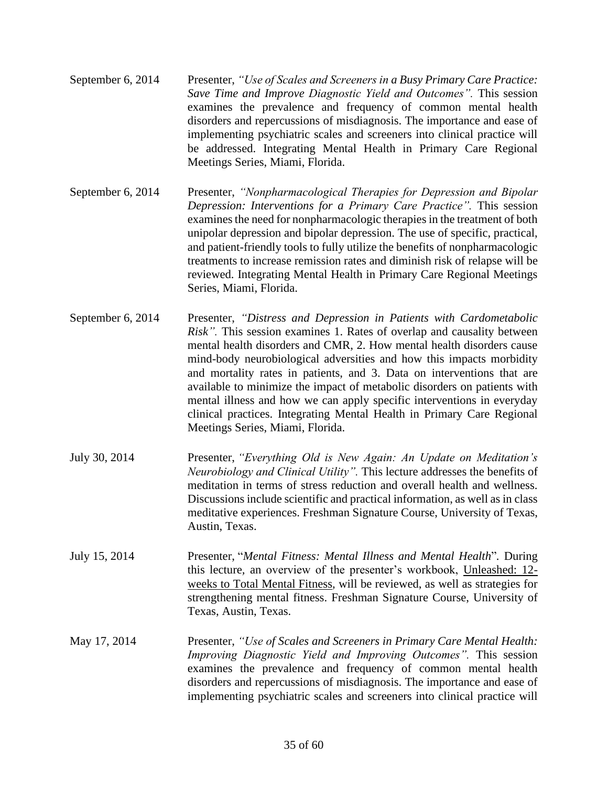- September 6, 2014 Presenter, *"Use of Scales and Screeners in a Busy Primary Care Practice: Save Time and Improve Diagnostic Yield and Outcomes".* This session examines the prevalence and frequency of common mental health disorders and repercussions of misdiagnosis. The importance and ease of implementing psychiatric scales and screeners into clinical practice will be addressed. Integrating Mental Health in Primary Care Regional Meetings Series, Miami, Florida.
- September 6, 2014 Presenter, *"Nonpharmacological Therapies for Depression and Bipolar Depression: Interventions for a Primary Care Practice".* This session examines the need for nonpharmacologic therapies in the treatment of both unipolar depression and bipolar depression. The use of specific, practical, and patient-friendly tools to fully utilize the benefits of nonpharmacologic treatments to increase remission rates and diminish risk of relapse will be reviewed. Integrating Mental Health in Primary Care Regional Meetings Series, Miami, Florida.
- September 6, 2014 Presenter, *"Distress and Depression in Patients with Cardometabolic Risk".* This session examines 1. Rates of overlap and causality between mental health disorders and CMR, 2. How mental health disorders cause mind-body neurobiological adversities and how this impacts morbidity and mortality rates in patients, and 3. Data on interventions that are available to minimize the impact of metabolic disorders on patients with mental illness and how we can apply specific interventions in everyday clinical practices. Integrating Mental Health in Primary Care Regional Meetings Series, Miami, Florida.
- July 30, 2014 Presenter, *"Everything Old is New Again: An Update on Meditation's Neurobiology and Clinical Utility".* This lecture addresses the benefits of meditation in terms of stress reduction and overall health and wellness. Discussions include scientific and practical information, as well as in class meditative experiences. Freshman Signature Course, University of Texas, Austin, Texas.
- July 15, 2014 Presenter, "*Mental Fitness: Mental Illness and Mental Health*"*.* During this lecture*,* an overview of the presenter's workbook, Unleashed: 12 weeks to Total Mental Fitness*,* will be reviewed, as well as strategies for strengthening mental fitness. Freshman Signature Course, University of Texas, Austin, Texas.
- May 17, 2014 Presenter, *"Use of Scales and Screeners in Primary Care Mental Health: Improving Diagnostic Yield and Improving Outcomes".* This session examines the prevalence and frequency of common mental health disorders and repercussions of misdiagnosis. The importance and ease of implementing psychiatric scales and screeners into clinical practice will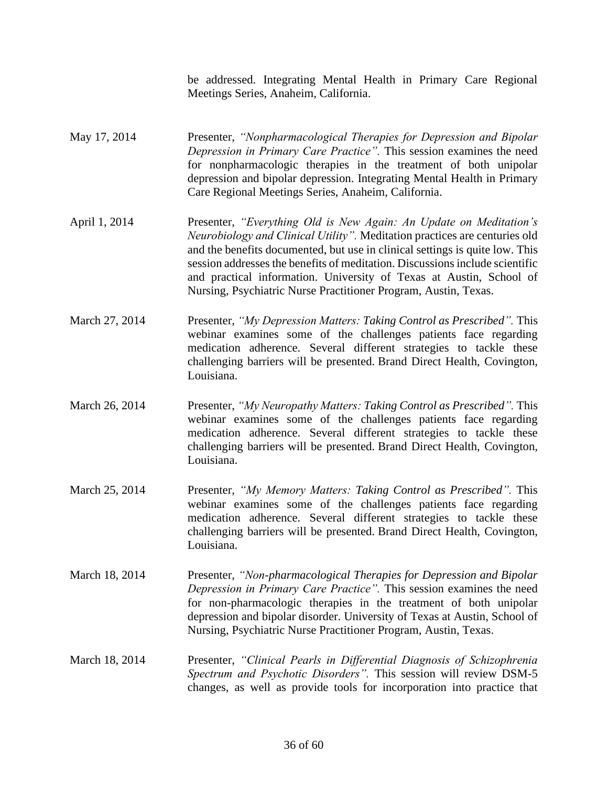be addressed. Integrating Mental Health in Primary Care Regional Meetings Series, Anaheim, California.

- May 17, 2014 Presenter, *"Nonpharmacological Therapies for Depression and Bipolar Depression in Primary Care Practice".* This session examines the need for nonpharmacologic therapies in the treatment of both unipolar depression and bipolar depression. Integrating Mental Health in Primary Care Regional Meetings Series, Anaheim, California.
- April 1, 2014 Presenter, *"Everything Old is New Again: An Update on Meditation's Neurobiology and Clinical Utility".* Meditation practices are centuries old and the benefits documented, but use in clinical settings is quite low. This session addresses the benefits of meditation. Discussions include scientific and practical information. University of Texas at Austin, School of Nursing, Psychiatric Nurse Practitioner Program, Austin, Texas.
- March 27, 2014 Presenter, *"My Depression Matters: Taking Control as Prescribed".* This webinar examines some of the challenges patients face regarding medication adherence. Several different strategies to tackle these challenging barriers will be presented. Brand Direct Health, Covington, Louisiana.
- March 26, 2014 Presenter, *"My Neuropathy Matters: Taking Control as Prescribed".* This webinar examines some of the challenges patients face regarding medication adherence. Several different strategies to tackle these challenging barriers will be presented. Brand Direct Health, Covington, Louisiana.
- March 25, 2014 Presenter, *"My Memory Matters: Taking Control as Prescribed".* This webinar examines some of the challenges patients face regarding medication adherence. Several different strategies to tackle these challenging barriers will be presented. Brand Direct Health, Covington, Louisiana.
- March 18, 2014 Presenter, *"Non-pharmacological Therapies for Depression and Bipolar Depression in Primary Care Practice".* This session examines the need for non-pharmacologic therapies in the treatment of both unipolar depression and bipolar disorder. University of Texas at Austin, School of Nursing, Psychiatric Nurse Practitioner Program, Austin, Texas.
- March 18, 2014 Presenter, *"Clinical Pearls in Differential Diagnosis of Schizophrenia Spectrum and Psychotic Disorders".* This session will review DSM-5 changes, as well as provide tools for incorporation into practice that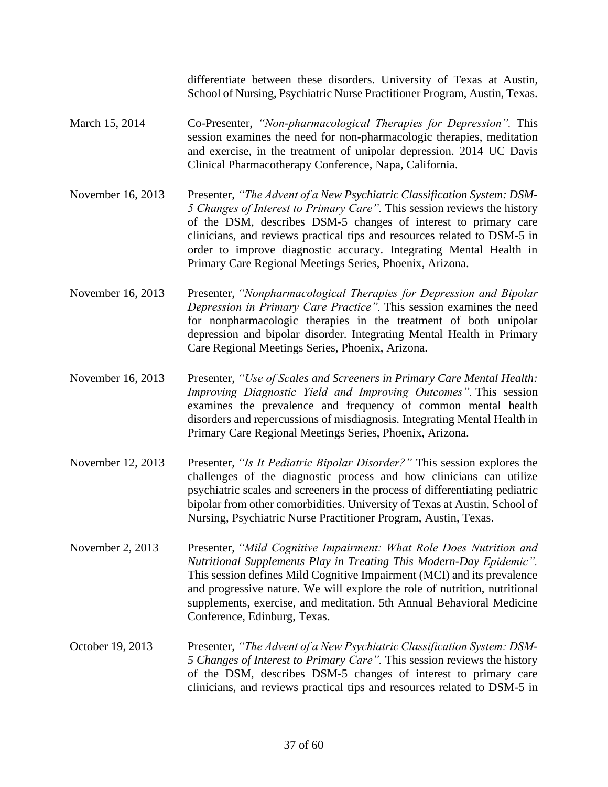differentiate between these disorders. University of Texas at Austin, School of Nursing, Psychiatric Nurse Practitioner Program, Austin, Texas.

- March 15, 2014 Co-Presenter, *"Non-pharmacological Therapies for Depression".* This session examines the need for non-pharmacologic therapies, meditation and exercise, in the treatment of unipolar depression. 2014 UC Davis Clinical Pharmacotherapy Conference, Napa, California.
- November 16, 2013 Presenter, "The Advent of a New Psychiatric Classification System: DSM-*5 Changes of Interest to Primary Care".* This session reviews the history of the DSM, describes DSM-5 changes of interest to primary care clinicians, and reviews practical tips and resources related to DSM-5 in order to improve diagnostic accuracy. Integrating Mental Health in Primary Care Regional Meetings Series, Phoenix, Arizona.
- November 16, 2013 Presenter, *"Nonpharmacological Therapies for Depression and Bipolar Depression in Primary Care Practice".* This session examines the need for nonpharmacologic therapies in the treatment of both unipolar depression and bipolar disorder. Integrating Mental Health in Primary Care Regional Meetings Series, Phoenix, Arizona.
- November 16, 2013 Presenter, *"Use of Scales and Screeners in Primary Care Mental Health: Improving Diagnostic Yield and Improving Outcomes".* This session examines the prevalence and frequency of common mental health disorders and repercussions of misdiagnosis. Integrating Mental Health in Primary Care Regional Meetings Series, Phoenix, Arizona.
- November 12, 2013 Presenter, *"Is It Pediatric Bipolar Disorder?"* This session explores the challenges of the diagnostic process and how clinicians can utilize psychiatric scales and screeners in the process of differentiating pediatric bipolar from other comorbidities. University of Texas at Austin, School of Nursing, Psychiatric Nurse Practitioner Program, Austin, Texas.
- November 2, 2013 Presenter, *"Mild Cognitive Impairment: What Role Does Nutrition and Nutritional Supplements Play in Treating This Modern-Day Epidemic".*  This session defines Mild Cognitive Impairment (MCI) and its prevalence and progressive nature. We will explore the role of nutrition, nutritional supplements, exercise, and meditation. 5th Annual Behavioral Medicine Conference, Edinburg, Texas.
- October 19, 2013 Presenter, *"The Advent of a New Psychiatric Classification System: DSM-5 Changes of Interest to Primary Care".* This session reviews the history of the DSM, describes DSM-5 changes of interest to primary care clinicians, and reviews practical tips and resources related to DSM-5 in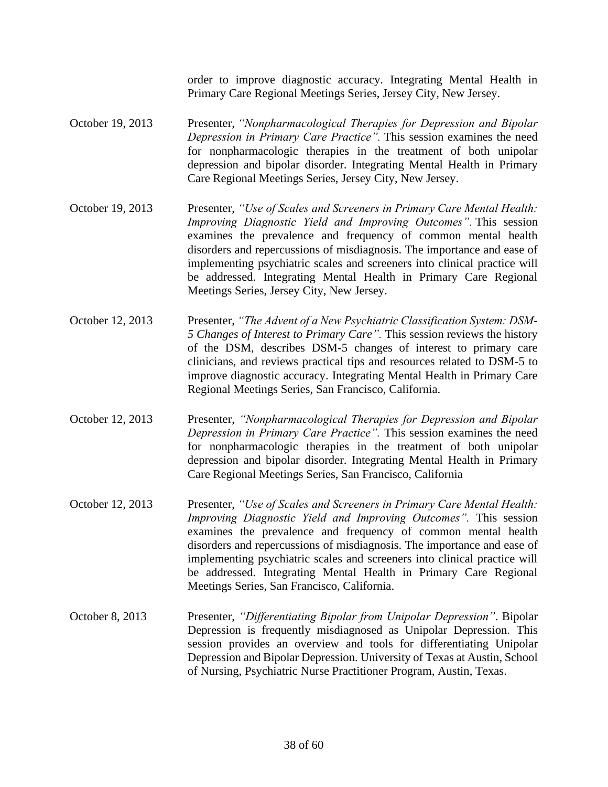order to improve diagnostic accuracy. Integrating Mental Health in Primary Care Regional Meetings Series, Jersey City, New Jersey.

- October 19, 2013 Presenter, *"Nonpharmacological Therapies for Depression and Bipolar Depression in Primary Care Practice".* This session examines the need for nonpharmacologic therapies in the treatment of both unipolar depression and bipolar disorder. Integrating Mental Health in Primary Care Regional Meetings Series, Jersey City, New Jersey.
- October 19, 2013 Presenter, *"Use of Scales and Screeners in Primary Care Mental Health: Improving Diagnostic Yield and Improving Outcomes".* This session examines the prevalence and frequency of common mental health disorders and repercussions of misdiagnosis. The importance and ease of implementing psychiatric scales and screeners into clinical practice will be addressed. Integrating Mental Health in Primary Care Regional Meetings Series, Jersey City, New Jersey.
- October 12, 2013 Presenter, *"The Advent of a New Psychiatric Classification System: DSM-5 Changes of Interest to Primary Care".* This session reviews the history of the DSM, describes DSM-5 changes of interest to primary care clinicians, and reviews practical tips and resources related to DSM-5 to improve diagnostic accuracy. Integrating Mental Health in Primary Care Regional Meetings Series, San Francisco, California.
- October 12, 2013 Presenter, *"Nonpharmacological Therapies for Depression and Bipolar Depression in Primary Care Practice".* This session examines the need for nonpharmacologic therapies in the treatment of both unipolar depression and bipolar disorder. Integrating Mental Health in Primary Care Regional Meetings Series, San Francisco, California
- October 12, 2013 Presenter, *"Use of Scales and Screeners in Primary Care Mental Health: Improving Diagnostic Yield and Improving Outcomes".* This session examines the prevalence and frequency of common mental health disorders and repercussions of misdiagnosis. The importance and ease of implementing psychiatric scales and screeners into clinical practice will be addressed. Integrating Mental Health in Primary Care Regional Meetings Series, San Francisco, California.
- October 8, 2013 Presenter, *"Differentiating Bipolar from Unipolar Depression"*. Bipolar Depression is frequently misdiagnosed as Unipolar Depression. This session provides an overview and tools for differentiating Unipolar Depression and Bipolar Depression. University of Texas at Austin, School of Nursing, Psychiatric Nurse Practitioner Program, Austin, Texas.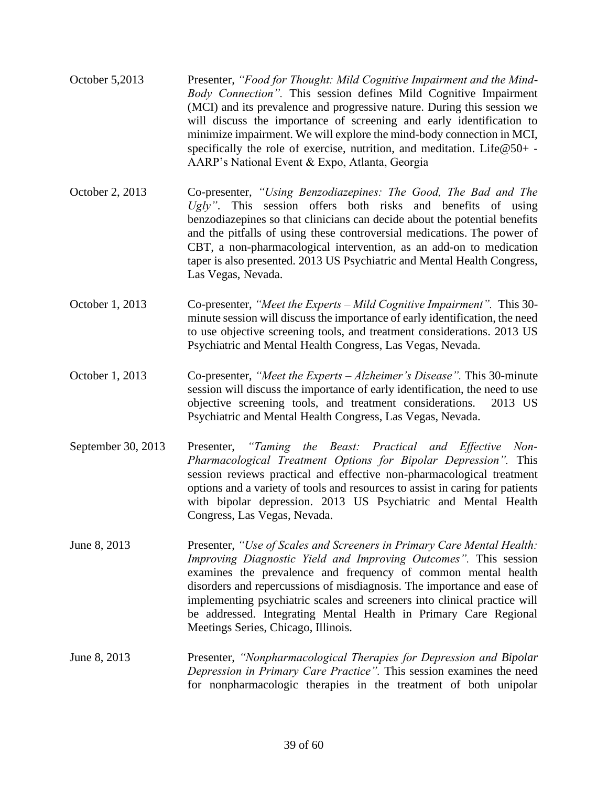| October 5,2013 | Presenter, "Food for Thought: Mild Cognitive Impairment and the Mind-       |
|----------------|-----------------------------------------------------------------------------|
|                | <i>Body Connection"</i> . This session defines Mild Cognitive Impairment    |
|                | (MCI) and its prevalence and progressive nature. During this session we     |
|                | will discuss the importance of screening and early identification to        |
|                | minimize impairment. We will explore the mind-body connection in MCI,       |
|                | specifically the role of exercise, nutrition, and meditation. Life $@50+$ - |
|                | AARP's National Event & Expo, Atlanta, Georgia                              |

- October 2, 2013 Co-presenter, *"Using Benzodiazepines: The Good, The Bad and The Ugly"*. This session offers both risks and benefits of using benzodiazepines so that clinicians can decide about the potential benefits and the pitfalls of using these controversial medications. The power of CBT, a non-pharmacological intervention, as an add-on to medication taper is also presented. 2013 US Psychiatric and Mental Health Congress, Las Vegas, Nevada.
- October 1, 2013 Co-presenter, *"Meet the Experts – Mild Cognitive Impairment".* This 30 minute session will discuss the importance of early identification, the need to use objective screening tools, and treatment considerations. 2013 US Psychiatric and Mental Health Congress, Las Vegas, Nevada.
- October 1, 2013 Co-presenter, *"Meet the Experts – Alzheimer's Disease".* This 30-minute session will discuss the importance of early identification, the need to use objective screening tools, and treatment considerations. 2013 US Psychiatric and Mental Health Congress, Las Vegas, Nevada.
- September 30, 2013 Presenter, *"Taming the Beast: Practical and Effective Non-Pharmacological Treatment Options for Bipolar Depression".* This session reviews practical and effective non-pharmacological treatment options and a variety of tools and resources to assist in caring for patients with bipolar depression. 2013 US Psychiatric and Mental Health Congress, Las Vegas, Nevada.
- June 8, 2013 Presenter, *"Use of Scales and Screeners in Primary Care Mental Health: Improving Diagnostic Yield and Improving Outcomes".* This session examines the prevalence and frequency of common mental health disorders and repercussions of misdiagnosis. The importance and ease of implementing psychiatric scales and screeners into clinical practice will be addressed. Integrating Mental Health in Primary Care Regional Meetings Series, Chicago, Illinois.
- June 8, 2013 Presenter, *"Nonpharmacological Therapies for Depression and Bipolar Depression in Primary Care Practice".* This session examines the need for nonpharmacologic therapies in the treatment of both unipolar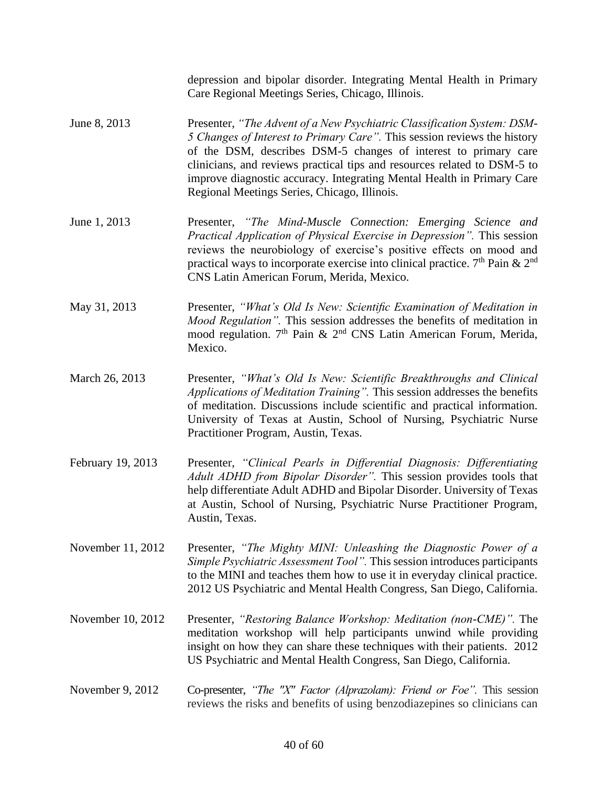depression and bipolar disorder. Integrating Mental Health in Primary Care Regional Meetings Series, Chicago, Illinois.

- June 8, 2013 Presenter, *"The Advent of a New Psychiatric Classification System: DSM-5 Changes of Interest to Primary Care".* This session reviews the history of the DSM, describes DSM-5 changes of interest to primary care clinicians, and reviews practical tips and resources related to DSM-5 to improve diagnostic accuracy. Integrating Mental Health in Primary Care Regional Meetings Series, Chicago, Illinois.
- June 1, 2013 Presenter, *"The Mind-Muscle Connection: Emerging Science and Practical Application of Physical Exercise in Depression".* This session reviews the neurobiology of exercise's positive effects on mood and practical ways to incorporate exercise into clinical practice.  $7<sup>th</sup>$  Pain &  $2<sup>nd</sup>$ CNS Latin American Forum, Merida, Mexico.
- May 31, 2013 Presenter, *"What's Old Is New: Scientific Examination of Meditation in Mood Regulation".* This session addresses the benefits of meditation in mood regulation.  $7<sup>th</sup>$  Pain &  $2<sup>nd</sup>$  CNS Latin American Forum, Merida, Mexico.
- March 26, 2013 Presenter, *"What's Old Is New: Scientific Breakthroughs and Clinical Applications of Meditation Training".* This session addresses the benefits of meditation. Discussions include scientific and practical information. University of Texas at Austin, School of Nursing, Psychiatric Nurse Practitioner Program, Austin, Texas.
- February 19, 2013 Presenter, *"Clinical Pearls in Differential Diagnosis: Differentiating Adult ADHD from Bipolar Disorder".* This session provides tools that help differentiate Adult ADHD and Bipolar Disorder. University of Texas at Austin, School of Nursing, Psychiatric Nurse Practitioner Program, Austin, Texas.
- November 11, 2012 Presenter, *"The Mighty MINI: Unleashing the Diagnostic Power of a Simple Psychiatric Assessment Tool".* This session introduces participants to the MINI and teaches them how to use it in everyday clinical practice. 2012 US Psychiatric and Mental Health Congress, San Diego, California.
- November 10, 2012 Presenter, *"Restoring Balance Workshop: Meditation (non-CME)".* The meditation workshop will help participants unwind while providing insight on how they can share these techniques with their patients. 2012 US Psychiatric and Mental Health Congress, San Diego, California.
- November 9, 2012 Co-presenter, *"The "X" Factor (Alprazolam): Friend or Foe".* This session reviews the risks and benefits of using benzodiazepines so clinicians can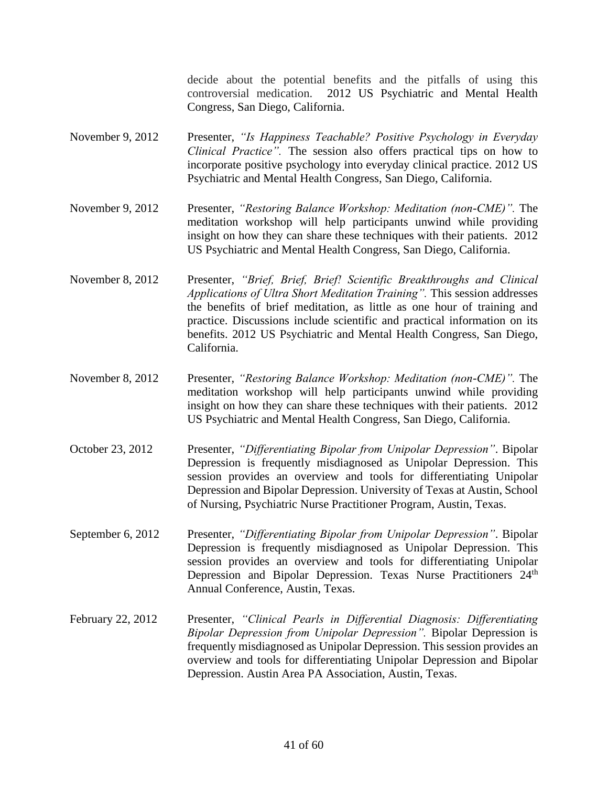decide about the potential benefits and the pitfalls of using this controversial medication. 2012 US Psychiatric and Mental Health Congress, San Diego, California.

- November 9, 2012 Presenter, *"Is Happiness Teachable? Positive Psychology in Everyday Clinical Practice".* The session also offers practical tips on how to incorporate positive psychology into everyday clinical practice. 2012 US Psychiatric and Mental Health Congress, San Diego, California.
- November 9, 2012 Presenter, *"Restoring Balance Workshop: Meditation (non-CME)".* The meditation workshop will help participants unwind while providing insight on how they can share these techniques with their patients. 2012 US Psychiatric and Mental Health Congress, San Diego, California.
- November 8, 2012 Presenter, *"Brief, Brief, Brief! Scientific Breakthroughs and Clinical Applications of Ultra Short Meditation Training".* This session addresses the benefits of brief meditation, as little as one hour of training and practice. Discussions include scientific and practical information on its benefits. 2012 US Psychiatric and Mental Health Congress, San Diego, California.
- November 8, 2012 Presenter, *"Restoring Balance Workshop: Meditation (non-CME)".* The meditation workshop will help participants unwind while providing insight on how they can share these techniques with their patients. 2012 US Psychiatric and Mental Health Congress, San Diego, California.
- October 23, 2012 Presenter, *"Differentiating Bipolar from Unipolar Depression"*. Bipolar Depression is frequently misdiagnosed as Unipolar Depression. This session provides an overview and tools for differentiating Unipolar Depression and Bipolar Depression. University of Texas at Austin, School of Nursing, Psychiatric Nurse Practitioner Program, Austin, Texas.
- September 6, 2012 Presenter, *"Differentiating Bipolar from Unipolar Depression"*. Bipolar Depression is frequently misdiagnosed as Unipolar Depression. This session provides an overview and tools for differentiating Unipolar Depression and Bipolar Depression. Texas Nurse Practitioners 24<sup>th</sup> Annual Conference, Austin, Texas.
- February 22, 2012 Presenter, *"Clinical Pearls in Differential Diagnosis: Differentiating Bipolar Depression from Unipolar Depression".* Bipolar Depression is frequently misdiagnosed as Unipolar Depression. This session provides an overview and tools for differentiating Unipolar Depression and Bipolar Depression. Austin Area PA Association, Austin, Texas.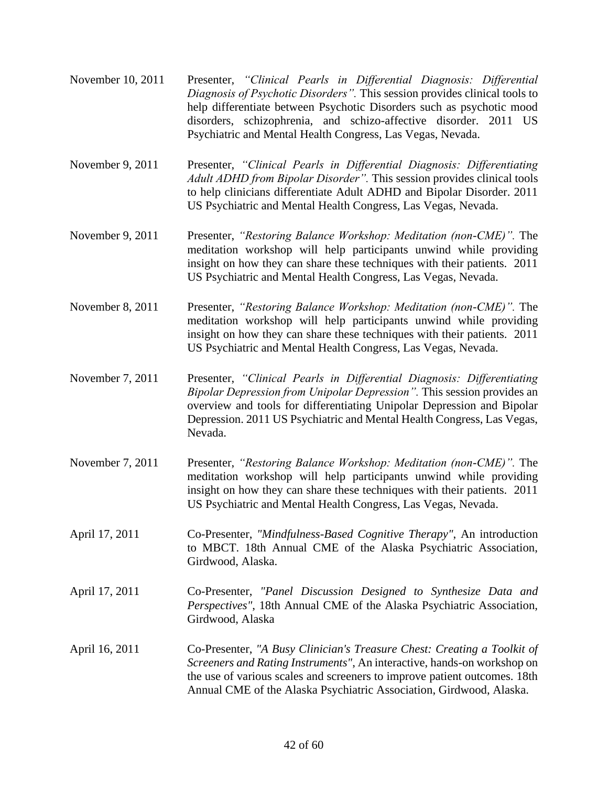- November 10, 2011 Presenter, *"Clinical Pearls in Differential Diagnosis: Differential Diagnosis of Psychotic Disorders".* This session provides clinical tools to help differentiate between Psychotic Disorders such as psychotic mood disorders, schizophrenia, and schizo-affective disorder. 2011 US Psychiatric and Mental Health Congress, Las Vegas, Nevada.
- November 9, 2011 Presenter, *"Clinical Pearls in Differential Diagnosis: Differentiating Adult ADHD from Bipolar Disorder".* This session provides clinical tools to help clinicians differentiate Adult ADHD and Bipolar Disorder. 2011 US Psychiatric and Mental Health Congress, Las Vegas, Nevada.
- November 9, 2011 Presenter, *"Restoring Balance Workshop: Meditation (non-CME)".* The meditation workshop will help participants unwind while providing insight on how they can share these techniques with their patients. 2011 US Psychiatric and Mental Health Congress, Las Vegas, Nevada.
- November 8, 2011 Presenter, *"Restoring Balance Workshop: Meditation (non-CME)".* The meditation workshop will help participants unwind while providing insight on how they can share these techniques with their patients. 2011 US Psychiatric and Mental Health Congress, Las Vegas, Nevada.
- November 7, 2011 Presenter, *"Clinical Pearls in Differential Diagnosis: Differentiating Bipolar Depression from Unipolar Depression".* This session provides an overview and tools for differentiating Unipolar Depression and Bipolar Depression. 2011 US Psychiatric and Mental Health Congress, Las Vegas, Nevada.
- November 7, 2011 Presenter, *"Restoring Balance Workshop: Meditation (non-CME)".* The meditation workshop will help participants unwind while providing insight on how they can share these techniques with their patients. 2011 US Psychiatric and Mental Health Congress, Las Vegas, Nevada.
- April 17, 2011 Co-Presenter, *"Mindfulness-Based Cognitive Therapy"*, An introduction to MBCT. 18th Annual CME of the Alaska Psychiatric Association, Girdwood, Alaska.
- April 17, 2011 Co-Presenter, *"Panel Discussion Designed to Synthesize Data and Perspectives"*, 18th Annual CME of the Alaska Psychiatric Association, Girdwood, Alaska
- April 16, 2011 Co-Presenter, *"A Busy Clinician's Treasure Chest: Creating a Toolkit of Screeners and Rating Instruments"*, An interactive, hands-on workshop on the use of various scales and screeners to improve patient outcomes. 18th Annual CME of the Alaska Psychiatric Association, Girdwood, Alaska.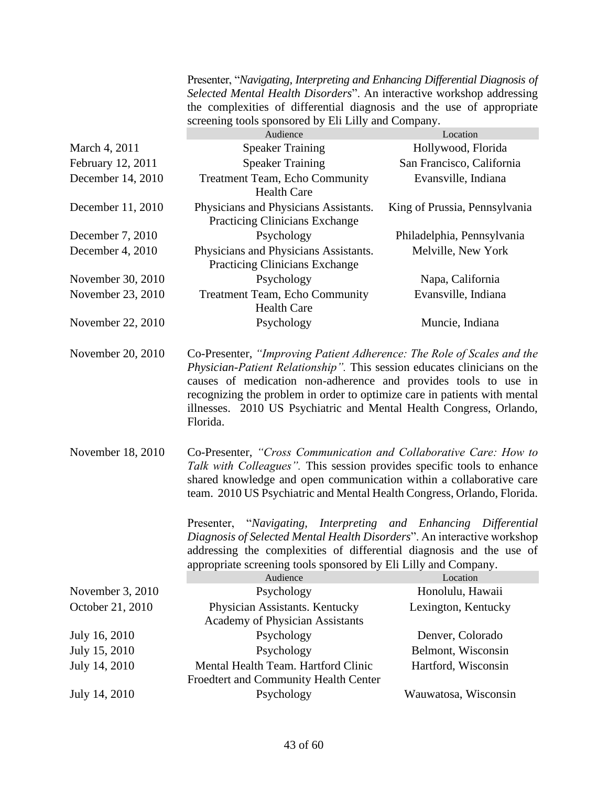Presenter, "*Navigating, Interpreting and Enhancing Differential Diagnosis of Selected Mental Health Disorders*". An interactive workshop addressing the complexities of differential diagnosis and the use of appropriate screening tools sponsored by Eli Lilly and Company.

|                   | Audience                                                                                                                                                                                                                                                                                                                                                                              | Location                      |
|-------------------|---------------------------------------------------------------------------------------------------------------------------------------------------------------------------------------------------------------------------------------------------------------------------------------------------------------------------------------------------------------------------------------|-------------------------------|
| March 4, 2011     | <b>Speaker Training</b>                                                                                                                                                                                                                                                                                                                                                               | Hollywood, Florida            |
| February 12, 2011 | <b>Speaker Training</b>                                                                                                                                                                                                                                                                                                                                                               | San Francisco, California     |
| December 14, 2010 | <b>Treatment Team, Echo Community</b><br><b>Health Care</b>                                                                                                                                                                                                                                                                                                                           | Evansville, Indiana           |
| December 11, 2010 | Physicians and Physicians Assistants.<br><b>Practicing Clinicians Exchange</b>                                                                                                                                                                                                                                                                                                        | King of Prussia, Pennsylvania |
| December 7, 2010  | Psychology                                                                                                                                                                                                                                                                                                                                                                            | Philadelphia, Pennsylvania    |
| December 4, 2010  | Physicians and Physicians Assistants.<br><b>Practicing Clinicians Exchange</b>                                                                                                                                                                                                                                                                                                        | Melville, New York            |
| November 30, 2010 | Psychology                                                                                                                                                                                                                                                                                                                                                                            | Napa, California              |
| November 23, 2010 | <b>Treatment Team, Echo Community</b><br><b>Health Care</b>                                                                                                                                                                                                                                                                                                                           | Evansville, Indiana           |
| November 22, 2010 | Psychology                                                                                                                                                                                                                                                                                                                                                                            | Muncie, Indiana               |
| November 20, 2010 | Co-Presenter, "Improving Patient Adherence: The Role of Scales and the<br>Physician-Patient Relationship". This session educates clinicians on the<br>causes of medication non-adherence and provides tools to use in<br>recognizing the problem in order to optimize care in patients with mental<br>illnesses. 2010 US Psychiatric and Mental Health Congress, Orlando,<br>Florida. |                               |
| November 18, 2010 | Co-Presenter, "Cross Communication and Collaborative Care: How to<br>Talk with Colleagues". This session provides specific tools to enhance<br>shared knowledge and open communication within a collaborative care<br>team. 2010 US Psychiatric and Mental Health Congress, Orlando, Florida.<br>Presenter, "Navigating, Interpreting and Enhancing Differential                      |                               |
|                   | Diagnosis of Selected Mental Health Disorders". An interactive workshop<br>addressing the complexities of differential diagnosis and the use of<br>appropriate screening tools sponsored by Eli Lilly and Company.                                                                                                                                                                    |                               |
|                   | Audience                                                                                                                                                                                                                                                                                                                                                                              | Location                      |
| November 3, 2010  | Psychology                                                                                                                                                                                                                                                                                                                                                                            | Honolulu, Hawaii              |
| October 21, 2010  | Physician Assistants. Kentucky<br>Academy of Physician Assistants                                                                                                                                                                                                                                                                                                                     | Lexington, Kentucky           |
| July 16, 2010     | Psychology                                                                                                                                                                                                                                                                                                                                                                            | Denver, Colorado              |
| July 15, 2010     | Psychology                                                                                                                                                                                                                                                                                                                                                                            | Belmont, Wisconsin            |
| July 14, 2010     | Mental Health Team. Hartford Clinic<br>Froedtert and Community Health Center                                                                                                                                                                                                                                                                                                          | Hartford, Wisconsin           |

July 14, 2010 Psychology Wauwatosa, Wisconsin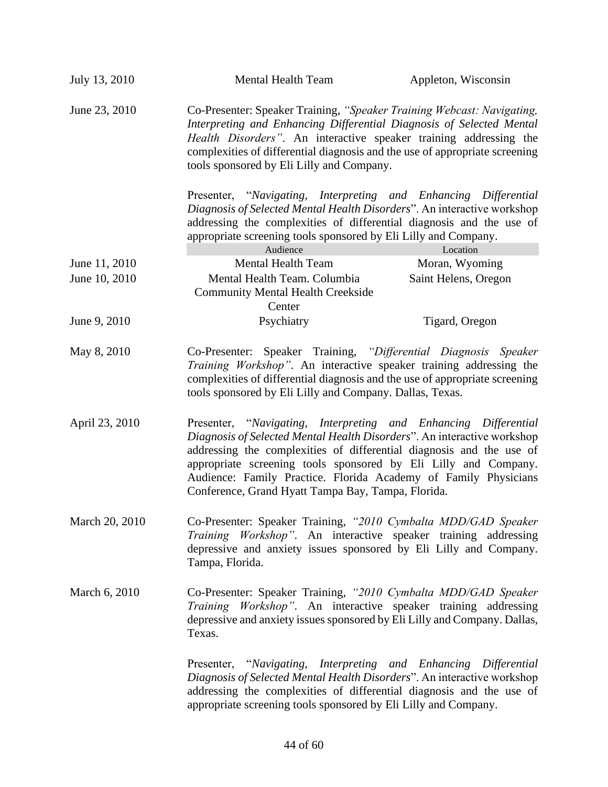| July 13, 2010  | Mental Health Team                                                                                                                                                                                                                                                                                                                                                                                             | Appleton, Wisconsin  |
|----------------|----------------------------------------------------------------------------------------------------------------------------------------------------------------------------------------------------------------------------------------------------------------------------------------------------------------------------------------------------------------------------------------------------------------|----------------------|
| June 23, 2010  | Co-Presenter: Speaker Training, "Speaker Training Webcast: Navigating,<br>Interpreting and Enhancing Differential Diagnosis of Selected Mental<br>Health Disorders". An interactive speaker training addressing the<br>complexities of differential diagnosis and the use of appropriate screening<br>tools sponsored by Eli Lilly and Company.                                                                |                      |
|                | Presenter, "Navigating, Interpreting and Enhancing Differential<br>Diagnosis of Selected Mental Health Disorders". An interactive workshop<br>addressing the complexities of differential diagnosis and the use of<br>appropriate screening tools sponsored by Eli Lilly and Company.<br>Audience                                                                                                              | Location             |
| June 11, 2010  | <b>Mental Health Team</b>                                                                                                                                                                                                                                                                                                                                                                                      | Moran, Wyoming       |
| June 10, 2010  | Mental Health Team. Columbia<br><b>Community Mental Health Creekside</b><br>Center                                                                                                                                                                                                                                                                                                                             | Saint Helens, Oregon |
| June 9, 2010   | Psychiatry                                                                                                                                                                                                                                                                                                                                                                                                     | Tigard, Oregon       |
| May 8, 2010    | Co-Presenter: Speaker Training, "Differential Diagnosis Speaker<br>Training Workshop". An interactive speaker training addressing the<br>complexities of differential diagnosis and the use of appropriate screening<br>tools sponsored by Eli Lilly and Company. Dallas, Texas.                                                                                                                               |                      |
| April 23, 2010 | Presenter, "Navigating, Interpreting and Enhancing Differential<br>Diagnosis of Selected Mental Health Disorders". An interactive workshop<br>addressing the complexities of differential diagnosis and the use of<br>appropriate screening tools sponsored by Eli Lilly and Company.<br>Audience: Family Practice. Florida Academy of Family Physicians<br>Conference, Grand Hyatt Tampa Bay, Tampa, Florida. |                      |
| March 20, 2010 | Co-Presenter: Speaker Training, "2010 Cymbalta MDD/GAD Speaker<br><i>Training Workshop</i> ". An interactive speaker training addressing<br>depressive and anxiety issues sponsored by Eli Lilly and Company.<br>Tampa, Florida.                                                                                                                                                                               |                      |
| March 6, 2010  | Co-Presenter: Speaker Training, "2010 Cymbalta MDD/GAD Speaker<br>Training Workshop". An interactive speaker training addressing<br>depressive and anxiety issues sponsored by Eli Lilly and Company. Dallas,<br>Texas.                                                                                                                                                                                        |                      |
|                | Presenter, "Navigating, Interpreting and Enhancing Differential<br>Diagnosis of Selected Mental Health Disorders". An interactive workshop<br>addressing the complexities of differential diagnosis and the use of<br>appropriate screening tools sponsored by Eli Lilly and Company.                                                                                                                          |                      |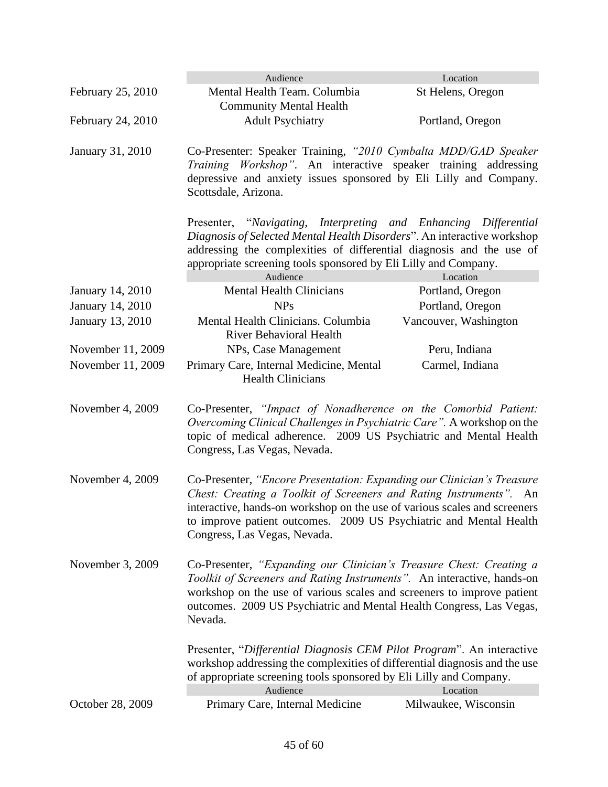|                                                                                                                                                                                                                                                   | Audience                                                                                                                                                                                                                                                                                                                        | Location                         |
|---------------------------------------------------------------------------------------------------------------------------------------------------------------------------------------------------------------------------------------------------|---------------------------------------------------------------------------------------------------------------------------------------------------------------------------------------------------------------------------------------------------------------------------------------------------------------------------------|----------------------------------|
| February 25, 2010                                                                                                                                                                                                                                 | Mental Health Team. Columbia<br><b>Community Mental Health</b>                                                                                                                                                                                                                                                                  | St Helens, Oregon                |
| February 24, 2010                                                                                                                                                                                                                                 | <b>Adult Psychiatry</b>                                                                                                                                                                                                                                                                                                         | Portland, Oregon                 |
| Co-Presenter: Speaker Training, "2010 Cymbalta MDD/GAD Speaker<br>January 31, 2010<br>Training Workshop". An interactive speaker training addressing<br>depressive and anxiety issues sponsored by Eli Lilly and Company.<br>Scottsdale, Arizona. |                                                                                                                                                                                                                                                                                                                                 |                                  |
|                                                                                                                                                                                                                                                   | Presenter, "Navigating, Interpreting and Enhancing Differential<br>Diagnosis of Selected Mental Health Disorders". An interactive workshop<br>addressing the complexities of differential diagnosis and the use of<br>appropriate screening tools sponsored by Eli Lilly and Company.<br>Audience                               | Location                         |
| January 14, 2010                                                                                                                                                                                                                                  | <b>Mental Health Clinicians</b>                                                                                                                                                                                                                                                                                                 | Portland, Oregon                 |
| January 14, 2010                                                                                                                                                                                                                                  | <b>NPs</b>                                                                                                                                                                                                                                                                                                                      | Portland, Oregon                 |
| January 13, 2010                                                                                                                                                                                                                                  | Mental Health Clinicians. Columbia<br><b>River Behavioral Health</b>                                                                                                                                                                                                                                                            | Vancouver, Washington            |
| November 11, 2009                                                                                                                                                                                                                                 | NPs, Case Management                                                                                                                                                                                                                                                                                                            | Peru, Indiana                    |
| November 11, 2009                                                                                                                                                                                                                                 | Primary Care, Internal Medicine, Mental<br><b>Health Clinicians</b>                                                                                                                                                                                                                                                             | Carmel, Indiana                  |
| November 4, 2009                                                                                                                                                                                                                                  | Co-Presenter, "Impact of Nonadherence on the Comorbid Patient:<br>Overcoming Clinical Challenges in Psychiatric Care". A workshop on the<br>topic of medical adherence. 2009 US Psychiatric and Mental Health<br>Congress, Las Vegas, Nevada.                                                                                   |                                  |
| November 4, 2009                                                                                                                                                                                                                                  | Co-Presenter, "Encore Presentation: Expanding our Clinician's Treasure<br>Chest: Creating a Toolkit of Screeners and Rating Instruments". An<br>interactive, hands-on workshop on the use of various scales and screeners<br>to improve patient outcomes. 2009 US Psychiatric and Mental Health<br>Congress, Las Vegas, Nevada. |                                  |
| November 3, 2009                                                                                                                                                                                                                                  | Co-Presenter, "Expanding our Clinician's Treasure Chest: Creating a<br>Toolkit of Screeners and Rating Instruments". An interactive, hands-on<br>workshop on the use of various scales and screeners to improve patient<br>outcomes. 2009 US Psychiatric and Mental Health Congress, Las Vegas,<br>Nevada.                      |                                  |
|                                                                                                                                                                                                                                                   | Presenter, "Differential Diagnosis CEM Pilot Program". An interactive<br>workshop addressing the complexities of differential diagnosis and the use<br>of appropriate screening tools sponsored by Eli Lilly and Company.                                                                                                       |                                  |
| October 28, 2009                                                                                                                                                                                                                                  | Audience<br>Primary Care, Internal Medicine                                                                                                                                                                                                                                                                                     | Location<br>Milwaukee, Wisconsin |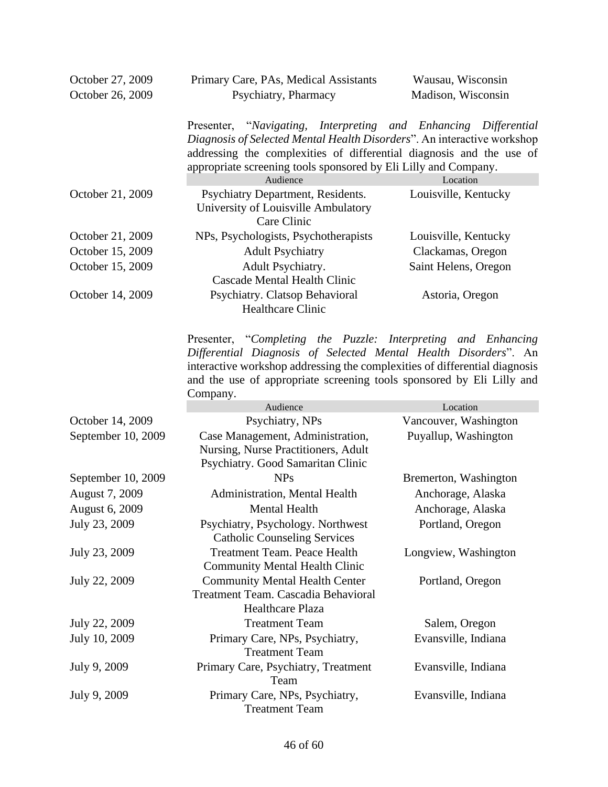| October 27, 2009 | Primary Care, PAs, Medical Assistants                                                                                                                                                                                                                                                 | Wausau, Wisconsin    |
|------------------|---------------------------------------------------------------------------------------------------------------------------------------------------------------------------------------------------------------------------------------------------------------------------------------|----------------------|
| October 26, 2009 | Psychiatry, Pharmacy                                                                                                                                                                                                                                                                  | Madison, Wisconsin   |
|                  | Presenter, "Navigating, Interpreting and Enhancing Differential<br>Diagnosis of Selected Mental Health Disorders". An interactive workshop<br>addressing the complexities of differential diagnosis and the use of<br>appropriate screening tools sponsored by Eli Lilly and Company. |                      |
|                  | Audience                                                                                                                                                                                                                                                                              | Location             |
| October 21, 2009 | Psychiatry Department, Residents.<br>University of Louisville Ambulatory<br>Care Clinic                                                                                                                                                                                               | Louisville, Kentucky |
| October 21, 2009 | NPs, Psychologists, Psychotherapists                                                                                                                                                                                                                                                  | Louisville, Kentucky |
| October 15, 2009 | <b>Adult Psychiatry</b>                                                                                                                                                                                                                                                               | Clackamas, Oregon    |
| October 15, 2009 | Adult Psychiatry.<br><b>Cascade Mental Health Clinic</b>                                                                                                                                                                                                                              | Saint Helens, Oregon |
| October 14, 2009 | Psychiatry. Clatsop Behavioral<br><b>Healthcare Clinic</b>                                                                                                                                                                                                                            | Astoria, Oregon      |

Presenter, "*Completing the Puzzle: Interpreting and Enhancing Differential Diagnosis of Selected Mental Health Disorders*". An interactive workshop addressing the complexities of differential diagnosis and the use of appropriate screening tools sponsored by Eli Lilly and Company.

|                    | Audience                                                                                                     | Location              |
|--------------------|--------------------------------------------------------------------------------------------------------------|-----------------------|
| October 14, 2009   | Psychiatry, NPs                                                                                              | Vancouver, Washington |
| September 10, 2009 | Case Management, Administration,<br>Nursing, Nurse Practitioners, Adult<br>Psychiatry. Good Samaritan Clinic | Puyallup, Washington  |
| September 10, 2009 | <b>NPs</b>                                                                                                   | Bremerton, Washington |
| August 7, 2009     | Administration, Mental Health                                                                                | Anchorage, Alaska     |
| August 6, 2009     | <b>Mental Health</b>                                                                                         | Anchorage, Alaska     |
| July 23, 2009      | Psychiatry, Psychology. Northwest<br><b>Catholic Counseling Services</b>                                     | Portland, Oregon      |
| July 23, 2009      | Treatment Team. Peace Health<br><b>Community Mental Health Clinic</b>                                        | Longview, Washington  |
| July 22, 2009      | <b>Community Mental Health Center</b><br>Treatment Team. Cascadia Behavioral<br><b>Healthcare Plaza</b>      | Portland, Oregon      |
| July 22, 2009      | <b>Treatment Team</b>                                                                                        | Salem, Oregon         |
| July 10, 2009      | Primary Care, NPs, Psychiatry,<br><b>Treatment Team</b>                                                      | Evansville, Indiana   |
| July 9, 2009       | Primary Care, Psychiatry, Treatment<br>Team                                                                  | Evansville, Indiana   |
| July 9, 2009       | Primary Care, NPs, Psychiatry,<br><b>Treatment Team</b>                                                      | Evansville, Indiana   |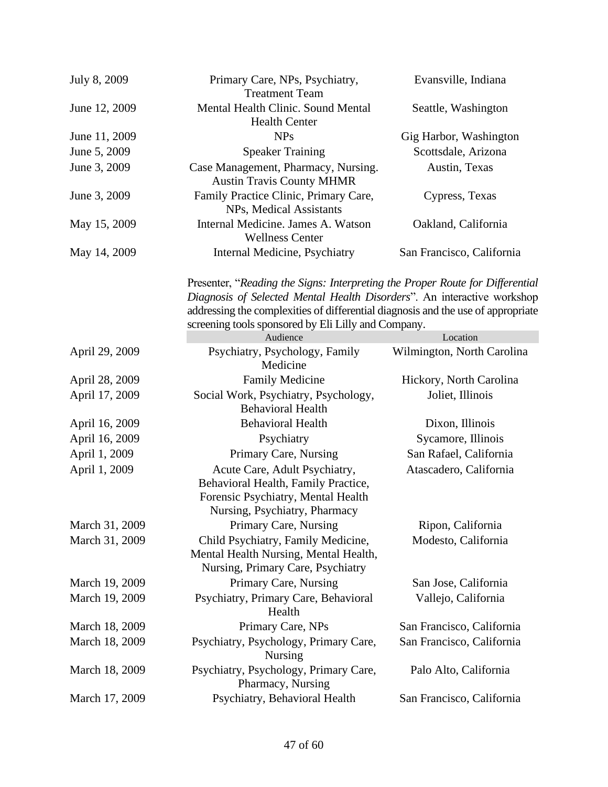| July 8, 2009   | Primary Care, NPs, Psychiatry,<br><b>Treatment Team</b>                                                                                                                                                                                                                                             | Evansville, Indiana        |
|----------------|-----------------------------------------------------------------------------------------------------------------------------------------------------------------------------------------------------------------------------------------------------------------------------------------------------|----------------------------|
| June 12, 2009  | Mental Health Clinic. Sound Mental<br><b>Health Center</b>                                                                                                                                                                                                                                          | Seattle, Washington        |
| June 11, 2009  | <b>NPs</b>                                                                                                                                                                                                                                                                                          | Gig Harbor, Washington     |
| June 5, 2009   | <b>Speaker Training</b>                                                                                                                                                                                                                                                                             | Scottsdale, Arizona        |
| June 3, 2009   | Case Management, Pharmacy, Nursing.                                                                                                                                                                                                                                                                 | Austin, Texas              |
|                | <b>Austin Travis County MHMR</b>                                                                                                                                                                                                                                                                    |                            |
| June 3, 2009   | Family Practice Clinic, Primary Care,<br>NPs, Medical Assistants                                                                                                                                                                                                                                    | Cypress, Texas             |
| May 15, 2009   | Internal Medicine. James A. Watson<br><b>Wellness Center</b>                                                                                                                                                                                                                                        | Oakland, California        |
| May 14, 2009   | Internal Medicine, Psychiatry                                                                                                                                                                                                                                                                       | San Francisco, California  |
|                | Presenter, "Reading the Signs: Interpreting the Proper Route for Differential<br>Diagnosis of Selected Mental Health Disorders". An interactive workshop<br>addressing the complexities of differential diagnosis and the use of appropriate<br>screening tools sponsored by Eli Lilly and Company. |                            |
|                | Audience                                                                                                                                                                                                                                                                                            | Location                   |
| April 29, 2009 | Psychiatry, Psychology, Family<br>Medicine                                                                                                                                                                                                                                                          | Wilmington, North Carolina |
| April 28, 2009 | Family Medicine                                                                                                                                                                                                                                                                                     | Hickory, North Carolina    |
| April 17, 2009 | Social Work, Psychiatry, Psychology,<br><b>Behavioral Health</b>                                                                                                                                                                                                                                    | Joliet, Illinois           |
| April 16, 2009 | <b>Behavioral Health</b>                                                                                                                                                                                                                                                                            | Dixon, Illinois            |
| April 16, 2009 | Psychiatry                                                                                                                                                                                                                                                                                          | Sycamore, Illinois         |
| April 1, 2009  | Primary Care, Nursing                                                                                                                                                                                                                                                                               | San Rafael, California     |
| April 1, 2009  | Acute Care, Adult Psychiatry,<br>Behavioral Health, Family Practice,<br>Forensic Psychiatry, Mental Health<br>Nursing, Psychiatry, Pharmacy                                                                                                                                                         | Atascadero, California     |
| March 31, 2009 | Primary Care, Nursing                                                                                                                                                                                                                                                                               | Ripon, California          |
| March 31, 2009 | Child Psychiatry, Family Medicine,<br>Mental Health Nursing, Mental Health,<br>Nursing, Primary Care, Psychiatry                                                                                                                                                                                    | Modesto, California        |
| March 19, 2009 | Primary Care, Nursing                                                                                                                                                                                                                                                                               | San Jose, California       |
| March 19, 2009 | Psychiatry, Primary Care, Behavioral<br>Health                                                                                                                                                                                                                                                      | Vallejo, California        |
| March 18, 2009 | Primary Care, NPs                                                                                                                                                                                                                                                                                   | San Francisco, California  |
| March 18, 2009 | Psychiatry, Psychology, Primary Care,<br><b>Nursing</b>                                                                                                                                                                                                                                             | San Francisco, California  |
| March 18, 2009 | Psychiatry, Psychology, Primary Care,<br>Pharmacy, Nursing                                                                                                                                                                                                                                          | Palo Alto, California      |
| March 17, 2009 | Psychiatry, Behavioral Health                                                                                                                                                                                                                                                                       | San Francisco, California  |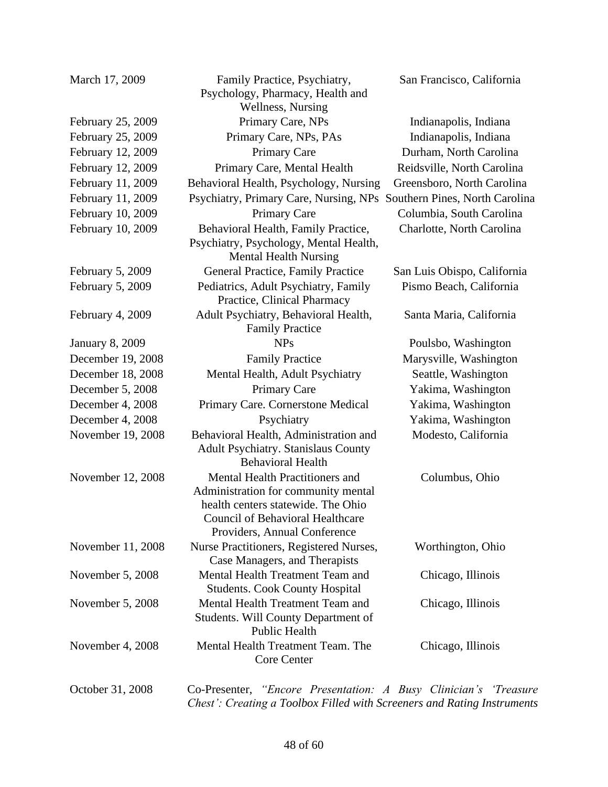| February 25, 2009<br>February 25, 2009<br>February 12, 2009<br>February 12, 2009<br>February 11, 2009<br>February 11, 2009<br>February 10, 2009<br>February 10, 2009 | B<br>P<br>F |
|----------------------------------------------------------------------------------------------------------------------------------------------------------------------|-------------|
| February 5, 2009                                                                                                                                                     |             |
| February 5, 2009                                                                                                                                                     |             |
| February 4, 2009                                                                                                                                                     |             |
| <b>January 8, 2009</b><br>December 19, 2008<br>December 18, 2008<br>December 5, 2008<br>December 4, 2008<br>December 4, 2008                                         |             |
| November 19, 2008                                                                                                                                                    | I           |
| November 12, 2008                                                                                                                                                    |             |
| November 11, 2008                                                                                                                                                    | ľ           |
| November 5, 2008                                                                                                                                                     |             |
| November 5, 2008                                                                                                                                                     |             |
| November 4, 2008                                                                                                                                                     |             |

March 17, 2009 Family Practice, Psychiatry,

Psychology, Pharmacy, Health and Wellness, Nursing

Family Practice

Behavioral Health, Administration and Adult Psychiatry. Stanislaus County Behavioral Health Modesto, California Mental Health Practitioners and Administration for community mental health centers statewide. The Ohio Council of Behavioral Healthcare Providers, Annual Conference Columbus, Ohio Nurse Practitioners, Registered Nurses, Case Managers, and Therapists Worthington, Ohio Mental Health Treatment Team and Students. Cook County Hospital Chicago, Illinois Mental Health Treatment Team and Students. Will County Department of Public Health Chicago, Illinois Mental Health Treatment Team. The Core Center Chicago, Illinois October 31, 2008 Co-Presenter, *"Encore Presentation: A Busy Clinician's 'Treasure Chest': Creating a Toolbox Filled with Screeners and Rating Instruments* 

San Francisco, California

Primary Care, NPs Indianapolis, Indiana Primary Care, NPs, PAs Indianapolis, Indiana Primary Care Durham, North Carolina Primary Care, Mental Health Reidsville, North Carolina Echavioral Health, Psychology, Nursing Greensboro, North Carolina **Psychiatry, Primary Care, Nursing, NPs Southern Pines, North Carolina** Primary Care Columbia, South Carolina Behavioral Health, Family Practice, Psychiatry, Psychology, Mental Health, Mental Health Nursing Charlotte, North Carolina General Practice, Family Practice San Luis Obispo, California Pediatrics, Adult Psychiatry, Family Practice, Clinical Pharmacy Pismo Beach, California Adult Psychiatry, Behavioral Health, Santa Maria, California NPs Poulsbo, Washington Family Practice Marysville, Washington Mental Health, Adult Psychiatry Seattle, Washington Primary Care Yakima, Washington Primary Care. Cornerstone Medical Yakima, Washington Psychiatry Yakima, Washington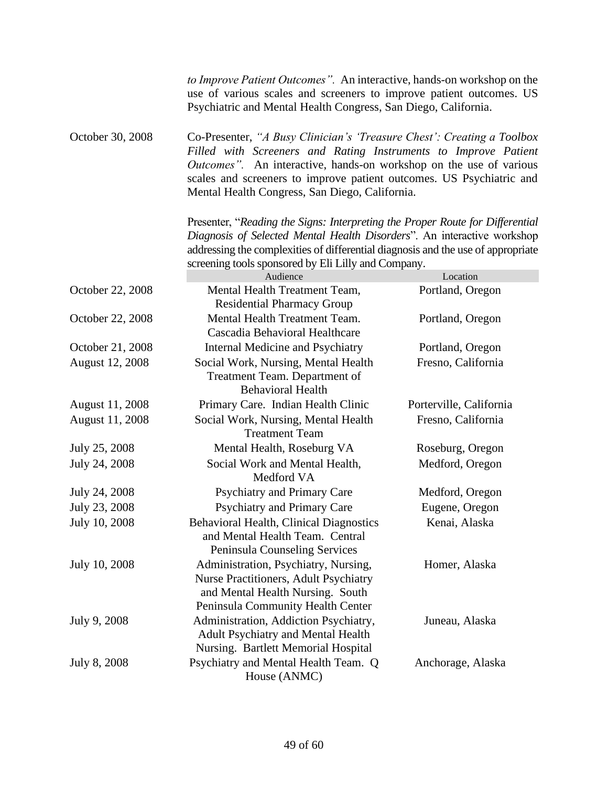|                  | to Improve Patient Outcomes". An interactive, hands-on workshop on the<br>use of various scales and screeners to improve patient outcomes. US<br>Psychiatric and Mental Health Congress, San Diego, California.                                                                                                                           |                         |
|------------------|-------------------------------------------------------------------------------------------------------------------------------------------------------------------------------------------------------------------------------------------------------------------------------------------------------------------------------------------|-------------------------|
| October 30, 2008 | Co-Presenter, "A Busy Clinician's 'Treasure Chest': Creating a Toolbox<br>Filled with Screeners and Rating Instruments to Improve Patient<br>Outcomes". An interactive, hands-on workshop on the use of various<br>scales and screeners to improve patient outcomes. US Psychiatric and<br>Mental Health Congress, San Diego, California. |                         |
|                  | Presenter, "Reading the Signs: Interpreting the Proper Route for Differential                                                                                                                                                                                                                                                             |                         |
|                  | Diagnosis of Selected Mental Health Disorders". An interactive workshop                                                                                                                                                                                                                                                                   |                         |
|                  | addressing the complexities of differential diagnosis and the use of appropriate                                                                                                                                                                                                                                                          |                         |
|                  | screening tools sponsored by Eli Lilly and Company.<br>Audience                                                                                                                                                                                                                                                                           | Location                |
| October 22, 2008 | Mental Health Treatment Team,                                                                                                                                                                                                                                                                                                             | Portland, Oregon        |
|                  | <b>Residential Pharmacy Group</b>                                                                                                                                                                                                                                                                                                         |                         |
| October 22, 2008 | Mental Health Treatment Team.                                                                                                                                                                                                                                                                                                             | Portland, Oregon        |
|                  | Cascadia Behavioral Healthcare                                                                                                                                                                                                                                                                                                            |                         |
| October 21, 2008 | Internal Medicine and Psychiatry                                                                                                                                                                                                                                                                                                          | Portland, Oregon        |
| August 12, 2008  | Social Work, Nursing, Mental Health<br>Treatment Team. Department of<br><b>Behavioral Health</b>                                                                                                                                                                                                                                          | Fresno, California      |
| August 11, 2008  | Primary Care. Indian Health Clinic                                                                                                                                                                                                                                                                                                        | Porterville, California |
| August 11, 2008  | Social Work, Nursing, Mental Health<br><b>Treatment Team</b>                                                                                                                                                                                                                                                                              | Fresno, California      |
| July 25, 2008    | Mental Health, Roseburg VA                                                                                                                                                                                                                                                                                                                | Roseburg, Oregon        |
| July 24, 2008    | Social Work and Mental Health,<br>Medford VA                                                                                                                                                                                                                                                                                              | Medford, Oregon         |
| July 24, 2008    | Psychiatry and Primary Care                                                                                                                                                                                                                                                                                                               | Medford, Oregon         |
| July 23, 2008    | <b>Psychiatry and Primary Care</b>                                                                                                                                                                                                                                                                                                        | Eugene, Oregon          |
| July 10, 2008    | <b>Behavioral Health, Clinical Diagnostics</b><br>and Mental Health Team. Central<br>Peninsula Counseling Services                                                                                                                                                                                                                        | Kenai, Alaska           |
| July 10, 2008    | Administration, Psychiatry, Nursing,                                                                                                                                                                                                                                                                                                      | Homer, Alaska           |
|                  | Nurse Practitioners, Adult Psychiatry<br>and Mental Health Nursing. South<br>Peninsula Community Health Center                                                                                                                                                                                                                            |                         |
| July 9, 2008     | Administration, Addiction Psychiatry,<br>Adult Psychiatry and Mental Health<br>Nursing. Bartlett Memorial Hospital                                                                                                                                                                                                                        | Juneau, Alaska          |
| July 8, 2008     | Psychiatry and Mental Health Team. Q<br>House (ANMC)                                                                                                                                                                                                                                                                                      | Anchorage, Alaska       |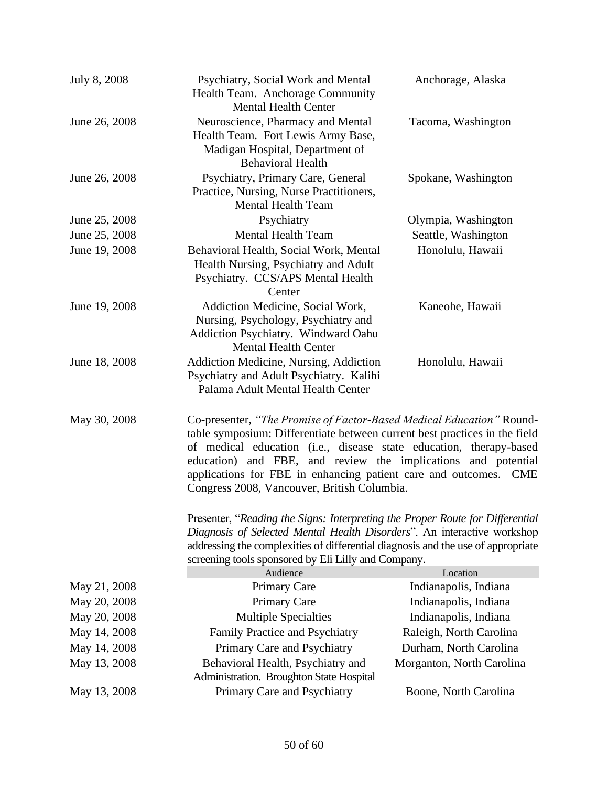| July 8, 2008  | Psychiatry, Social Work and Mental<br>Health Team. Anchorage Community<br><b>Mental Health Center</b>                                                                                                                                                                                                                                                                                                                                                                                                                                                                              | Anchorage, Alaska         |
|---------------|------------------------------------------------------------------------------------------------------------------------------------------------------------------------------------------------------------------------------------------------------------------------------------------------------------------------------------------------------------------------------------------------------------------------------------------------------------------------------------------------------------------------------------------------------------------------------------|---------------------------|
| June 26, 2008 | Neuroscience, Pharmacy and Mental<br>Health Team. Fort Lewis Army Base,<br>Madigan Hospital, Department of<br><b>Behavioral Health</b>                                                                                                                                                                                                                                                                                                                                                                                                                                             | Tacoma, Washington        |
| June 26, 2008 | Psychiatry, Primary Care, General<br>Practice, Nursing, Nurse Practitioners,<br><b>Mental Health Team</b>                                                                                                                                                                                                                                                                                                                                                                                                                                                                          | Spokane, Washington       |
| June 25, 2008 | Psychiatry                                                                                                                                                                                                                                                                                                                                                                                                                                                                                                                                                                         | Olympia, Washington       |
| June 25, 2008 | <b>Mental Health Team</b>                                                                                                                                                                                                                                                                                                                                                                                                                                                                                                                                                          | Seattle, Washington       |
| June 19, 2008 | Behavioral Health, Social Work, Mental<br>Health Nursing, Psychiatry and Adult<br>Psychiatry. CCS/APS Mental Health<br>Center                                                                                                                                                                                                                                                                                                                                                                                                                                                      | Honolulu, Hawaii          |
| June 19, 2008 | Addiction Medicine, Social Work,<br>Nursing, Psychology, Psychiatry and<br>Addiction Psychiatry. Windward Oahu<br><b>Mental Health Center</b>                                                                                                                                                                                                                                                                                                                                                                                                                                      | Kaneohe, Hawaii           |
| June 18, 2008 | Addiction Medicine, Nursing, Addiction<br>Psychiatry and Adult Psychiatry. Kalihi<br>Palama Adult Mental Health Center                                                                                                                                                                                                                                                                                                                                                                                                                                                             | Honolulu, Hawaii          |
| May 30, 2008  | Co-presenter, "The Promise of Factor-Based Medical Education" Round-<br>table symposium: Differentiate between current best practices in the field<br>of medical education (i.e., disease state education, therapy-based<br>education) and FBE, and review the implications and potential<br>applications for FBE in enhancing patient care and outcomes.<br><b>CME</b><br>Congress 2008, Vancouver, British Columbia.<br>Presenter, "Reading the Signs: Interpreting the Proper Route for Differential<br>Diagnosis of Selected Mental Health Disorders". An interactive workshop |                           |
|               | addressing the complexities of differential diagnosis and the use of appropriate<br>screening tools sponsored by Eli Lilly and Company.                                                                                                                                                                                                                                                                                                                                                                                                                                            |                           |
|               | Audience                                                                                                                                                                                                                                                                                                                                                                                                                                                                                                                                                                           | Location                  |
| May 21, 2008  | <b>Primary Care</b>                                                                                                                                                                                                                                                                                                                                                                                                                                                                                                                                                                | Indianapolis, Indiana     |
| May 20, 2008  | <b>Primary Care</b>                                                                                                                                                                                                                                                                                                                                                                                                                                                                                                                                                                | Indianapolis, Indiana     |
| May 20, 2008  | <b>Multiple Specialties</b>                                                                                                                                                                                                                                                                                                                                                                                                                                                                                                                                                        | Indianapolis, Indiana     |
| May 14, 2008  | Family Practice and Psychiatry                                                                                                                                                                                                                                                                                                                                                                                                                                                                                                                                                     | Raleigh, North Carolina   |
| May 14, 2008  | Primary Care and Psychiatry                                                                                                                                                                                                                                                                                                                                                                                                                                                                                                                                                        | Durham, North Carolina    |
| May 13, 2008  | Behavioral Health, Psychiatry and<br>Administration. Broughton State Hospital                                                                                                                                                                                                                                                                                                                                                                                                                                                                                                      | Morganton, North Carolina |
| May 13, 2008  | Primary Care and Psychiatry                                                                                                                                                                                                                                                                                                                                                                                                                                                                                                                                                        | Boone, North Carolina     |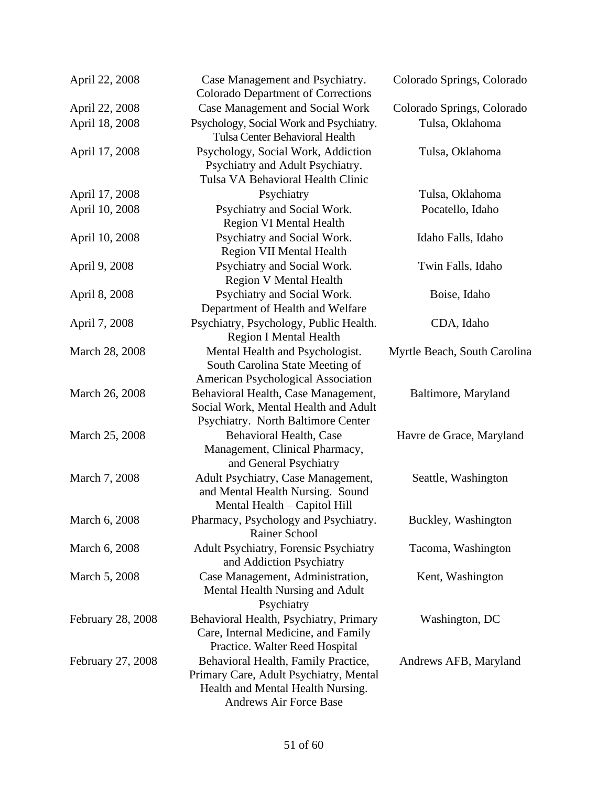| April 22, 2008    | Case Management and Psychiatry.<br><b>Colorado Department of Corrections</b>                                                                 | Colorado Springs, Colorado   |
|-------------------|----------------------------------------------------------------------------------------------------------------------------------------------|------------------------------|
| April 22, 2008    | <b>Case Management and Social Work</b>                                                                                                       | Colorado Springs, Colorado   |
| April 18, 2008    | Psychology, Social Work and Psychiatry.<br><b>Tulsa Center Behavioral Health</b>                                                             | Tulsa, Oklahoma              |
| April 17, 2008    | Psychology, Social Work, Addiction<br>Psychiatry and Adult Psychiatry.<br>Tulsa VA Behavioral Health Clinic                                  | Tulsa, Oklahoma              |
| April 17, 2008    | Psychiatry                                                                                                                                   | Tulsa, Oklahoma              |
| April 10, 2008    | Psychiatry and Social Work.<br><b>Region VI Mental Health</b>                                                                                | Pocatello, Idaho             |
| April 10, 2008    | Psychiatry and Social Work.<br><b>Region VII Mental Health</b>                                                                               | Idaho Falls, Idaho           |
| April 9, 2008     | Psychiatry and Social Work.<br><b>Region V Mental Health</b>                                                                                 | Twin Falls, Idaho            |
| April 8, 2008     | Psychiatry and Social Work.<br>Department of Health and Welfare                                                                              | Boise, Idaho                 |
| April 7, 2008     | Psychiatry, Psychology, Public Health.<br><b>Region I Mental Health</b>                                                                      | CDA, Idaho                   |
| March 28, 2008    | Mental Health and Psychologist.<br>South Carolina State Meeting of<br><b>American Psychological Association</b>                              | Myrtle Beach, South Carolina |
| March 26, 2008    | Behavioral Health, Case Management,<br>Social Work, Mental Health and Adult<br>Psychiatry. North Baltimore Center                            | Baltimore, Maryland          |
| March 25, 2008    | Behavioral Health, Case<br>Management, Clinical Pharmacy,<br>and General Psychiatry                                                          | Havre de Grace, Maryland     |
| March 7, 2008     | Adult Psychiatry, Case Management,<br>and Mental Health Nursing. Sound<br>Mental Health - Capitol Hill                                       | Seattle, Washington          |
| March 6, 2008     | Pharmacy, Psychology and Psychiatry.<br>Rainer School                                                                                        | Buckley, Washington          |
| March 6, 2008     | <b>Adult Psychiatry, Forensic Psychiatry</b><br>and Addiction Psychiatry                                                                     | Tacoma, Washington           |
| March 5, 2008     | Case Management, Administration,<br>Mental Health Nursing and Adult<br>Psychiatry                                                            | Kent, Washington             |
| February 28, 2008 | Behavioral Health, Psychiatry, Primary<br>Care, Internal Medicine, and Family<br>Practice. Walter Reed Hospital                              | Washington, DC               |
| February 27, 2008 | Behavioral Health, Family Practice,<br>Primary Care, Adult Psychiatry, Mental<br>Health and Mental Health Nursing.<br>Andrews Air Force Base | Andrews AFB, Maryland        |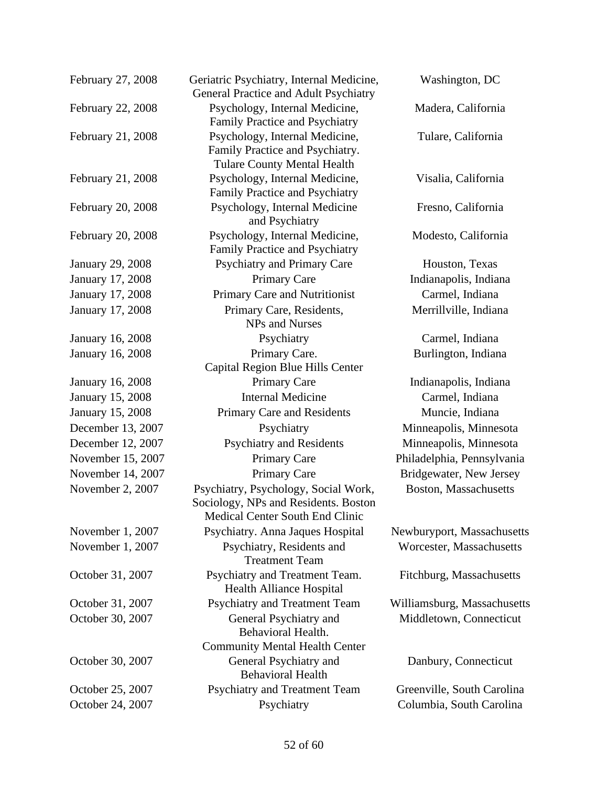| February 27, 2008       | Geriatric Psychiatry, Internal Medicine,<br>General Practice and Adult Psychiatry                               | Washington, DC              |
|-------------------------|-----------------------------------------------------------------------------------------------------------------|-----------------------------|
| February 22, 2008       | Psychology, Internal Medicine,<br>Family Practice and Psychiatry                                                | Madera, California          |
| February 21, 2008       | Psychology, Internal Medicine,<br>Family Practice and Psychiatry.<br><b>Tulare County Mental Health</b>         | Tulare, California          |
| February 21, 2008       | Psychology, Internal Medicine,<br>Family Practice and Psychiatry                                                | Visalia, California         |
| February 20, 2008       | Psychology, Internal Medicine<br>and Psychiatry                                                                 | Fresno, California          |
| February 20, 2008       | Psychology, Internal Medicine,<br>Family Practice and Psychiatry                                                | Modesto, California         |
| January 29, 2008        | <b>Psychiatry and Primary Care</b>                                                                              | Houston, Texas              |
| January 17, 2008        | <b>Primary Care</b>                                                                                             | Indianapolis, Indiana       |
| January 17, 2008        | Primary Care and Nutritionist                                                                                   | Carmel, Indiana             |
| January 17, 2008        | Primary Care, Residents,<br><b>NPs and Nurses</b>                                                               | Merrillville, Indiana       |
| January 16, 2008        | Psychiatry                                                                                                      | Carmel, Indiana             |
| January 16, 2008        | Primary Care.<br>Capital Region Blue Hills Center                                                               | Burlington, Indiana         |
| <b>January 16, 2008</b> | <b>Primary Care</b>                                                                                             | Indianapolis, Indiana       |
| January 15, 2008        | <b>Internal Medicine</b>                                                                                        | Carmel, Indiana             |
| January 15, 2008        | Primary Care and Residents                                                                                      | Muncie, Indiana             |
| December 13, 2007       | Psychiatry                                                                                                      | Minneapolis, Minnesota      |
| December 12, 2007       | <b>Psychiatry and Residents</b>                                                                                 | Minneapolis, Minnesota      |
| November 15, 2007       | <b>Primary Care</b>                                                                                             | Philadelphia, Pennsylvania  |
| November 14, 2007       | Primary Care                                                                                                    | Bridgewater, New Jersey     |
| November 2, 2007        | Psychiatry, Psychology, Social Work,<br>Sociology, NPs and Residents. Boston<br>Medical Center South End Clinic | Boston, Massachusetts       |
| November 1, 2007        | Psychiatry. Anna Jaques Hospital                                                                                | Newburyport, Massachusetts  |
| November 1, 2007        | Psychiatry, Residents and<br><b>Treatment Team</b>                                                              | Worcester, Massachusetts    |
| October 31, 2007        | Psychiatry and Treatment Team.<br><b>Health Alliance Hospital</b>                                               | Fitchburg, Massachusetts    |
| October 31, 2007        | Psychiatry and Treatment Team                                                                                   | Williamsburg, Massachusetts |
| October 30, 2007        | General Psychiatry and<br>Behavioral Health.                                                                    | Middletown, Connecticut     |
| October 30, 2007        | <b>Community Mental Health Center</b><br>General Psychiatry and<br><b>Behavioral Health</b>                     | Danbury, Connecticut        |
| October 25, 2007        | Psychiatry and Treatment Team                                                                                   | Greenville, South Carolina  |
| October 24, 2007        | Psychiatry                                                                                                      | Columbia, South Carolina    |
|                         |                                                                                                                 |                             |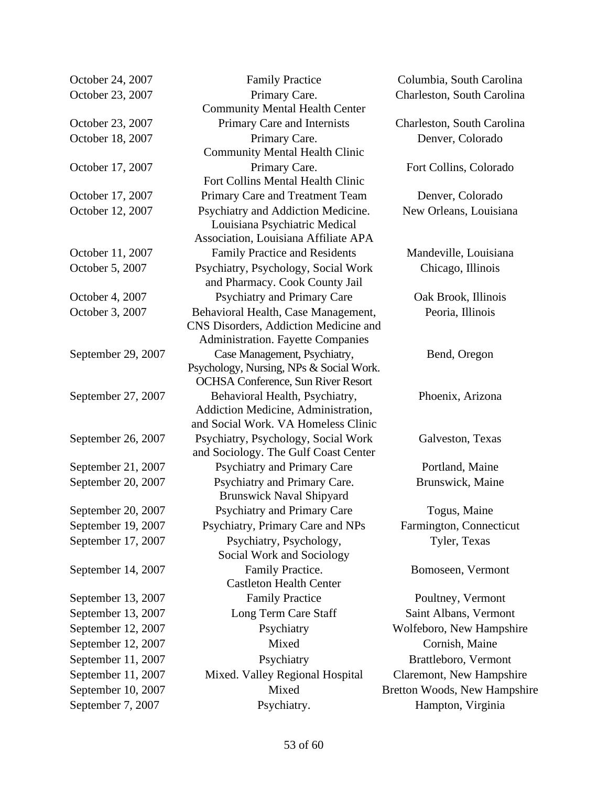| October 24, 2007<br>October 23, 2007 |
|--------------------------------------|
| October 23, 2007<br>October 18, 2007 |
| October 17, 2007                     |
| October 17, 2007<br>October 12, 2007 |
| October 11, 2007<br>October 5, 2007  |
| October 4, 2007<br>October 3, 2007   |
| September 29, 2007                   |
| September 27, 2007                   |
| September 26, 2007                   |
| September 21, 2007                   |
| September 20, 2007                   |
| September 20, 2007                   |
| September 19, 2007                   |
| September 17, 2007                   |
| September 14, 2007                   |
| September 13, 2007                   |
| September 13, 2007                   |
| September 12, 2007                   |
| September 12, 2007                   |
| September 11, 2007                   |
| September 11, 2007                   |
| September 10, 2007                   |
| September 7, 2007                    |

Family Practice Columbia, South Carolina Primary Care. Community Mental Health Center Primary Care and Internists Charleston, South Carolina Primary Care. Community Mental Health Clinic Primary Care. Fort Collins Mental Health Clinic Primary Care and Treatment Team Denver, Colorado Psychiatry and Addiction Medicine. Louisiana Psychiatric Medical Association, Louisiana Affiliate APA Family Practice and Residents Mandeville, Louisiana Psychiatry, Psychology, Social Work and Pharmacy. Cook County Jail Psychiatry and Primary Care **Oak Brook**, Illinois Behavioral Health, Case Management, CNS Disorders, Addiction Medicine and Administration. Fayette Companies Case Management, Psychiatry, Psychology, Nursing, NPs & Social Work. OCHSA Conference, Sun River Resort Behavioral Health, Psychiatry, Addiction Medicine, Administration, and Social Work. VA Homeless Clinic Psychiatry, Psychology, Social Work and Sociology. The Gulf Coast Center Psychiatry and Primary Care Portland, Maine Psychiatry and Primary Care. Brunswick Naval Shipyard Psychiatry and Primary Care Togus, Maine Psychiatry, Primary Care and NPs Farmington, Connecticut Psychiatry, Psychology, Social Work and Sociology Family Practice. Castleton Health Center Family Practice Poultney, Vermont Long Term Care Staff Saint Albans, Vermont Mixed. Valley Regional Hospital Claremont, New Hampshire Mixed Bretton Woods, New Hampshire Psychiatry. Hampton, Virginia

Charleston, South Carolina Denver, Colorado Fort Collins, Colorado New Orleans, Louisiana Chicago, Illinois Peoria, Illinois Bend, Oregon Phoenix, Arizona Galveston, Texas Brunswick, Maine Tyler, Texas Bomoseen, Vermont Psychiatry Wolfeboro, New Hampshire Mixed Cornish, Maine Psychiatry Brattleboro, Vermont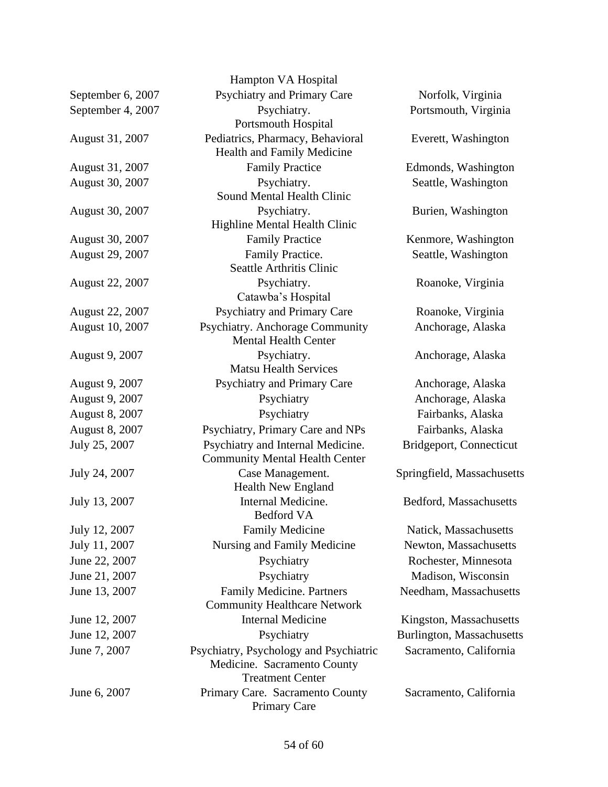|                        | Hampton VA Hospital                                                                              |                                  |
|------------------------|--------------------------------------------------------------------------------------------------|----------------------------------|
| September 6, 2007      | <b>Psychiatry and Primary Care</b>                                                               | Norfolk, Virginia                |
| September 4, 2007      | Psychiatry.<br><b>Portsmouth Hospital</b>                                                        | Portsmouth, Virginia             |
| August 31, 2007        | Pediatrics, Pharmacy, Behavioral<br>Health and Family Medicine                                   | Everett, Washington              |
| August 31, 2007        | <b>Family Practice</b>                                                                           | Edmonds, Washington              |
| August 30, 2007        | Psychiatry.                                                                                      | Seattle, Washington              |
|                        | Sound Mental Health Clinic                                                                       |                                  |
| August 30, 2007        | Psychiatry.                                                                                      | Burien, Washington               |
|                        | Highline Mental Health Clinic                                                                    |                                  |
| August 30, 2007        | <b>Family Practice</b>                                                                           | Kenmore, Washington              |
| August 29, 2007        | Family Practice.                                                                                 | Seattle, Washington              |
|                        | <b>Seattle Arthritis Clinic</b>                                                                  |                                  |
| <b>August 22, 2007</b> | Psychiatry.<br>Catawba's Hospital                                                                | Roanoke, Virginia                |
| August 22, 2007        | <b>Psychiatry and Primary Care</b>                                                               | Roanoke, Virginia                |
| August 10, 2007        | Psychiatry. Anchorage Community<br><b>Mental Health Center</b>                                   | Anchorage, Alaska                |
| August 9, 2007         | Psychiatry.<br><b>Matsu Health Services</b>                                                      | Anchorage, Alaska                |
| August 9, 2007         | Psychiatry and Primary Care                                                                      | Anchorage, Alaska                |
| August 9, 2007         | Psychiatry                                                                                       | Anchorage, Alaska                |
| August 8, 2007         | Psychiatry                                                                                       | Fairbanks, Alaska                |
| August 8, 2007         | Psychiatry, Primary Care and NPs                                                                 | Fairbanks, Alaska                |
| July 25, 2007          | Psychiatry and Internal Medicine.<br><b>Community Mental Health Center</b>                       | Bridgeport, Connecticut          |
| July 24, 2007          | Case Management.<br><b>Health New England</b>                                                    | Springfield, Massachusetts       |
| July 13, 2007          | Internal Medicine.<br>Bedford VA                                                                 | Bedford, Massachusetts           |
| July 12, 2007          | <b>Family Medicine</b>                                                                           | Natick, Massachusetts            |
| July 11, 2007          | Nursing and Family Medicine                                                                      | Newton, Massachusetts            |
| June 22, 2007          | Psychiatry                                                                                       | Rochester, Minnesota             |
| June 21, 2007          | Psychiatry                                                                                       | Madison, Wisconsin               |
| June 13, 2007          | <b>Family Medicine. Partners</b><br><b>Community Healthcare Network</b>                          | Needham, Massachusetts           |
| June 12, 2007          | <b>Internal Medicine</b>                                                                         | Kingston, Massachusetts          |
| June 12, 2007          | Psychiatry                                                                                       | <b>Burlington, Massachusetts</b> |
| June 7, 2007           | Psychiatry, Psychology and Psychiatric<br>Medicine. Sacramento County<br><b>Treatment Center</b> | Sacramento, California           |
| June 6, 2007           | Primary Care. Sacramento County<br><b>Primary Care</b>                                           | Sacramento, California           |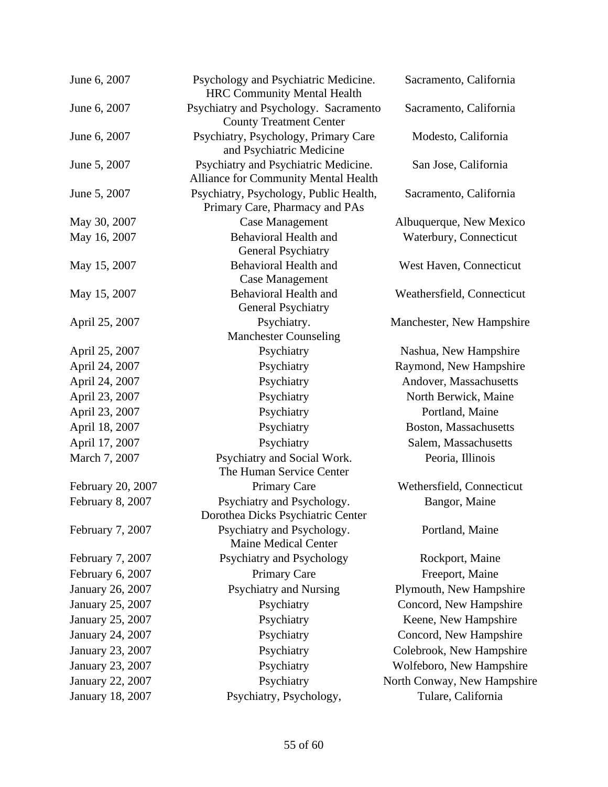| June 6, 2007      | Psychology and Psychiatric Medicine.<br><b>HRC Community Mental Health</b>   | Sacramento, California      |
|-------------------|------------------------------------------------------------------------------|-----------------------------|
| June 6, 2007      | Psychiatry and Psychology. Sacramento<br><b>County Treatment Center</b>      | Sacramento, California      |
| June 6, 2007      | Psychiatry, Psychology, Primary Care<br>and Psychiatric Medicine             | Modesto, California         |
| June 5, 2007      | Psychiatry and Psychiatric Medicine.<br>Alliance for Community Mental Health | San Jose, California        |
| June 5, 2007      | Psychiatry, Psychology, Public Health,<br>Primary Care, Pharmacy and PAs     | Sacramento, California      |
| May 30, 2007      | <b>Case Management</b>                                                       | Albuquerque, New Mexico     |
| May 16, 2007      | <b>Behavioral Health and</b><br><b>General Psychiatry</b>                    | Waterbury, Connecticut      |
| May 15, 2007      | <b>Behavioral Health and</b><br><b>Case Management</b>                       | West Haven, Connecticut     |
| May 15, 2007      | <b>Behavioral Health and</b><br>General Psychiatry                           | Weathersfield, Connecticut  |
| April 25, 2007    | Psychiatry.<br><b>Manchester Counseling</b>                                  | Manchester, New Hampshire   |
| April 25, 2007    | Psychiatry                                                                   | Nashua, New Hampshire       |
| April 24, 2007    | Psychiatry                                                                   | Raymond, New Hampshire      |
| April 24, 2007    | Psychiatry                                                                   | Andover, Massachusetts      |
| April 23, 2007    | Psychiatry                                                                   | North Berwick, Maine        |
| April 23, 2007    | Psychiatry                                                                   | Portland, Maine             |
| April 18, 2007    | Psychiatry                                                                   | Boston, Massachusetts       |
| April 17, 2007    | Psychiatry                                                                   | Salem, Massachusetts        |
| March 7, 2007     | Psychiatry and Social Work.<br>The Human Service Center                      | Peoria, Illinois            |
| February 20, 2007 | <b>Primary Care</b>                                                          | Wethersfield, Connecticut   |
| February 8, 2007  | Psychiatry and Psychology.<br>Dorothea Dicks Psychiatric Center              | Bangor, Maine               |
| February 7, 2007  | Psychiatry and Psychology.<br><b>Maine Medical Center</b>                    | Portland, Maine             |
| February 7, 2007  | Psychiatry and Psychology                                                    | Rockport, Maine             |
| February 6, 2007  | <b>Primary Care</b>                                                          | Freeport, Maine             |
| January 26, 2007  | <b>Psychiatry and Nursing</b>                                                | Plymouth, New Hampshire     |
| January 25, 2007  | Psychiatry                                                                   | Concord, New Hampshire      |
| January 25, 2007  | Psychiatry                                                                   | Keene, New Hampshire        |
| January 24, 2007  | Psychiatry                                                                   | Concord, New Hampshire      |
| January 23, 2007  | Psychiatry                                                                   | Colebrook, New Hampshire    |
| January 23, 2007  | Psychiatry                                                                   | Wolfeboro, New Hampshire    |
| January 22, 2007  | Psychiatry                                                                   | North Conway, New Hampshire |
| January 18, 2007  | Psychiatry, Psychology,                                                      | Tulare, California          |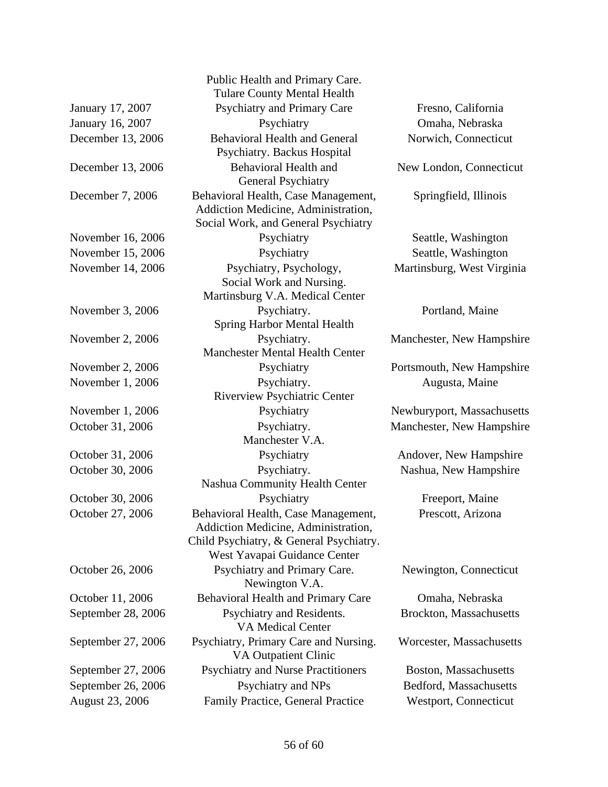Public Health and Primary Care. Tulare County Mental Health January 17, 2007 Psychiatry and Primary Care Fresno, California January 16, 2007 Psychiatry Demaha, Nebraska December 13, 2006 Behavioral Health and General Psychiatry. Backus Hospital December 13, 2006 Behavioral Health and General Psychiatry December 7, 2006 Behavioral Health, Case Management, Addiction Medicine, Administration, Social Work, and General Psychiatry November 16, 2006 Psychiatry Seattle, Washington November 15, 2006 Psychiatry Seattle, Washington November 14, 2006 Psychiatry, Psychology, Social Work and Nursing. Martinsburg V.A. Medical Center November 3, 2006 Psychiatry. Spring Harbor Mental Health November 2, 2006 Psychiatry. Manchester Mental Health Center November 2, 2006 Psychiatry Portsmouth, New Hampshire November 1, 2006 Psychiatry. Riverview Psychiatric Center November 1, 2006 Psychiatry Newburyport, Massachusetts October 31, 2006 Psychiatry. Manchester V.A. October 31, 2006 Psychiatry Andover, New Hampshire October 30, 2006 Psychiatry. Nashua Community Health Center October 30, 2006 Psychiatry Freeport, Maine October 27, 2006 Behavioral Health, Case Management, Addiction Medicine, Administration, Child Psychiatry, & General Psychiatry. West Yavapai Guidance Center October 26, 2006 Psychiatry and Primary Care. Newington V.A. October 11, 2006 Behavioral Health and Primary Care Omaha, Nebraska September 28, 2006 Psychiatry and Residents. VA Medical Center September 27, 2006 Psychiatry, Primary Care and Nursing. VA Outpatient Clinic September 27, 2006 Psychiatry and Nurse Practitioners Boston, Massachusetts September 26, 2006 Psychiatry and NPs Bedford, Massachusetts August 23, 2006 Family Practice, General Practice Westport, Connecticut

Norwich, Connecticut

New London, Connecticut

Springfield, Illinois

Martinsburg, West Virginia

Portland, Maine

Manchester, New Hampshire

Augusta, Maine

Manchester, New Hampshire

Nashua, New Hampshire

Prescott, Arizona

#### Newington, Connecticut

Brockton, Massachusetts

Worcester, Massachusetts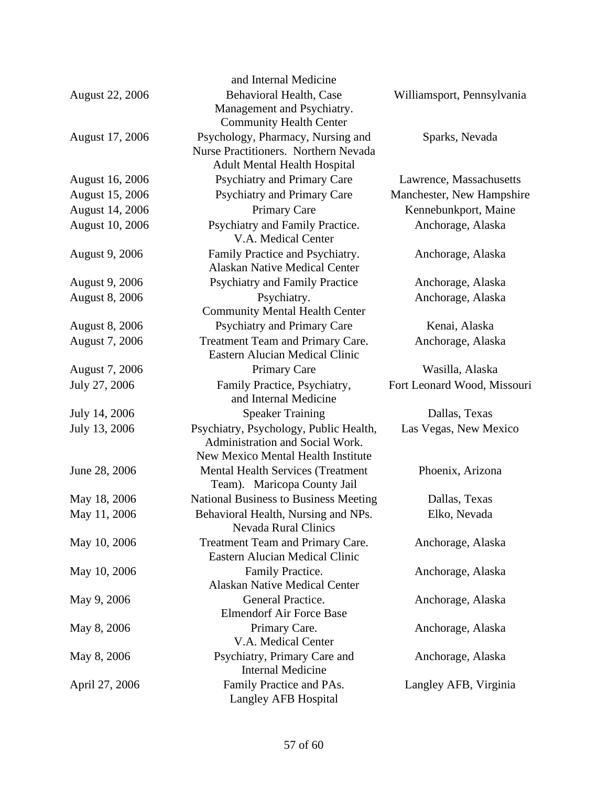|                        | and Internal Medicine                                              |                             |
|------------------------|--------------------------------------------------------------------|-----------------------------|
| <b>August 22, 2006</b> | Behavioral Health, Case                                            | Williamsport, Pennsylvania  |
|                        | Management and Psychiatry.                                         |                             |
|                        | <b>Community Health Center</b>                                     |                             |
| August 17, 2006        | Psychology, Pharmacy, Nursing and                                  | Sparks, Nevada              |
|                        | Nurse Practitioners. Northern Nevada                               |                             |
|                        | <b>Adult Mental Health Hospital</b>                                |                             |
| August 16, 2006        | Psychiatry and Primary Care                                        | Lawrence, Massachusetts     |
| August 15, 2006        | Psychiatry and Primary Care                                        | Manchester, New Hampshire   |
| August 14, 2006        | <b>Primary Care</b>                                                | Kennebunkport, Maine        |
| August 10, 2006        | Psychiatry and Family Practice.<br>V.A. Medical Center             | Anchorage, Alaska           |
| <b>August 9, 2006</b>  | Family Practice and Psychiatry.                                    | Anchorage, Alaska           |
|                        | <b>Alaskan Native Medical Center</b>                               |                             |
| August 9, 2006         | <b>Psychiatry and Family Practice</b>                              | Anchorage, Alaska           |
| <b>August 8, 2006</b>  | Psychiatry.                                                        | Anchorage, Alaska           |
|                        | <b>Community Mental Health Center</b>                              |                             |
| <b>August 8, 2006</b>  | <b>Psychiatry and Primary Care</b>                                 | Kenai, Alaska               |
| August 7, 2006         | Treatment Team and Primary Care.                                   | Anchorage, Alaska           |
|                        | <b>Eastern Alucian Medical Clinic</b>                              |                             |
| August 7, 2006         | <b>Primary Care</b>                                                | Wasilla, Alaska             |
| July 27, 2006          | Family Practice, Psychiatry,                                       | Fort Leonard Wood, Missouri |
|                        | and Internal Medicine                                              |                             |
| July 14, 2006          | <b>Speaker Training</b>                                            | Dallas, Texas               |
| July 13, 2006          | Psychiatry, Psychology, Public Health,                             | Las Vegas, New Mexico       |
|                        | Administration and Social Work.                                    |                             |
|                        | <b>New Mexico Mental Health Institute</b>                          |                             |
| June 28, 2006          | <b>Mental Health Services (Treatment</b>                           | Phoenix, Arizona            |
|                        | Team). Maricopa County Jail                                        |                             |
| May 18, 2006           | National Business to Business Meeting                              | Dallas, Texas               |
| May 11, 2006           | Behavioral Health, Nursing and NPs.<br><b>Nevada Rural Clinics</b> | Elko, Nevada                |
| May 10, 2006           | Treatment Team and Primary Care.                                   | Anchorage, Alaska           |
|                        | <b>Eastern Alucian Medical Clinic</b>                              |                             |
| May 10, 2006           | Family Practice.                                                   | Anchorage, Alaska           |
|                        | <b>Alaskan Native Medical Center</b>                               |                             |
| May 9, 2006            | General Practice.                                                  | Anchorage, Alaska           |
|                        | <b>Elmendorf Air Force Base</b>                                    |                             |
| May 8, 2006            | Primary Care.<br>V.A. Medical Center                               | Anchorage, Alaska           |
|                        | Psychiatry, Primary Care and                                       |                             |
| May 8, 2006            | <b>Internal Medicine</b>                                           | Anchorage, Alaska           |
| April 27, 2006         | Family Practice and PAs.                                           | Langley AFB, Virginia       |
|                        | Langley AFB Hospital                                               |                             |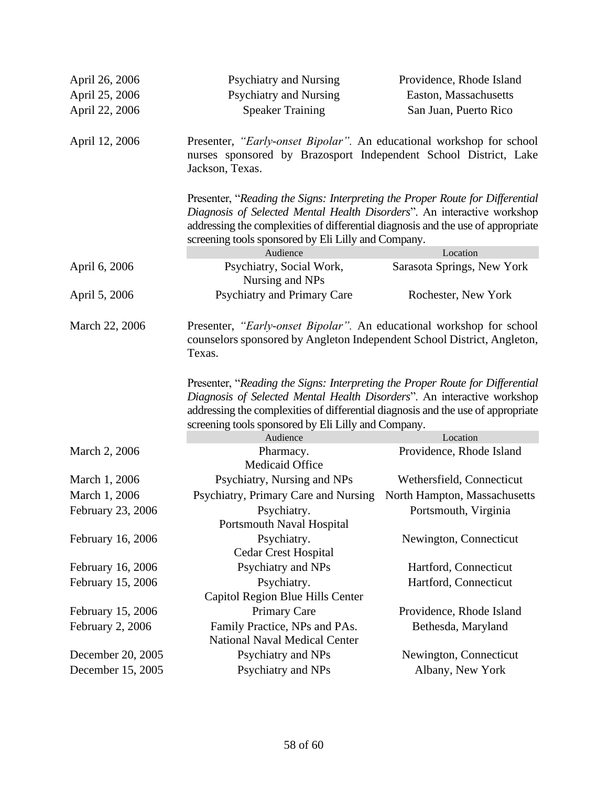| April 26, 2006    | <b>Psychiatry and Nursing</b>                                                                                                                                                                                                                                                                       | Providence, Rhode Island     |  |
|-------------------|-----------------------------------------------------------------------------------------------------------------------------------------------------------------------------------------------------------------------------------------------------------------------------------------------------|------------------------------|--|
| April 25, 2006    | <b>Psychiatry and Nursing</b>                                                                                                                                                                                                                                                                       | Easton, Massachusetts        |  |
| April 22, 2006    | <b>Speaker Training</b>                                                                                                                                                                                                                                                                             | San Juan, Puerto Rico        |  |
| April 12, 2006    | Presenter, "Early-onset Bipolar". An educational workshop for school<br>nurses sponsored by Brazosport Independent School District, Lake<br>Jackson, Texas.                                                                                                                                         |                              |  |
|                   | Presenter, "Reading the Signs: Interpreting the Proper Route for Differential<br>Diagnosis of Selected Mental Health Disorders". An interactive workshop<br>addressing the complexities of differential diagnosis and the use of appropriate<br>screening tools sponsored by Eli Lilly and Company. |                              |  |
|                   | Audience                                                                                                                                                                                                                                                                                            | Location                     |  |
| April 6, 2006     | Psychiatry, Social Work,<br>Nursing and NPs                                                                                                                                                                                                                                                         | Sarasota Springs, New York   |  |
| April 5, 2006     | Psychiatry and Primary Care                                                                                                                                                                                                                                                                         | Rochester, New York          |  |
| March 22, 2006    | Presenter, "Early-onset Bipolar". An educational workshop for school<br>counselors sponsored by Angleton Independent School District, Angleton,<br>Texas.                                                                                                                                           |                              |  |
|                   | Presenter, "Reading the Signs: Interpreting the Proper Route for Differential<br>Diagnosis of Selected Mental Health Disorders". An interactive workshop<br>addressing the complexities of differential diagnosis and the use of appropriate<br>screening tools sponsored by Eli Lilly and Company. |                              |  |
|                   | Audience                                                                                                                                                                                                                                                                                            | Location                     |  |
| March 2, 2006     | Pharmacy.<br>Medicaid Office                                                                                                                                                                                                                                                                        | Providence, Rhode Island     |  |
| March 1, 2006     | Psychiatry, Nursing and NPs                                                                                                                                                                                                                                                                         | Wethersfield, Connecticut    |  |
| March 1, 2006     | Psychiatry, Primary Care and Nursing                                                                                                                                                                                                                                                                | North Hampton, Massachusetts |  |
| February 23, 2006 | Psychiatry.<br>Portsmouth Naval Hospital                                                                                                                                                                                                                                                            | Portsmouth, Virginia         |  |
| February 16, 2006 | Psychiatry.<br><b>Cedar Crest Hospital</b>                                                                                                                                                                                                                                                          | Newington, Connecticut       |  |
| February 16, 2006 | Psychiatry and NPs                                                                                                                                                                                                                                                                                  | Hartford, Connecticut        |  |
| February 15, 2006 | Psychiatry.                                                                                                                                                                                                                                                                                         | Hartford, Connecticut        |  |
|                   | Capitol Region Blue Hills Center                                                                                                                                                                                                                                                                    |                              |  |
| February 15, 2006 | <b>Primary Care</b>                                                                                                                                                                                                                                                                                 | Providence, Rhode Island     |  |
| February 2, 2006  | Family Practice, NPs and PAs.                                                                                                                                                                                                                                                                       | Bethesda, Maryland           |  |
|                   | <b>National Naval Medical Center</b>                                                                                                                                                                                                                                                                |                              |  |
| December 20, 2005 | Psychiatry and NPs                                                                                                                                                                                                                                                                                  | Newington, Connecticut       |  |
| December 15, 2005 | Psychiatry and NPs                                                                                                                                                                                                                                                                                  | Albany, New York             |  |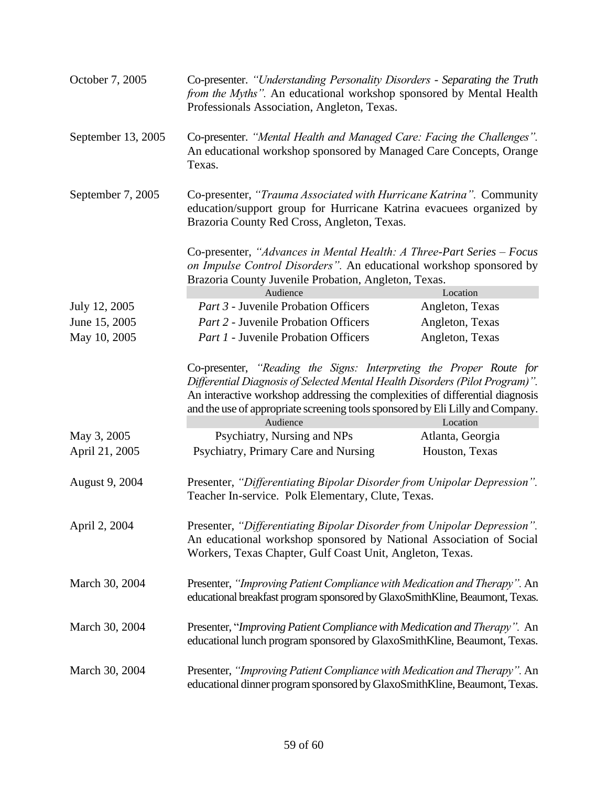| October 7, 2005    | Co-presenter. "Understanding Personality Disorders - Separating the Truth<br>from the Myths". An educational workshop sponsored by Mental Health<br>Professionals Association, Angleton, Texas.                                                                                                                                                |                             |  |
|--------------------|------------------------------------------------------------------------------------------------------------------------------------------------------------------------------------------------------------------------------------------------------------------------------------------------------------------------------------------------|-----------------------------|--|
| September 13, 2005 | Co-presenter. "Mental Health and Managed Care: Facing the Challenges".<br>An educational workshop sponsored by Managed Care Concepts, Orange<br>Texas.                                                                                                                                                                                         |                             |  |
| September 7, 2005  | Co-presenter, "Trauma Associated with Hurricane Katrina". Community<br>education/support group for Hurricane Katrina evacuees organized by<br>Brazoria County Red Cross, Angleton, Texas.                                                                                                                                                      |                             |  |
|                    | Co-presenter, "Advances in Mental Health: A Three-Part Series – Focus<br>on Impulse Control Disorders". An educational workshop sponsored by<br>Brazoria County Juvenile Probation, Angleton, Texas.                                                                                                                                           |                             |  |
| July 12, 2005      | Audience<br>Part 3 - Juvenile Probation Officers                                                                                                                                                                                                                                                                                               | Location<br>Angleton, Texas |  |
| June 15, 2005      | Part 2 - Juvenile Probation Officers                                                                                                                                                                                                                                                                                                           | Angleton, Texas             |  |
| May 10, 2005       | <i>Part 1</i> - Juvenile Probation Officers                                                                                                                                                                                                                                                                                                    | Angleton, Texas             |  |
|                    | Co-presenter, "Reading the Signs: Interpreting the Proper Route for<br>Differential Diagnosis of Selected Mental Health Disorders (Pilot Program)".<br>An interactive workshop addressing the complexities of differential diagnosis<br>and the use of appropriate screening tools sponsored by Eli Lilly and Company.<br>Audience<br>Location |                             |  |
| May 3, 2005        | Psychiatry, Nursing and NPs                                                                                                                                                                                                                                                                                                                    | Atlanta, Georgia            |  |
| April 21, 2005     | Psychiatry, Primary Care and Nursing                                                                                                                                                                                                                                                                                                           | Houston, Texas              |  |
| August 9, 2004     | Presenter, "Differentiating Bipolar Disorder from Unipolar Depression".<br>Teacher In-service. Polk Elementary, Clute, Texas.                                                                                                                                                                                                                  |                             |  |
| April 2, 2004      | Presenter, "Differentiating Bipolar Disorder from Unipolar Depression".<br>An educational workshop sponsored by National Association of Social<br>Workers, Texas Chapter, Gulf Coast Unit, Angleton, Texas.                                                                                                                                    |                             |  |
| March 30, 2004     | Presenter, "Improving Patient Compliance with Medication and Therapy". An<br>educational breakfast program sponsored by GlaxoSmithKline, Beaumont, Texas.                                                                                                                                                                                      |                             |  |
| March 30, 2004     | Presenter, "Improving Patient Compliance with Medication and Therapy". An<br>educational lunch program sponsored by GlaxoSmithKline, Beaumont, Texas.                                                                                                                                                                                          |                             |  |
| March 30, 2004     | Presenter, "Improving Patient Compliance with Medication and Therapy". An<br>educational dinner program sponsored by GlaxoSmithKline, Beaumont, Texas.                                                                                                                                                                                         |                             |  |